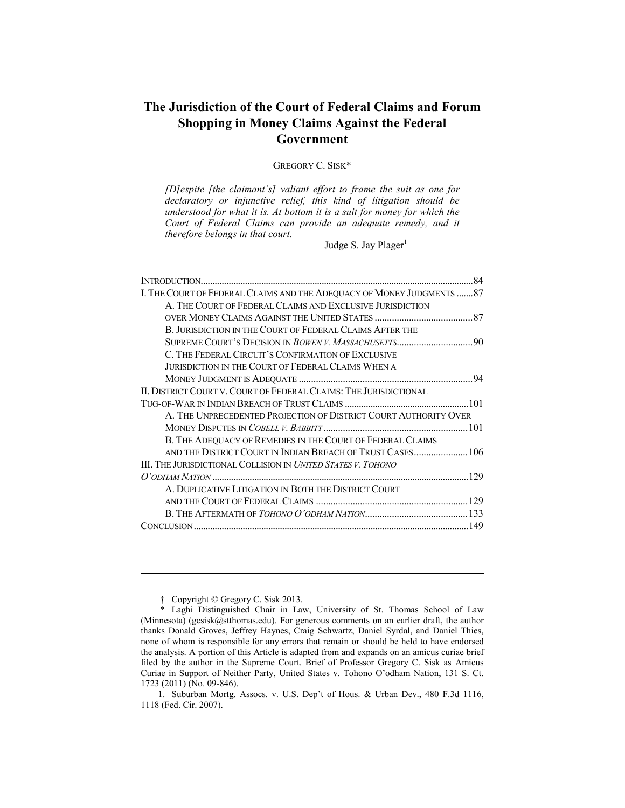# **The Jurisdiction of the Court of Federal Claims and Forum Shopping in Money Claims Against the Federal Government**

GREGORY C. SISK\*

*[D]espite [the claimant's] valiant effort to frame the suit as one for declaratory or injunctive relief, this kind of litigation should be understood for what it is. At bottom it is a suit for money for which the Court of Federal Claims can provide an adequate remedy, and it therefore belongs in that court.* 

Judge S. Jay Plager $<sup>1</sup>$ </sup>

|                                                                        | .84 |
|------------------------------------------------------------------------|-----|
| I. THE COURT OF FEDERAL CLAIMS AND THE ADEQUACY OF MONEY JUDGMENTS  87 |     |
| A. THE COURT OF FEDERAL CLAIMS AND EXCLUSIVE JURISDICTION              |     |
|                                                                        |     |
| B. JURISDICTION IN THE COURT OF FEDERAL CLAIMS AFTER THE               |     |
|                                                                        |     |
| C. THE FEDERAL CIRCUIT'S CONFIRMATION OF EXCLUSIVE                     |     |
| JURISDICTION IN THE COURT OF FEDERAL CLAIMS WHEN A                     |     |
|                                                                        |     |
| II. DISTRICT COURT V. COURT OF FEDERAL CLAIMS: THE JURISDICTIONAL      |     |
|                                                                        |     |
| A. THE UNPRECEDENTED PROJECTION OF DISTRICT COURT AUTHORITY OVER       |     |
|                                                                        |     |
| B. THE ADEQUACY OF REMEDIES IN THE COURT OF FEDERAL CLAIMS             |     |
|                                                                        |     |
| III. THE JURISDICTIONAL COLLISION IN UNITED STATES V. TOHONO           |     |
|                                                                        |     |
| A. DUPLICATIVE LITIGATION IN BOTH THE DISTRICT COURT                   |     |
|                                                                        |     |
|                                                                        |     |
|                                                                        |     |
|                                                                        |     |

† Copyright © Gregory C. Sisk 2013.

 <sup>\*</sup> Laghi Distinguished Chair in Law, University of St. Thomas School of Law (Minnesota) (gcsisk@stthomas.edu). For generous comments on an earlier draft, the author thanks Donald Groves, Jeffrey Haynes, Craig Schwartz, Daniel Syrdal, and Daniel Thies, none of whom is responsible for any errors that remain or should be held to have endorsed the analysis. A portion of this Article is adapted from and expands on an amicus curiae brief filed by the author in the Supreme Court. Brief of Professor Gregory C. Sisk as Amicus Curiae in Support of Neither Party, United States v. Tohono O'odham Nation, 131 S. Ct. 1723 (2011) (No. 09-846).

 <sup>1.</sup> Suburban Mortg. Assocs. v. U.S. Dep't of Hous. & Urban Dev., 480 F.3d 1116, 1118 (Fed. Cir. 2007).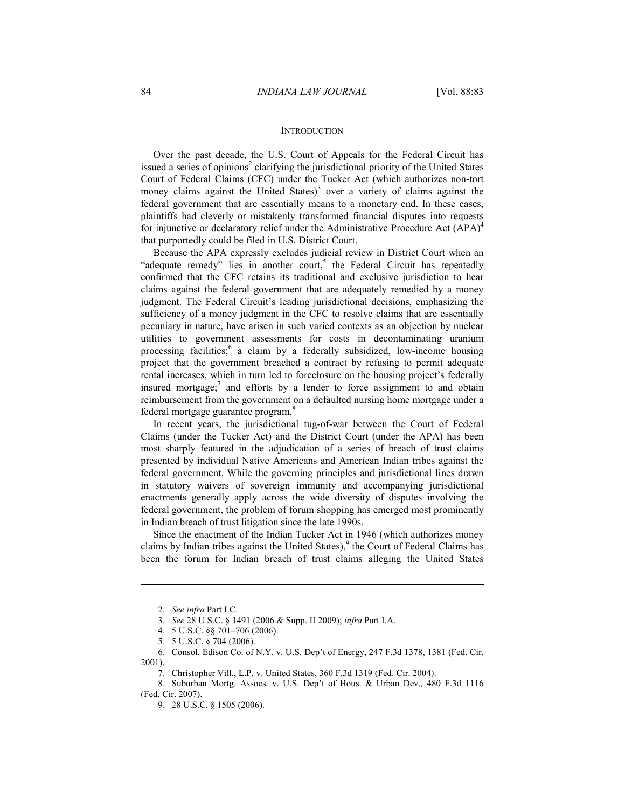#### **INTRODUCTION**

Over the past decade, the U.S. Court of Appeals for the Federal Circuit has issued a series of opinions<sup>2</sup> clarifying the jurisdictional priority of the United States Court of Federal Claims (CFC) under the Tucker Act (which authorizes non-tort money claims against the United States)<sup>3</sup> over a variety of claims against the federal government that are essentially means to a monetary end. In these cases, plaintiffs had cleverly or mistakenly transformed financial disputes into requests for injunctive or declaratory relief under the Administrative Procedure Act  $(APA)^4$ that purportedly could be filed in U.S. District Court.

Because the APA expressly excludes judicial review in District Court when an "adequate remedy" lies in another court,<sup>5</sup> the Federal Circuit has repeatedly confirmed that the CFC retains its traditional and exclusive jurisdiction to hear claims against the federal government that are adequately remedied by a money judgment. The Federal Circuit's leading jurisdictional decisions, emphasizing the sufficiency of a money judgment in the CFC to resolve claims that are essentially pecuniary in nature, have arisen in such varied contexts as an objection by nuclear utilities to government assessments for costs in decontaminating uranium processing facilities;<sup>6</sup> a claim by a federally subsidized, low-income housing project that the government breached a contract by refusing to permit adequate rental increases, which in turn led to foreclosure on the housing project's federally insured mortgage;<sup>7</sup> and efforts by a lender to force assignment to and obtain reimbursement from the government on a defaulted nursing home mortgage under a federal mortgage guarantee program.<sup>8</sup>

In recent years, the jurisdictional tug-of-war between the Court of Federal Claims (under the Tucker Act) and the District Court (under the APA) has been most sharply featured in the adjudication of a series of breach of trust claims presented by individual Native Americans and American Indian tribes against the federal government. While the governing principles and jurisdictional lines drawn in statutory waivers of sovereign immunity and accompanying jurisdictional enactments generally apply across the wide diversity of disputes involving the federal government, the problem of forum shopping has emerged most prominently in Indian breach of trust litigation since the late 1990s.

Since the enactment of the Indian Tucker Act in 1946 (which authorizes money claims by Indian tribes against the United States),<sup>9</sup> the Court of Federal Claims has been the forum for Indian breach of trust claims alleging the United States

 <sup>2.</sup> *See infra* Part I.C.

 <sup>3.</sup> *See* 28 U.S.C. § 1491 (2006 & Supp. II 2009); *infra* Part I.A.

 <sup>4. 5</sup> U.S.C. §§ 701–706 (2006).

 <sup>5. 5</sup> U.S.C. § 704 (2006).

 <sup>6.</sup> Consol. Edison Co. of N.Y. v. U.S. Dep't of Energy, 247 F.3d 1378, 1381 (Fed. Cir. 2001).

 <sup>7.</sup> Christopher Vill., L.P. v. United States, 360 F.3d 1319 (Fed. Cir. 2004).

 <sup>8.</sup> Suburban Mortg. Assocs. v. U.S. Dep't of Hous. & Urban Dev.*,* 480 F.3d 1116 (Fed. Cir. 2007).

 <sup>9. 28</sup> U.S.C. § 1505 (2006).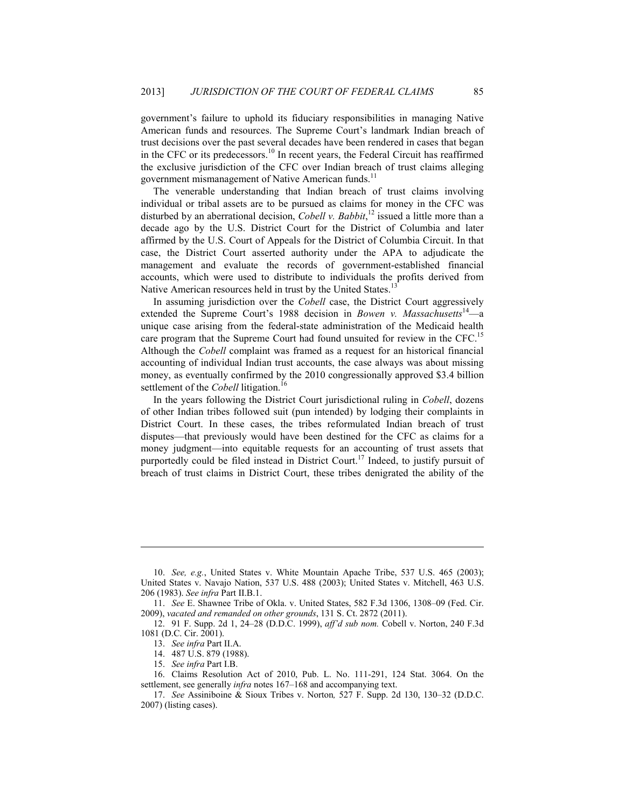government's failure to uphold its fiduciary responsibilities in managing Native American funds and resources. The Supreme Court's landmark Indian breach of trust decisions over the past several decades have been rendered in cases that began in the CFC or its predecessors.<sup>10</sup> In recent years, the Federal Circuit has reaffirmed the exclusive jurisdiction of the CFC over Indian breach of trust claims alleging government mismanagement of Native American funds.<sup>11</sup>

The venerable understanding that Indian breach of trust claims involving individual or tribal assets are to be pursued as claims for money in the CFC was disturbed by an aberrational decision, *Cobell v. Babbit*, 12 issued a little more than a decade ago by the U.S. District Court for the District of Columbia and later affirmed by the U.S. Court of Appeals for the District of Columbia Circuit. In that case, the District Court asserted authority under the APA to adjudicate the management and evaluate the records of government-established financial accounts, which were used to distribute to individuals the profits derived from Native American resources held in trust by the United States.<sup>13</sup>

In assuming jurisdiction over the *Cobell* case, the District Court aggressively extended the Supreme Court's 1988 decision in *Bowen v. Massachusetts*<sup>14</sup>—a unique case arising from the federal-state administration of the Medicaid health care program that the Supreme Court had found unsuited for review in the CFC.<sup>15</sup> Although the *Cobell* complaint was framed as a request for an historical financial accounting of individual Indian trust accounts, the case always was about missing money, as eventually confirmed by the 2010 congressionally approved \$3.4 billion settlement of the *Cobell* litigation.<sup>16</sup>

In the years following the District Court jurisdictional ruling in *Cobell*, dozens of other Indian tribes followed suit (pun intended) by lodging their complaints in District Court. In these cases, the tribes reformulated Indian breach of trust disputes—that previously would have been destined for the CFC as claims for a money judgment—into equitable requests for an accounting of trust assets that purportedly could be filed instead in District Court.<sup>17</sup> Indeed, to justify pursuit of breach of trust claims in District Court, these tribes denigrated the ability of the

<u>.</u>

 <sup>10.</sup> *See, e.g.*, United States v. White Mountain Apache Tribe, 537 U.S. 465 (2003); United States v. Navajo Nation, 537 U.S. 488 (2003); United States v. Mitchell, 463 U.S. 206 (1983). *See infra* Part II.B.1.

 <sup>11.</sup> *See* E. Shawnee Tribe of Okla. v. United States, 582 F.3d 1306, 1308–09 (Fed. Cir. 2009), *vacated and remanded on other grounds*, 131 S. Ct. 2872 (2011).

 <sup>12. 91</sup> F. Supp. 2d 1, 24–28 (D.D.C. 1999), *aff'd sub nom.* Cobell v. Norton, 240 F.3d 1081 (D.C. Cir. 2001).

 <sup>13.</sup> *See infra* Part II.A.

 <sup>14. 487</sup> U.S. 879 (1988).

 <sup>15.</sup> *See infra* Part I.B.

 <sup>16.</sup> Claims Resolution Act of 2010, Pub. L. No. 111-291, 124 Stat. 3064. On the settlement, see generally *infra* notes 167–168 and accompanying text.

 <sup>17.</sup> *See* Assiniboine & Sioux Tribes v. Norton*,* 527 F. Supp. 2d 130, 130–32 (D.D.C. 2007) (listing cases).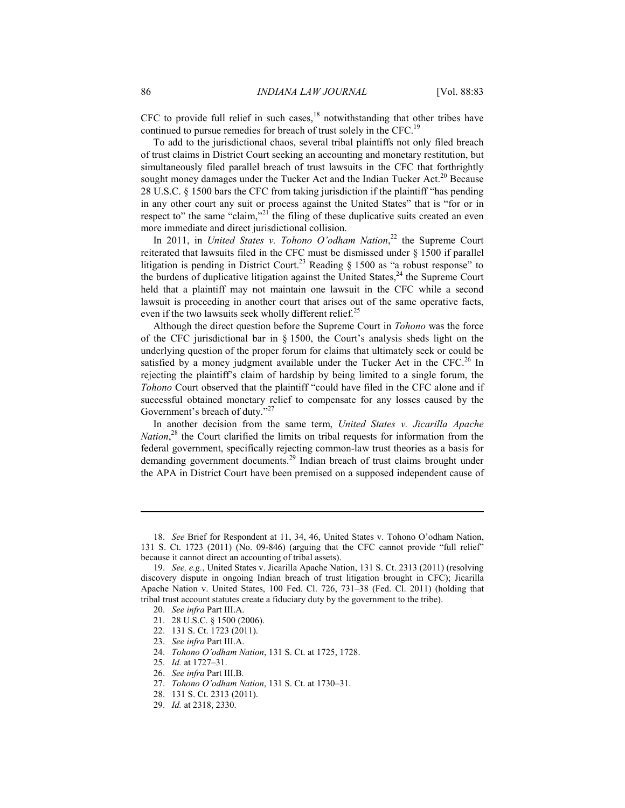CFC to provide full relief in such cases, $18$  notwithstanding that other tribes have continued to pursue remedies for breach of trust solely in the CFC.<sup>19</sup>

To add to the jurisdictional chaos, several tribal plaintiffs not only filed breach of trust claims in District Court seeking an accounting and monetary restitution, but simultaneously filed parallel breach of trust lawsuits in the CFC that forthrightly sought money damages under the Tucker Act and the Indian Tucker Act.<sup>20</sup> Because 28 U.S.C. § 1500 bars the CFC from taking jurisdiction if the plaintiff "has pending in any other court any suit or process against the United States" that is "for or in respect to" the same "claim,"<sup>21</sup> the filing of these duplicative suits created an even more immediate and direct jurisdictional collision.

In 2011, in *United States v. Tohono O'odham Nation*, 22 the Supreme Court reiterated that lawsuits filed in the CFC must be dismissed under § 1500 if parallel litigation is pending in District Court.<sup>23</sup> Reading  $\S$  1500 as "a robust response" to the burdens of duplicative litigation against the United States, $^{24}$  the Supreme Court held that a plaintiff may not maintain one lawsuit in the CFC while a second lawsuit is proceeding in another court that arises out of the same operative facts, even if the two lawsuits seek wholly different relief.<sup>25</sup>

Although the direct question before the Supreme Court in *Tohono* was the force of the CFC jurisdictional bar in  $\S$  1500, the Court's analysis sheds light on the underlying question of the proper forum for claims that ultimately seek or could be satisfied by a money judgment available under the Tucker Act in the  $CFC<sup>26</sup>$  In rejecting the plaintiff's claim of hardship by being limited to a single forum, the *Tohono* Court observed that the plaintiff "could have filed in the CFC alone and if successful obtained monetary relief to compensate for any losses caused by the Government's breach of duty."<sup>27</sup>

In another decision from the same term, *United States v. Jicarilla Apache*  Nation,<sup>28</sup> the Court clarified the limits on tribal requests for information from the federal government, specifically rejecting common-law trust theories as a basis for demanding government documents.<sup>29</sup> Indian breach of trust claims brought under the APA in District Court have been premised on a supposed independent cause of

1

25. *Id.* at 1727–31.

 <sup>18.</sup> *See* Brief for Respondent at 11, 34, 46, United States v. Tohono O'odham Nation, 131 S. Ct. 1723 (2011) (No. 09-846) (arguing that the CFC cannot provide "full relief" because it cannot direct an accounting of tribal assets).

 <sup>19.</sup> *See, e.g.*, United States v. Jicarilla Apache Nation, 131 S. Ct. 2313 (2011) (resolving discovery dispute in ongoing Indian breach of trust litigation brought in CFC); Jicarilla Apache Nation v. United States, 100 Fed. Cl. 726, 731–38 (Fed. Cl. 2011) (holding that tribal trust account statutes create a fiduciary duty by the government to the tribe).

 <sup>20.</sup> *See infra* Part III.A.

 <sup>21. 28</sup> U.S.C. § 1500 (2006).

 <sup>22. 131</sup> S. Ct. 1723 (2011).

 <sup>23.</sup> *See infra* Part III.A.

 <sup>24.</sup> *Tohono O'odham Nation*, 131 S. Ct. at 1725, 1728.

 <sup>26.</sup> *See infra* Part III.B.

 <sup>27.</sup> *Tohono O'odham Nation*, 131 S. Ct. at 1730–31.

 <sup>28. 131</sup> S. Ct. 2313 (2011).

 <sup>29.</sup> *Id.* at 2318, 2330.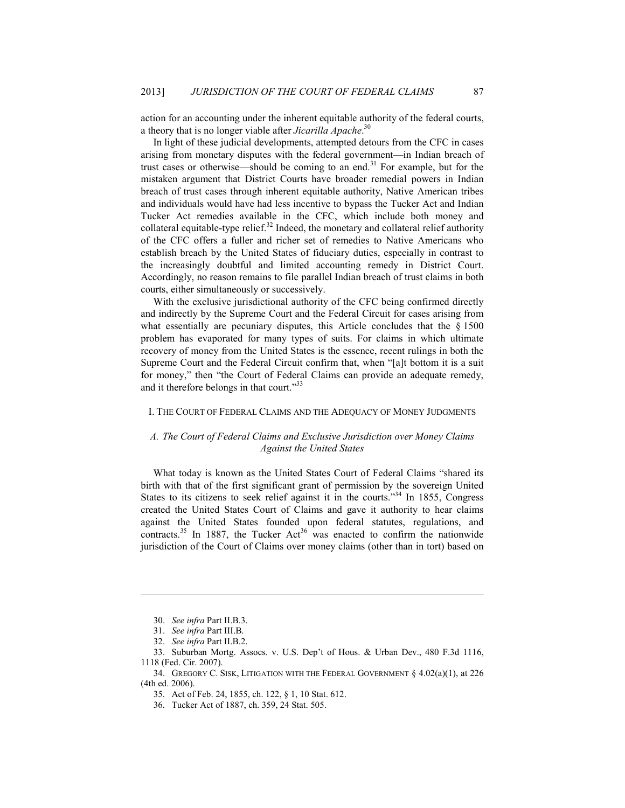action for an accounting under the inherent equitable authority of the federal courts, a theory that is no longer viable after *Jicarilla Apache*. 30

In light of these judicial developments, attempted detours from the CFC in cases arising from monetary disputes with the federal government—in Indian breach of trust cases or otherwise—should be coming to an end.<sup>31</sup> For example, but for the mistaken argument that District Courts have broader remedial powers in Indian breach of trust cases through inherent equitable authority, Native American tribes and individuals would have had less incentive to bypass the Tucker Act and Indian Tucker Act remedies available in the CFC, which include both money and collateral equitable-type relief. $32$  Indeed, the monetary and collateral relief authority of the CFC offers a fuller and richer set of remedies to Native Americans who establish breach by the United States of fiduciary duties, especially in contrast to the increasingly doubtful and limited accounting remedy in District Court. Accordingly, no reason remains to file parallel Indian breach of trust claims in both courts, either simultaneously or successively.

With the exclusive jurisdictional authority of the CFC being confirmed directly and indirectly by the Supreme Court and the Federal Circuit for cases arising from what essentially are pecuniary disputes, this Article concludes that the § 1500 problem has evaporated for many types of suits. For claims in which ultimate recovery of money from the United States is the essence, recent rulings in both the Supreme Court and the Federal Circuit confirm that, when "[a]t bottom it is a suit for money," then "the Court of Federal Claims can provide an adequate remedy, and it therefore belongs in that court."<sup>33</sup>

#### I. THE COURT OF FEDERAL CLAIMS AND THE ADEQUACY OF MONEY JUDGMENTS

## *A. The Court of Federal Claims and Exclusive Jurisdiction over Money Claims Against the United States*

What today is known as the United States Court of Federal Claims "shared its birth with that of the first significant grant of permission by the sovereign United States to its citizens to seek relief against it in the courts.<sup> $34$ </sup> In 1855, Congress created the United States Court of Claims and gave it authority to hear claims against the United States founded upon federal statutes, regulations, and contracts.<sup>35</sup> In 1887, the Tucker Act<sup>36</sup> was enacted to confirm the nationwide jurisdiction of the Court of Claims over money claims (other than in tort) based on

<u>.</u>

 <sup>30.</sup> *See infra* Part II.B.3.

 <sup>31.</sup> *See infra* Part III.B.

 <sup>32.</sup> *See infra* Part II.B.2.

 <sup>33.</sup> Suburban Mortg. Assocs. v. U.S. Dep't of Hous. & Urban Dev., 480 F.3d 1116, 1118 (Fed. Cir. 2007).

 <sup>34.</sup> GREGORY C. SISK, LITIGATION WITH THE FEDERAL GOVERNMENT § 4.02(a)(1), at 226 (4th ed. 2006).

 <sup>35.</sup> Act of Feb. 24, 1855, ch. 122, § 1, 10 Stat. 612.

 <sup>36.</sup> Tucker Act of 1887, ch. 359, 24 Stat. 505.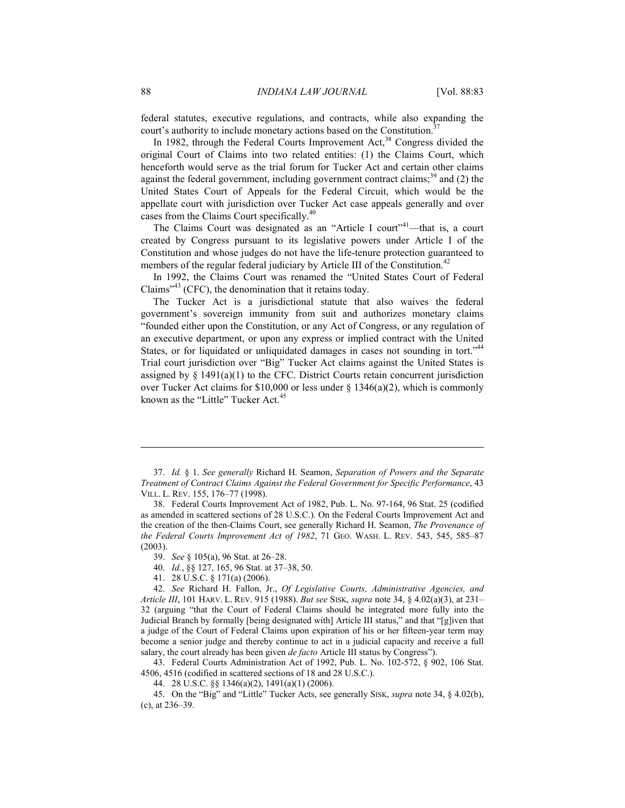federal statutes, executive regulations, and contracts, while also expanding the court's authority to include monetary actions based on the Constitution.<sup>37</sup>

In 1982, through the Federal Courts Improvement  $Act<sub>1</sub><sup>38</sup> Congress divided the$ original Court of Claims into two related entities: (1) the Claims Court, which henceforth would serve as the trial forum for Tucker Act and certain other claims against the federal government, including government contract claims;<sup>39</sup> and (2) the United States Court of Appeals for the Federal Circuit, which would be the appellate court with jurisdiction over Tucker Act case appeals generally and over cases from the Claims Court specifically.<sup>40</sup>

The Claims Court was designated as an "Article I court"<sup>41</sup>—that is, a court created by Congress pursuant to its legislative powers under Article I of the Constitution and whose judges do not have the life-tenure protection guaranteed to members of the regular federal judiciary by Article III of the Constitution.<sup>42</sup>

In 1992, the Claims Court was renamed the "United States Court of Federal Claims<sup> $243$ </sup> (CFC), the denomination that it retains today.

The Tucker Act is a jurisdictional statute that also waives the federal government's sovereign immunity from suit and authorizes monetary claims "founded either upon the Constitution, or any Act of Congress, or any regulation of an executive department, or upon any express or implied contract with the United States, or for liquidated or unliquidated damages in cases not sounding in tort."<sup>44</sup> Trial court jurisdiction over "Big" Tucker Act claims against the United States is assigned by  $\S$  1491(a)(1) to the CFC. District Courts retain concurrent jurisdiction over Tucker Act claims for \$10,000 or less under § 1346(a)(2), which is commonly known as the "Little" Tucker Act.<sup>45</sup>

 43. Federal Courts Administration Act of 1992, Pub. L. No. 102-572, § 902, 106 Stat. 4506, 4516 (codified in scattered sections of 18 and 28 U.S.C.).

 45. On the "Big" and "Little" Tucker Acts, see generally SISK, *supra* note 34, § 4.02(b), (c), at 236–39.

 <sup>37.</sup> *Id.* § 1. *See generally* Richard H. Seamon, *Separation of Powers and the Separate Treatment of Contract Claims Against the Federal Government for Specific Performance*, 43 VILL. L. REV. 155, 176–77 (1998).

 <sup>38.</sup> Federal Courts Improvement Act of 1982, Pub. L. No. 97-164, 96 Stat. 25 (codified as amended in scattered sections of 28 U.S.C.). On the Federal Courts Improvement Act and the creation of the then-Claims Court, see generally Richard H. Seamon, *The Provenance of the Federal Courts Improvement Act of 1982*, 71 GEO. WASH. L. REV. 543, 545, 585–87 (2003).

 <sup>39.</sup> *See* § 105(a), 96 Stat. at 26–28.

 <sup>40.</sup> *Id.*, §§ 127, 165, 96 Stat. at 37–38, 50.

 <sup>41. 28</sup> U.S.C. § 171(a) (2006).

 <sup>42.</sup> *See* Richard H. Fallon, Jr., *Of Legislative Courts, Administrative Agencies, and Article III*, 101 HARV. L. REV. 915 (1988). *But see* SISK, *supra* note 34, § 4.02(a)(3), at 231– 32 (arguing "that the Court of Federal Claims should be integrated more fully into the Judicial Branch by formally [being designated with] Article III status," and that "[g]iven that a judge of the Court of Federal Claims upon expiration of his or her fifteen-year term may become a senior judge and thereby continue to act in a judicial capacity and receive a full salary, the court already has been given *de facto* Article III status by Congress").

 <sup>44. 28</sup> U.S.C. §§ 1346(a)(2), 1491(a)(1) (2006).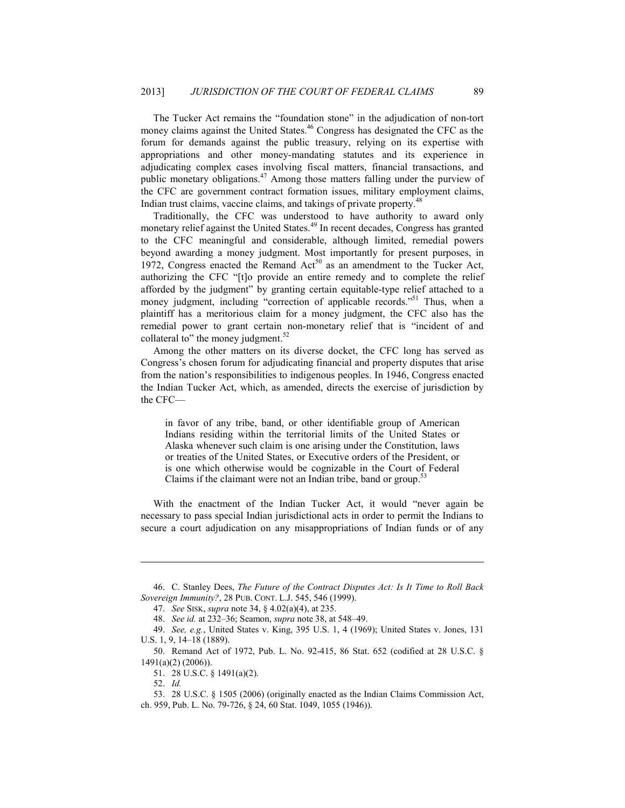The Tucker Act remains the "foundation stone" in the adjudication of non-tort money claims against the United States.<sup>46</sup> Congress has designated the CFC as the forum for demands against the public treasury, relying on its expertise with appropriations and other money-mandating statutes and its experience in adjudicating complex cases involving fiscal matters, financial transactions, and public monetary obligations.<sup>47</sup> Among those matters falling under the purview of the CFC are government contract formation issues, military employment claims, Indian trust claims, vaccine claims, and takings of private property.<sup>48</sup>

Traditionally, the CFC was understood to have authority to award only monetary relief against the United States.<sup>49</sup> In recent decades, Congress has granted to the CFC meaningful and considerable, although limited, remedial powers beyond awarding a money judgment. Most importantly for present purposes, in 1972, Congress enacted the Remand  $Act^{50}$  as an amendment to the Tucker Act, authorizing the CFC "[t]o provide an entire remedy and to complete the relief afforded by the judgment" by granting certain equitable-type relief attached to a money judgment, including "correction of applicable records."<sup>51</sup> Thus, when a plaintiff has a meritorious claim for a money judgment, the CFC also has the remedial power to grant certain non-monetary relief that is "incident of and collateral to" the money judgment.<sup>52</sup>

Among the other matters on its diverse docket, the CFC long has served as Congress's chosen forum for adjudicating financial and property disputes that arise from the nation's responsibilities to indigenous peoples. In 1946, Congress enacted the Indian Tucker Act, which, as amended, directs the exercise of jurisdiction by the CFC—

in favor of any tribe, band, or other identifiable group of American Indians residing within the territorial limits of the United States or Alaska whenever such claim is one arising under the Constitution, laws or treaties of the United States, or Executive orders of the President, or is one which otherwise would be cognizable in the Court of Federal Claims if the claimant were not an Indian tribe, band or group.<sup>32</sup>

With the enactment of the Indian Tucker Act, it would "never again be necessary to pass special Indian jurisdictional acts in order to permit the Indians to secure a court adjudication on any misappropriations of Indian funds or of any

 <sup>46.</sup> C. Stanley Dees, *The Future of the Contract Disputes Act: Is It Time to Roll Back Sovereign Immunity?*, 28 PUB. CONT. L.J. 545, 546 (1999).

 <sup>47.</sup> *See* SISK, *supra* note 34, § 4.02(a)(4), at 235.

 <sup>48.</sup> *See id.* at 232–36; Seamon, *supra* note 38, at 548–49.

 <sup>49.</sup> *See, e.g.*, United States v. King, 395 U.S. 1, 4 (1969); United States v. Jones, 131 U.S. 1, 9, 14–18 (1889).

 <sup>50.</sup> Remand Act of 1972, Pub. L. No. 92-415, 86 Stat. 652 (codified at 28 U.S.C. § 1491(a)(2) (2006)).

 <sup>51. 28</sup> U.S.C. § 1491(a)(2).

 <sup>52.</sup> *Id.*

 <sup>53. 28</sup> U.S.C. § 1505 (2006) (originally enacted as the Indian Claims Commission Act, ch. 959, Pub. L. No. 79-726, § 24, 60 Stat. 1049, 1055 (1946)).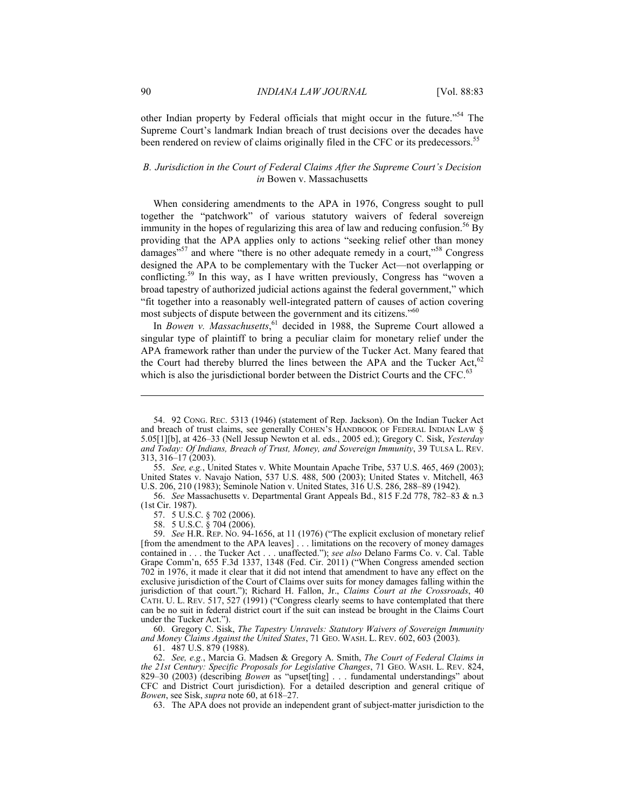other Indian property by Federal officials that might occur in the future."54 The Supreme Court's landmark Indian breach of trust decisions over the decades have been rendered on review of claims originally filed in the CFC or its predecessors.<sup>55</sup>

## *B. Jurisdiction in the Court of Federal Claims After the Supreme Court's Decision in* Bowen v. Massachusetts

When considering amendments to the APA in 1976, Congress sought to pull together the "patchwork" of various statutory waivers of federal sovereign immunity in the hopes of regularizing this area of law and reducing confusion.<sup>56</sup> By providing that the APA applies only to actions "seeking relief other than money damages"<sup>57</sup> and where "there is no other adequate remedy in a court,"<sup>58</sup> Congress designed the APA to be complementary with the Tucker Act—not overlapping or conflicting.59 In this way, as I have written previously, Congress has "woven a broad tapestry of authorized judicial actions against the federal government," which "fit together into a reasonably well-integrated pattern of causes of action covering most subjects of dispute between the government and its citizens."<sup>60</sup>

In *Bowen v. Massachusetts*, 61 decided in 1988, the Supreme Court allowed a singular type of plaintiff to bring a peculiar claim for monetary relief under the APA framework rather than under the purview of the Tucker Act. Many feared that the Court had thereby blurred the lines between the APA and the Tucker Act,  $62$ which is also the jurisdictional border between the District Courts and the CFC.<sup>63</sup>

57. 5 U.S.C. § 702 (2006).

58. 5 U.S.C. § 704 (2006).

 59. *See* H.R. REP. NO. 94-1656, at 11 (1976) ("The explicit exclusion of monetary relief [from the amendment to the APA leaves] . . . limitations on the recovery of money damages contained in . . . the Tucker Act . . . unaffected."); *see also* Delano Farms Co. v. Cal. Table Grape Comm'n, 655 F.3d 1337, 1348 (Fed. Cir. 2011) ("When Congress amended section 702 in 1976, it made it clear that it did not intend that amendment to have any effect on the exclusive jurisdiction of the Court of Claims over suits for money damages falling within the jurisdiction of that court."); Richard H. Fallon, Jr., *Claims Court at the Crossroads*, 40 CATH. U. L. REV. 517, 527 (1991) ("Congress clearly seems to have contemplated that there can be no suit in federal district court if the suit can instead be brought in the Claims Court under the Tucker Act.").

 60. Gregory C. Sisk, *The Tapestry Unravels: Statutory Waivers of Sovereign Immunity and Money Claims Against the United States*, 71 GEO. WASH. L. REV. 602, 603 (2003).

61. 487 U.S. 879 (1988).

 62. *See, e.g.*, Marcia G. Madsen & Gregory A. Smith, *The Court of Federal Claims in the 21st Century: Specific Proposals for Legislative Changes*, 71 GEO. WASH. L. REV. 824, 829–30 (2003) (describing *Bowen* as "upset[ting] . . . fundamental understandings" about CFC and District Court jurisdiction). For a detailed description and general critique of *Bowen*, see Sisk, *supra* note 60, at 618–27.

63. The APA does not provide an independent grant of subject-matter jurisdiction to the

 <sup>54. 92</sup> CONG. REC. 5313 (1946) (statement of Rep. Jackson). On the Indian Tucker Act and breach of trust claims, see generally COHEN'S HANDBOOK OF FEDERAL INDIAN LAW § 5.05[1][b], at 426–33 (Nell Jessup Newton et al. eds., 2005 ed.); Gregory C. Sisk, *Yesterday and Today: Of Indians, Breach of Trust, Money, and Sovereign Immunity*, 39 TULSA L. REV. 313, 316–17 (2003).

 <sup>55.</sup> *See, e.g.*, United States v. White Mountain Apache Tribe, 537 U.S. 465, 469 (2003); United States v. Navajo Nation, 537 U.S. 488, 500 (2003); United States v. Mitchell, 463 U.S. 206, 210 (1983); Seminole Nation v. United States, 316 U.S. 286, 288–89 (1942).

 <sup>56.</sup> *See* Massachusetts v. Departmental Grant Appeals Bd., 815 F.2d 778, 782–83 & n.3 (1st Cir. 1987).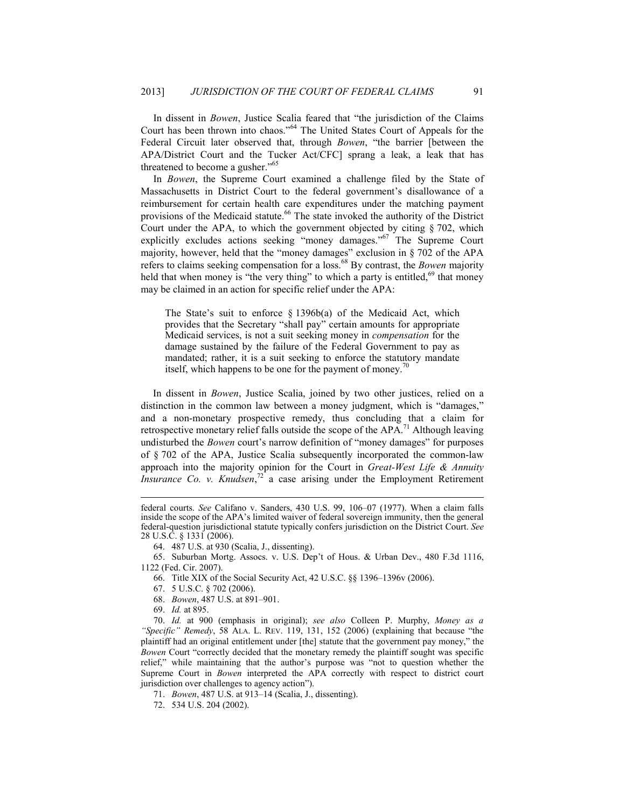In dissent in *Bowen*, Justice Scalia feared that "the jurisdiction of the Claims Court has been thrown into chaos."64 The United States Court of Appeals for the Federal Circuit later observed that, through *Bowen*, "the barrier [between the APA/District Court and the Tucker Act/CFC] sprang a leak, a leak that has threatened to become a gusher."<sup>65</sup>

In *Bowen*, the Supreme Court examined a challenge filed by the State of Massachusetts in District Court to the federal government's disallowance of a reimbursement for certain health care expenditures under the matching payment provisions of the Medicaid statute.<sup>66</sup> The state invoked the authority of the District Court under the APA, to which the government objected by citing § 702, which explicitly excludes actions seeking "money damages."<sup>67</sup> The Supreme Court majority, however, held that the "money damages" exclusion in § 702 of the APA refers to claims seeking compensation for a loss.68 By contrast, the *Bowen* majority held that when money is "the very thing" to which a party is entitled,<sup>69</sup> that money may be claimed in an action for specific relief under the APA:

The State's suit to enforce § 1396b(a) of the Medicaid Act, which provides that the Secretary "shall pay" certain amounts for appropriate Medicaid services, is not a suit seeking money in *compensation* for the damage sustained by the failure of the Federal Government to pay as mandated; rather, it is a suit seeking to enforce the statutory mandate itself, which happens to be one for the payment of money.<sup>70</sup>

 In dissent in *Bowen*, Justice Scalia, joined by two other justices, relied on a distinction in the common law between a money judgment, which is "damages," and a non-monetary prospective remedy, thus concluding that a claim for retrospective monetary relief falls outside the scope of the  $APA$ .<sup>71</sup> Although leaving undisturbed the *Bowen* court's narrow definition of "money damages" for purposes of § 702 of the APA, Justice Scalia subsequently incorporated the common-law approach into the majority opinion for the Court in *Great-West Life & Annuity Insurance Co. v. Knudsen*, 72 a case arising under the Employment Retirement

66. Title XIX of the Social Security Act, 42 U.S.C. §§ 1396–1396v (2006).

68. *Bowen*, 487 U.S. at 891–901.

1

 70. *Id.* at 900 (emphasis in original); *see also* Colleen P. Murphy, *Money as a "Specific" Remedy*, 58 ALA. L. REV. 119, 131, 152 (2006) (explaining that because "the plaintiff had an original entitlement under [the] statute that the government pay money," the *Bowen* Court "correctly decided that the monetary remedy the plaintiff sought was specific relief," while maintaining that the author's purpose was "not to question whether the Supreme Court in *Bowen* interpreted the APA correctly with respect to district court jurisdiction over challenges to agency action").

71. *Bowen*, 487 U.S. at 913–14 (Scalia, J., dissenting).

72. 534 U.S. 204 (2002).

federal courts. *See* Califano v. Sanders, 430 U.S. 99, 106–07 (1977). When a claim falls inside the scope of the APA's limited waiver of federal sovereign immunity, then the general federal-question jurisdictional statute typically confers jurisdiction on the District Court. *See*  28 U.S.C. § 1331 (2006).

 <sup>64. 487</sup> U.S. at 930 (Scalia, J., dissenting).

 <sup>65.</sup> Suburban Mortg. Assocs. v. U.S. Dep't of Hous. & Urban Dev., 480 F.3d 1116, 1122 (Fed. Cir. 2007).

 <sup>67. 5</sup> U.S.C. § 702 (2006).

 <sup>69.</sup> *Id.* at 895.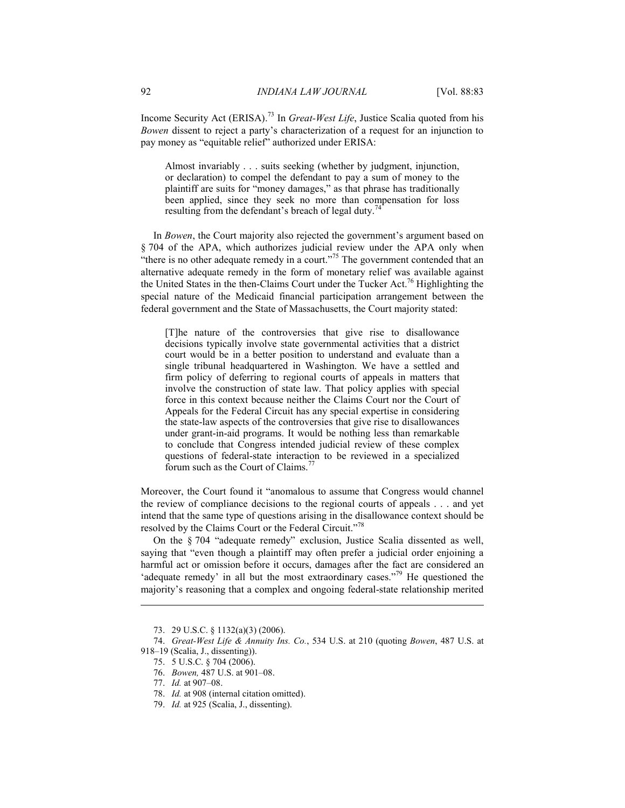Income Security Act (ERISA).73 In *Great-West Life*, Justice Scalia quoted from his *Bowen* dissent to reject a party's characterization of a request for an injunction to pay money as "equitable relief" authorized under ERISA:

Almost invariably . . . suits seeking (whether by judgment, injunction, or declaration) to compel the defendant to pay a sum of money to the plaintiff are suits for "money damages," as that phrase has traditionally been applied, since they seek no more than compensation for loss resulting from the defendant's breach of legal duty.<sup>74</sup>

In *Bowen*, the Court majority also rejected the government's argument based on § 704 of the APA, which authorizes judicial review under the APA only when "there is no other adequate remedy in a court."<sup>75</sup> The government contended that an alternative adequate remedy in the form of monetary relief was available against the United States in the then-Claims Court under the Tucker Act.76 Highlighting the special nature of the Medicaid financial participation arrangement between the federal government and the State of Massachusetts, the Court majority stated:

[T]he nature of the controversies that give rise to disallowance decisions typically involve state governmental activities that a district court would be in a better position to understand and evaluate than a single tribunal headquartered in Washington. We have a settled and firm policy of deferring to regional courts of appeals in matters that involve the construction of state law. That policy applies with special force in this context because neither the Claims Court nor the Court of Appeals for the Federal Circuit has any special expertise in considering the state-law aspects of the controversies that give rise to disallowances under grant-in-aid programs. It would be nothing less than remarkable to conclude that Congress intended judicial review of these complex questions of federal-state interaction to be reviewed in a specialized forum such as the Court of Claims.<sup>77</sup>

Moreover, the Court found it "anomalous to assume that Congress would channel the review of compliance decisions to the regional courts of appeals . . . and yet intend that the same type of questions arising in the disallowance context should be resolved by the Claims Court or the Federal Circuit."<sup>78</sup>

On the § 704 "adequate remedy" exclusion, Justice Scalia dissented as well, saying that "even though a plaintiff may often prefer a judicial order enjoining a harmful act or omission before it occurs, damages after the fact are considered an 'adequate remedy' in all but the most extraordinary cases."<sup>79</sup> He questioned the majority's reasoning that a complex and ongoing federal-state relationship merited

- 75. 5 U.S.C. § 704 (2006).
- 76. *Bowen,* 487 U.S. at 901–08.

<u>.</u>

 <sup>73. 29</sup> U.S.C. § 1132(a)(3) (2006).

 <sup>74.</sup> *Great-West Life & Annuity Ins. Co.*, 534 U.S. at 210 (quoting *Bowen*, 487 U.S. at 918–19 (Scalia, J., dissenting)).

 <sup>77.</sup> *Id.* at 907–08.

 <sup>78.</sup> *Id.* at 908 (internal citation omitted).

 <sup>79.</sup> *Id.* at 925 (Scalia, J., dissenting).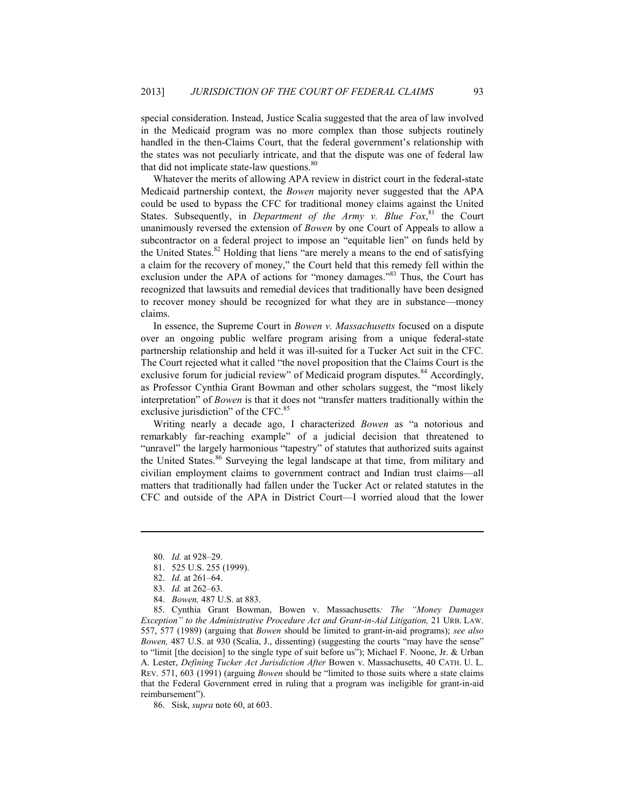special consideration. Instead, Justice Scalia suggested that the area of law involved in the Medicaid program was no more complex than those subjects routinely handled in the then-Claims Court, that the federal government's relationship with the states was not peculiarly intricate, and that the dispute was one of federal law that did not implicate state-law questions.<sup>80</sup>

Whatever the merits of allowing APA review in district court in the federal-state Medicaid partnership context, the *Bowen* majority never suggested that the APA could be used to bypass the CFC for traditional money claims against the United States. Subsequently, in *Department of the Army v. Blue Fox*<sup>81</sup>, the Court unanimously reversed the extension of *Bowen* by one Court of Appeals to allow a subcontractor on a federal project to impose an "equitable lien" on funds held by the United States.<sup>82</sup> Holding that liens "are merely a means to the end of satisfying a claim for the recovery of money," the Court held that this remedy fell within the exclusion under the APA of actions for "money damages."<sup>83</sup> Thus, the Court has recognized that lawsuits and remedial devices that traditionally have been designed to recover money should be recognized for what they are in substance—money claims.

In essence, the Supreme Court in *Bowen v. Massachusetts* focused on a dispute over an ongoing public welfare program arising from a unique federal-state partnership relationship and held it was ill-suited for a Tucker Act suit in the CFC. The Court rejected what it called "the novel proposition that the Claims Court is the exclusive forum for judicial review" of Medicaid program disputes.<sup>84</sup> Accordingly, as Professor Cynthia Grant Bowman and other scholars suggest, the "most likely interpretation" of *Bowen* is that it does not "transfer matters traditionally within the exclusive jurisdiction" of the CFC.<sup>85</sup>

Writing nearly a decade ago, I characterized *Bowen* as "a notorious and remarkably far-reaching example" of a judicial decision that threatened to "unravel" the largely harmonious "tapestry" of statutes that authorized suits against the United States.<sup>86</sup> Surveying the legal landscape at that time, from military and civilian employment claims to government contract and Indian trust claims—all matters that traditionally had fallen under the Tucker Act or related statutes in the CFC and outside of the APA in District Court—I worried aloud that the lower

1

86. Sisk, *supra* note 60, at 603.

<sup>80</sup>*. Id.* at 928–29.

 <sup>81. 525</sup> U.S. 255 (1999).

 <sup>82.</sup> *Id.* at 261–64.

 <sup>83.</sup> *Id.* at 262–63.

 <sup>84.</sup> *Bowen,* 487 U.S. at 883.

 <sup>85.</sup> Cynthia Grant Bowman, Bowen v. Massachusetts*: The "Money Damages Exception" to the Administrative Procedure Act and Grant-in-Aid Litigation,* 21 URB. LAW. 557, 577 (1989) (arguing that *Bowen* should be limited to grant-in-aid programs); *see also Bowen,* 487 U.S. at 930 (Scalia, J., dissenting) (suggesting the courts "may have the sense" to "limit [the decision] to the single type of suit before us"); Michael F. Noone, Jr. & Urban A. Lester, *Defining Tucker Act Jurisdiction After* Bowen v. Massachusetts, 40 CATH. U. L. REV. 571, 603 (1991) (arguing *Bowen* should be "limited to those suits where a state claims that the Federal Government erred in ruling that a program was ineligible for grant-in-aid reimbursement").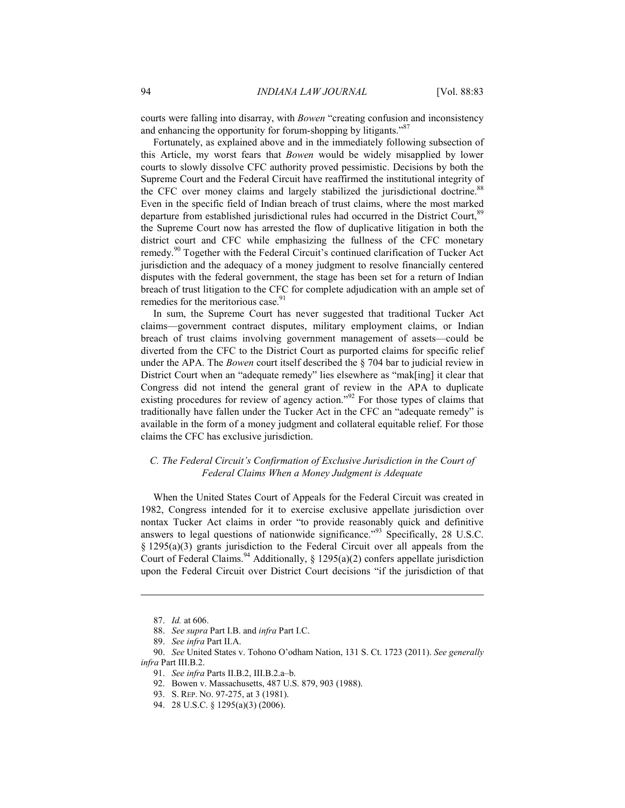courts were falling into disarray, with *Bowen* "creating confusion and inconsistency and enhancing the opportunity for forum-shopping by litigants."<sup>87</sup>

Fortunately, as explained above and in the immediately following subsection of this Article, my worst fears that *Bowen* would be widely misapplied by lower courts to slowly dissolve CFC authority proved pessimistic. Decisions by both the Supreme Court and the Federal Circuit have reaffirmed the institutional integrity of the CFC over money claims and largely stabilized the jurisdictional doctrine.<sup>88</sup> Even in the specific field of Indian breach of trust claims, where the most marked departure from established jurisdictional rules had occurred in the District Court,<sup>89</sup> the Supreme Court now has arrested the flow of duplicative litigation in both the district court and CFC while emphasizing the fullness of the CFC monetary remedy.<sup>90</sup> Together with the Federal Circuit's continued clarification of Tucker Act jurisdiction and the adequacy of a money judgment to resolve financially centered disputes with the federal government, the stage has been set for a return of Indian breach of trust litigation to the CFC for complete adjudication with an ample set of remedies for the meritorious case.<sup>91</sup>

In sum, the Supreme Court has never suggested that traditional Tucker Act claims—government contract disputes, military employment claims, or Indian breach of trust claims involving government management of assets—could be diverted from the CFC to the District Court as purported claims for specific relief under the APA. The *Bowen* court itself described the § 704 bar to judicial review in District Court when an "adequate remedy" lies elsewhere as "mak[ing] it clear that Congress did not intend the general grant of review in the APA to duplicate existing procedures for review of agency action."<sup>92</sup> For those types of claims that traditionally have fallen under the Tucker Act in the CFC an "adequate remedy" is available in the form of a money judgment and collateral equitable relief. For those claims the CFC has exclusive jurisdiction.

### *C. The Federal Circuit's Confirmation of Exclusive Jurisdiction in the Court of Federal Claims When a Money Judgment is Adequate*

When the United States Court of Appeals for the Federal Circuit was created in 1982, Congress intended for it to exercise exclusive appellate jurisdiction over nontax Tucker Act claims in order "to provide reasonably quick and definitive answers to legal questions of nationwide significance."93 Specifically, 28 U.S.C. § 1295(a)(3) grants jurisdiction to the Federal Circuit over all appeals from the Court of Federal Claims.<sup>94</sup> Additionally, § 1295(a)(2) confers appellate jurisdiction upon the Federal Circuit over District Court decisions "if the jurisdiction of that

<u>.</u>

 <sup>87.</sup> *Id.* at 606.

 <sup>88.</sup> *See supra* Part I.B. and *infra* Part I.C.

 <sup>89.</sup> *See infra* Part II.A.

 <sup>90.</sup> *See* United States v. Tohono O'odham Nation, 131 S. Ct. 1723 (2011). *See generally infra* Part III.B.2.

 <sup>91.</sup> *See infra* Parts II.B.2, III.B.2.a–b.

 <sup>92.</sup> Bowen v. Massachusetts, 487 U.S. 879, 903 (1988).

 <sup>93.</sup> S. REP. NO. 97-275, at 3 (1981).

 <sup>94. 28</sup> U.S.C. § 1295(a)(3) (2006).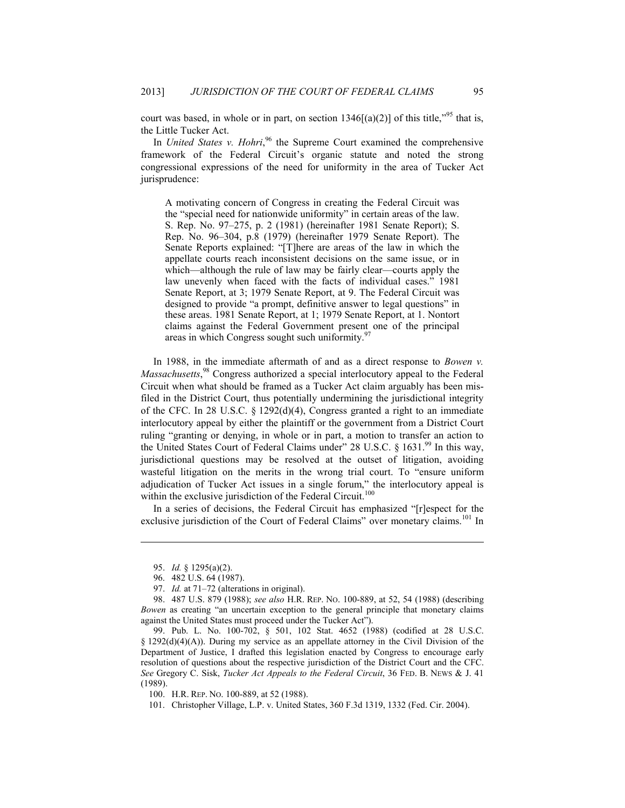court was based, in whole or in part, on section  $1346[(a)(2)]$  of this title,<sup> $.95$ </sup> that is, the Little Tucker Act.

In *United States v. Hohri*,<sup>96</sup> the Supreme Court examined the comprehensive framework of the Federal Circuit's organic statute and noted the strong congressional expressions of the need for uniformity in the area of Tucker Act jurisprudence:

A motivating concern of Congress in creating the Federal Circuit was the "special need for nationwide uniformity" in certain areas of the law. S. Rep. No. 97–275, p. 2 (1981) (hereinafter 1981 Senate Report); S. Rep. No. 96–304, p.8 (1979) (hereinafter 1979 Senate Report). The Senate Reports explained: "[T]here are areas of the law in which the appellate courts reach inconsistent decisions on the same issue, or in which—although the rule of law may be fairly clear—courts apply the law unevenly when faced with the facts of individual cases." 1981 Senate Report, at 3; 1979 Senate Report, at 9. The Federal Circuit was designed to provide "a prompt, definitive answer to legal questions" in these areas. 1981 Senate Report, at 1; 1979 Senate Report, at 1. Nontort claims against the Federal Government present one of the principal areas in which Congress sought such uniformity.<sup>9</sup>

In 1988, in the immediate aftermath of and as a direct response to *Bowen v. Massachusetts*, 98 Congress authorized a special interlocutory appeal to the Federal Circuit when what should be framed as a Tucker Act claim arguably has been misfiled in the District Court, thus potentially undermining the jurisdictional integrity of the CFC. In 28 U.S.C. § 1292(d)(4), Congress granted a right to an immediate interlocutory appeal by either the plaintiff or the government from a District Court ruling "granting or denying, in whole or in part, a motion to transfer an action to the United States Court of Federal Claims under" 28 U.S.C.  $\S$  1631.<sup>99</sup> In this way, jurisdictional questions may be resolved at the outset of litigation, avoiding wasteful litigation on the merits in the wrong trial court. To "ensure uniform adjudication of Tucker Act issues in a single forum," the interlocutory appeal is within the exclusive jurisdiction of the Federal Circuit.<sup>100</sup>

In a series of decisions, the Federal Circuit has emphasized "[r]espect for the exclusive jurisdiction of the Court of Federal Claims" over monetary claims.<sup>101</sup> In

 <sup>95.</sup> *Id.* § 1295(a)(2).

 <sup>96. 482</sup> U.S. 64 (1987).

 <sup>97.</sup> *Id.* at 71–72 (alterations in original).

 <sup>98. 487</sup> U.S. 879 (1988); *see also* H.R. REP. NO. 100-889, at 52, 54 (1988) (describing *Bowen* as creating "an uncertain exception to the general principle that monetary claims against the United States must proceed under the Tucker Act").

 <sup>99.</sup> Pub. L. No. 100-702, § 501, 102 Stat. 4652 (1988) (codified at 28 U.S.C. § 1292(d)(4)(A)). During my service as an appellate attorney in the Civil Division of the Department of Justice, I drafted this legislation enacted by Congress to encourage early resolution of questions about the respective jurisdiction of the District Court and the CFC. *See* Gregory C. Sisk, *Tucker Act Appeals to the Federal Circuit*, 36 FED. B. NEWS & J. 41 (1989).

 <sup>100.</sup> H.R. REP. NO. 100-889, at 52 (1988).

 <sup>101.</sup> Christopher Village, L.P. v. United States, 360 F.3d 1319, 1332 (Fed. Cir. 2004).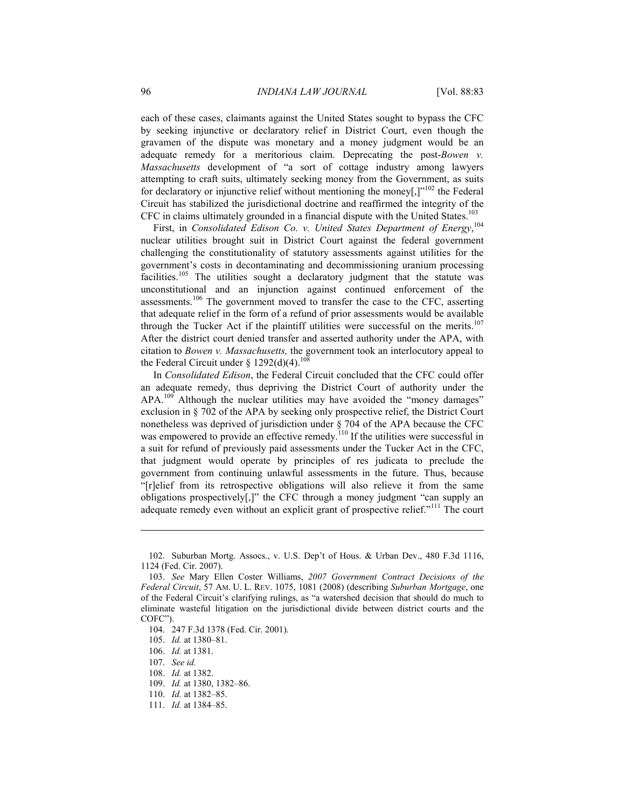each of these cases, claimants against the United States sought to bypass the CFC by seeking injunctive or declaratory relief in District Court, even though the gravamen of the dispute was monetary and a money judgment would be an adequate remedy for a meritorious claim. Deprecating the post-*Bowen v. Massachusetts* development of "a sort of cottage industry among lawyers attempting to craft suits, ultimately seeking money from the Government, as suits for declaratory or injunctive relief without mentioning the money[,] $v^{102}$  the Federal Circuit has stabilized the jurisdictional doctrine and reaffirmed the integrity of the CFC in claims ultimately grounded in a financial dispute with the United States.<sup>103</sup>

First, in *Consolidated Edison Co. v. United States Department of Energy*, 104 nuclear utilities brought suit in District Court against the federal government challenging the constitutionality of statutory assessments against utilities for the government's costs in decontaminating and decommissioning uranium processing facilities.<sup>105</sup> The utilities sought a declaratory judgment that the statute was unconstitutional and an injunction against continued enforcement of the assessments.<sup>106</sup> The government moved to transfer the case to the CFC, asserting that adequate relief in the form of a refund of prior assessments would be available through the Tucker Act if the plaintiff utilities were successful on the merits.<sup>107</sup> After the district court denied transfer and asserted authority under the APA, with citation to *Bowen v. Massachusetts,* the government took an interlocutory appeal to the Federal Circuit under § 1292(d)(4).<sup>108</sup>

In *Consolidated Edison*, the Federal Circuit concluded that the CFC could offer an adequate remedy, thus depriving the District Court of authority under the APA.<sup>109</sup> Although the nuclear utilities may have avoided the "money damages" exclusion in § 702 of the APA by seeking only prospective relief, the District Court nonetheless was deprived of jurisdiction under § 704 of the APA because the CFC was empowered to provide an effective remedy.<sup>110</sup> If the utilities were successful in a suit for refund of previously paid assessments under the Tucker Act in the CFC, that judgment would operate by principles of res judicata to preclude the government from continuing unlawful assessments in the future. Thus, because "[r]elief from its retrospective obligations will also relieve it from the same obligations prospectively[,]" the CFC through a money judgment "can supply an adequate remedy even without an explicit grant of prospective relief."<sup>111</sup> The court

 <sup>102.</sup> Suburban Mortg. Assocs., v. U.S. Dep't of Hous. & Urban Dev., 480 F.3d 1116, 1124 (Fed. Cir. 2007).

 <sup>103.</sup> *See* Mary Ellen Coster Williams, *2007 Government Contract Decisions of the Federal Circuit*, 57 AM. U. L. REV. 1075, 1081 (2008) (describing *Suburban Mortgage*, one of the Federal Circuit's clarifying rulings, as "a watershed decision that should do much to eliminate wasteful litigation on the jurisdictional divide between district courts and the COFC").

 <sup>104. 247</sup> F.3d 1378 (Fed. Cir. 2001).

 <sup>105.</sup> *Id.* at 1380–81.

 <sup>106.</sup> *Id.* at 1381.

 <sup>107.</sup> *See id.*

 <sup>108.</sup> *Id.* at 1382.

 <sup>109.</sup> *Id.* at 1380, 1382–86.

 <sup>110.</sup> *Id.* at 1382–85.

 <sup>111.</sup> *Id.* at 1384–85.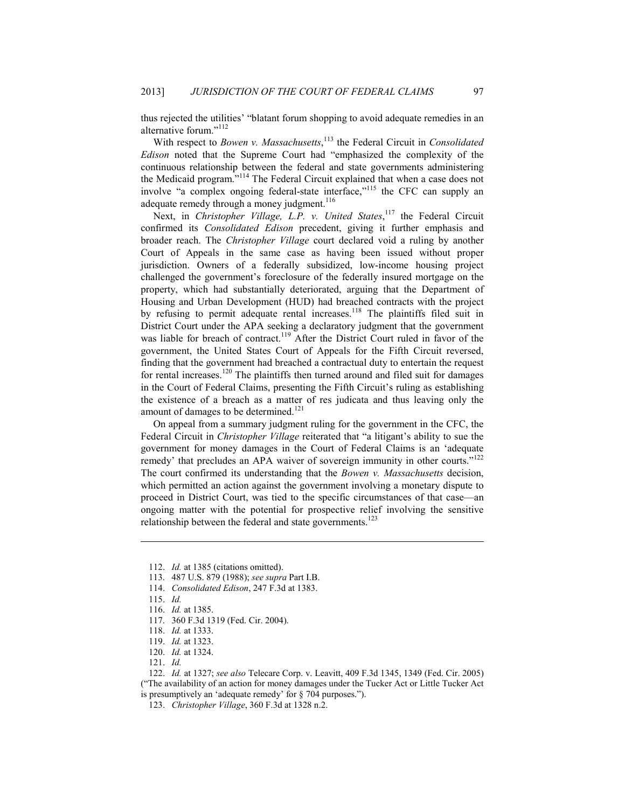thus rejected the utilities' "blatant forum shopping to avoid adequate remedies in an alternative forum."<sup>112</sup>

With respect to *Bowen v. Massachusetts*, 113 the Federal Circuit in *Consolidated Edison* noted that the Supreme Court had "emphasized the complexity of the continuous relationship between the federal and state governments administering the Medicaid program."114 The Federal Circuit explained that when a case does not involve "a complex ongoing federal-state interface,"<sup>115</sup> the CFC can supply an adequate remedy through a money judgment.<sup>116</sup>

Next, in *Christopher Village, L.P. v. United States*,<sup>117</sup> the Federal Circuit confirmed its *Consolidated Edison* precedent, giving it further emphasis and broader reach. The *Christopher Village* court declared void a ruling by another Court of Appeals in the same case as having been issued without proper jurisdiction. Owners of a federally subsidized, low-income housing project challenged the government's foreclosure of the federally insured mortgage on the property, which had substantially deteriorated, arguing that the Department of Housing and Urban Development (HUD) had breached contracts with the project by refusing to permit adequate rental increases.<sup>118</sup> The plaintiffs filed suit in District Court under the APA seeking a declaratory judgment that the government was liable for breach of contract.<sup>119</sup> After the District Court ruled in favor of the government, the United States Court of Appeals for the Fifth Circuit reversed, finding that the government had breached a contractual duty to entertain the request for rental increases.<sup>120</sup> The plaintiffs then turned around and filed suit for damages in the Court of Federal Claims, presenting the Fifth Circuit's ruling as establishing the existence of a breach as a matter of res judicata and thus leaving only the amount of damages to be determined.<sup>121</sup>

On appeal from a summary judgment ruling for the government in the CFC, the Federal Circuit in *Christopher Village* reiterated that "a litigant's ability to sue the government for money damages in the Court of Federal Claims is an 'adequate remedy' that precludes an APA waiver of sovereign immunity in other courts."<sup>122</sup> The court confirmed its understanding that the *Bowen v. Massachusetts* decision, which permitted an action against the government involving a monetary dispute to proceed in District Court, was tied to the specific circumstances of that case—an ongoing matter with the potential for prospective relief involving the sensitive relationship between the federal and state governments.<sup>123</sup>

1

120. *Id.* at 1324.

 <sup>112.</sup> *Id.* at 1385 (citations omitted).

 <sup>113. 487</sup> U.S. 879 (1988); *see supra* Part I.B.

 <sup>114.</sup> *Consolidated Edison*, 247 F.3d at 1383.

 <sup>115.</sup> *Id.*

 <sup>116.</sup> *Id.* at 1385.

 <sup>117. 360</sup> F.3d 1319 (Fed. Cir. 2004).

 <sup>118.</sup> *Id.* at 1333.

 <sup>119.</sup> *Id.* at 1323.

 <sup>121.</sup> *Id.*

 <sup>122.</sup> *Id.* at 1327; *see also* Telecare Corp. v. Leavitt, 409 F.3d 1345, 1349 (Fed. Cir. 2005) ("The availability of an action for money damages under the Tucker Act or Little Tucker Act is presumptively an 'adequate remedy' for § 704 purposes.").

 <sup>123.</sup> *Christopher Village*, 360 F.3d at 1328 n.2.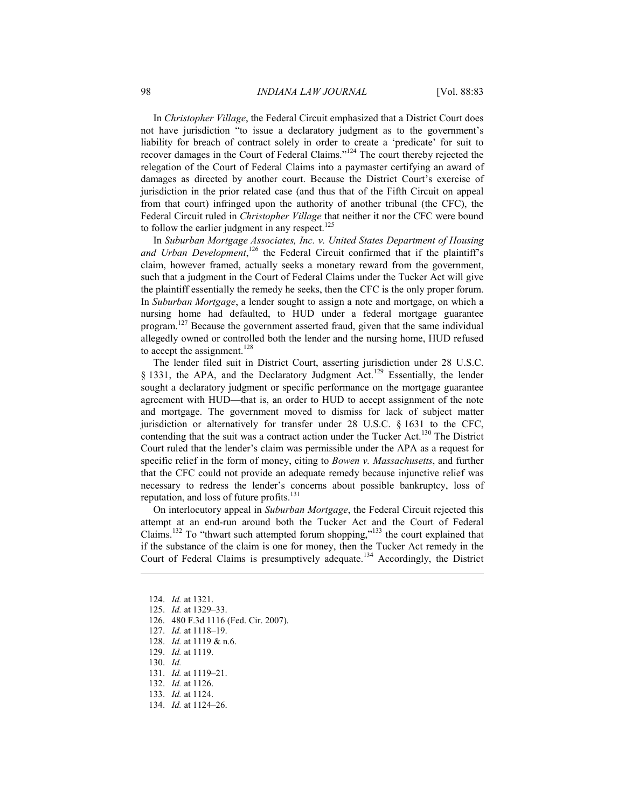In *Christopher Village*, the Federal Circuit emphasized that a District Court does not have jurisdiction "to issue a declaratory judgment as to the government's liability for breach of contract solely in order to create a 'predicate' for suit to recover damages in the Court of Federal Claims."124 The court thereby rejected the relegation of the Court of Federal Claims into a paymaster certifying an award of damages as directed by another court. Because the District Court's exercise of jurisdiction in the prior related case (and thus that of the Fifth Circuit on appeal from that court) infringed upon the authority of another tribunal (the CFC), the Federal Circuit ruled in *Christopher Village* that neither it nor the CFC were bound to follow the earlier judgment in any respect.<sup>125</sup>

In *Suburban Mortgage Associates, Inc. v. United States Department of Housing*  and Urban Development,<sup>126</sup> the Federal Circuit confirmed that if the plaintiff's claim, however framed, actually seeks a monetary reward from the government, such that a judgment in the Court of Federal Claims under the Tucker Act will give the plaintiff essentially the remedy he seeks, then the CFC is the only proper forum. In *Suburban Mortgage*, a lender sought to assign a note and mortgage, on which a nursing home had defaulted, to HUD under a federal mortgage guarantee program.<sup>127</sup> Because the government asserted fraud, given that the same individual allegedly owned or controlled both the lender and the nursing home, HUD refused to accept the assignment.<sup>128</sup>

The lender filed suit in District Court, asserting jurisdiction under 28 U.S.C.  $\S$  1331, the APA, and the Declaratory Judgment Act.<sup>129</sup> Essentially, the lender sought a declaratory judgment or specific performance on the mortgage guarantee agreement with HUD—that is, an order to HUD to accept assignment of the note and mortgage. The government moved to dismiss for lack of subject matter jurisdiction or alternatively for transfer under 28 U.S.C. § 1631 to the CFC, contending that the suit was a contract action under the Tucker Act.<sup>130</sup> The District Court ruled that the lender's claim was permissible under the APA as a request for specific relief in the form of money, citing to *Bowen v. Massachusetts*, and further that the CFC could not provide an adequate remedy because injunctive relief was necessary to redress the lender's concerns about possible bankruptcy, loss of reputation, and loss of future profits.<sup>131</sup>

On interlocutory appeal in *Suburban Mortgage*, the Federal Circuit rejected this attempt at an end-run around both the Tucker Act and the Court of Federal Claims.<sup>132</sup> To "thwart such attempted forum shopping,"<sup>133</sup> the court explained that if the substance of the claim is one for money, then the Tucker Act remedy in the Court of Federal Claims is presumptively adequate.<sup>134</sup> Accordingly, the District

- 125. *Id.* at 1329–33.
- 126. 480 F.3d 1116 (Fed. Cir. 2007).
- 127. *Id.* at 1118–19.

128. *Id.* at 1119 & n.6.

- 129. *Id.* at 1119.
- 130. *Id.*

- 131. *Id.* at 1119–21.
- 132. *Id.* at 1126.
- 133. *Id.* at 1124.
- 134. *Id.* at 1124–26.

 <sup>124.</sup> *Id.* at 1321.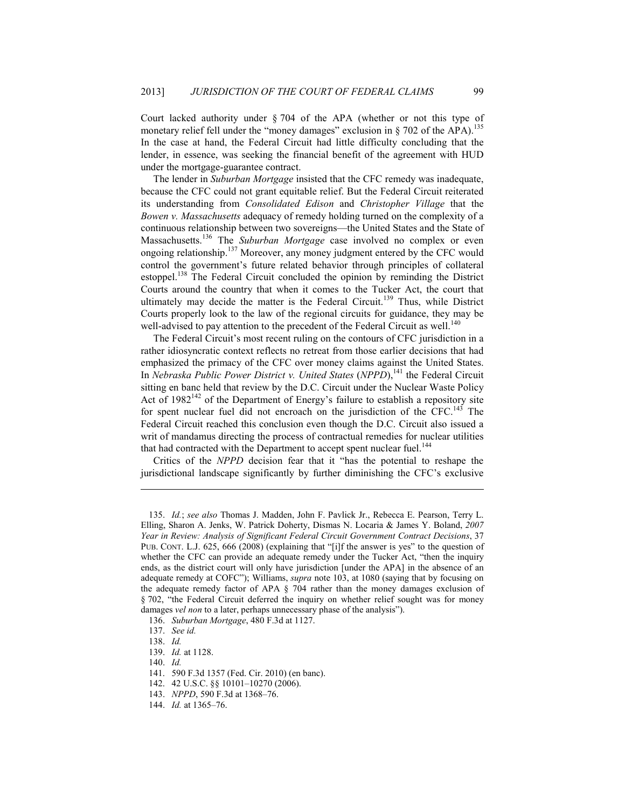Court lacked authority under § 704 of the APA (whether or not this type of monetary relief fell under the "money damages" exclusion in  $\S$  702 of the APA).<sup>135</sup> In the case at hand, the Federal Circuit had little difficulty concluding that the lender, in essence, was seeking the financial benefit of the agreement with HUD under the mortgage-guarantee contract.

The lender in *Suburban Mortgage* insisted that the CFC remedy was inadequate, because the CFC could not grant equitable relief. But the Federal Circuit reiterated its understanding from *Consolidated Edison* and *Christopher Village* that the *Bowen v. Massachusetts* adequacy of remedy holding turned on the complexity of a continuous relationship between two sovereigns—the United States and the State of Massachusetts.136 The *Suburban Mortgage* case involved no complex or even ongoing relationship.137 Moreover, any money judgment entered by the CFC would control the government's future related behavior through principles of collateral estoppel.<sup>138</sup> The Federal Circuit concluded the opinion by reminding the District Courts around the country that when it comes to the Tucker Act, the court that ultimately may decide the matter is the Federal Circuit.<sup>139</sup> Thus, while District Courts properly look to the law of the regional circuits for guidance, they may be well-advised to pay attention to the precedent of the Federal Circuit as well.<sup>140</sup>

The Federal Circuit's most recent ruling on the contours of CFC jurisdiction in a rather idiosyncratic context reflects no retreat from those earlier decisions that had emphasized the primacy of the CFC over money claims against the United States. In *Nebraska Public Power District v. United States (NPPD)*,<sup>141</sup> the Federal Circuit sitting en banc held that review by the D.C. Circuit under the Nuclear Waste Policy Act of  $1982^{142}$  of the Department of Energy's failure to establish a repository site for spent nuclear fuel did not encroach on the jurisdiction of the CFC.<sup>143</sup> The Federal Circuit reached this conclusion even though the D.C. Circuit also issued a writ of mandamus directing the process of contractual remedies for nuclear utilities that had contracted with the Department to accept spent nuclear fuel.<sup>144</sup>

Critics of the *NPPD* decision fear that it "has the potential to reshape the jurisdictional landscape significantly by further diminishing the CFC's exclusive

<u>.</u>

 <sup>135.</sup> *Id.*; *see also* Thomas J. Madden, John F. Pavlick Jr., Rebecca E. Pearson, Terry L. Elling, Sharon A. Jenks, W. Patrick Doherty, Dismas N. Locaria & James Y. Boland, *2007 Year in Review: Analysis of Significant Federal Circuit Government Contract Decisions*, 37 PUB. CONT. L.J. 625, 666 (2008) (explaining that "[i]f the answer is yes" to the question of whether the CFC can provide an adequate remedy under the Tucker Act, "then the inquiry ends, as the district court will only have jurisdiction [under the APA] in the absence of an adequate remedy at COFC"); Williams, *supra* note 103, at 1080 (saying that by focusing on the adequate remedy factor of APA § 704 rather than the money damages exclusion of § 702, "the Federal Circuit deferred the inquiry on whether relief sought was for money damages *vel non* to a later, perhaps unnecessary phase of the analysis").

 <sup>136.</sup> *Suburban Mortgage*, 480 F.3d at 1127.

 <sup>137.</sup> *See id.*

 <sup>138.</sup> *Id.*

 <sup>139.</sup> *Id.* at 1128.

 <sup>140.</sup> *Id.*

 <sup>141. 590</sup> F.3d 1357 (Fed. Cir. 2010) (en banc).

 <sup>142. 42</sup> U.S.C. §§ 10101–10270 (2006).

 <sup>143.</sup> *NPPD*, 590 F.3d at 1368–76.

 <sup>144.</sup> *Id.* at 1365–76.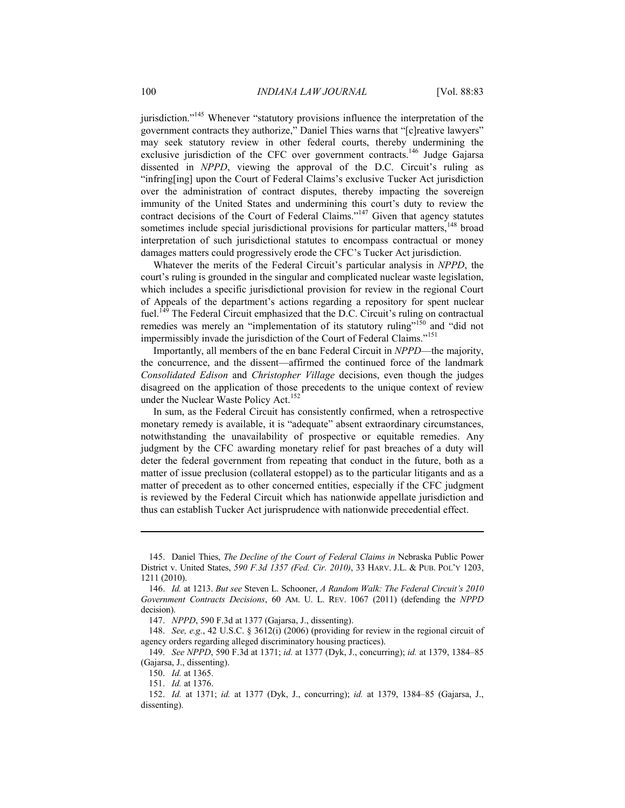jurisdiction."<sup>145</sup> Whenever "statutory provisions influence the interpretation of the government contracts they authorize," Daniel Thies warns that "[c]reative lawyers" may seek statutory review in other federal courts, thereby undermining the exclusive jurisdiction of the CFC over government contracts.<sup>146</sup> Judge Gajarsa dissented in *NPPD*, viewing the approval of the D.C. Circuit's ruling as "infring[ing] upon the Court of Federal Claims's exclusive Tucker Act jurisdiction over the administration of contract disputes, thereby impacting the sovereign immunity of the United States and undermining this court's duty to review the contract decisions of the Court of Federal Claims."<sup>147</sup> Given that agency statutes sometimes include special jurisdictional provisions for particular matters, $148$  broad interpretation of such jurisdictional statutes to encompass contractual or money damages matters could progressively erode the CFC's Tucker Act jurisdiction.

Whatever the merits of the Federal Circuit's particular analysis in *NPPD*, the court's ruling is grounded in the singular and complicated nuclear waste legislation, which includes a specific jurisdictional provision for review in the regional Court of Appeals of the department's actions regarding a repository for spent nuclear fuel.<sup>149</sup> The Federal Circuit emphasized that the D.C. Circuit's ruling on contractual remedies was merely an "implementation of its statutory ruling"<sup>150</sup> and "did not impermissibly invade the jurisdiction of the Court of Federal Claims."<sup>151</sup>

Importantly, all members of the en banc Federal Circuit in *NPPD*—the majority, the concurrence, and the dissent—affirmed the continued force of the landmark *Consolidated Edison* and *Christopher Village* decisions, even though the judges disagreed on the application of those precedents to the unique context of review under the Nuclear Waste Policy Act.<sup>152</sup>

In sum, as the Federal Circuit has consistently confirmed, when a retrospective monetary remedy is available, it is "adequate" absent extraordinary circumstances, notwithstanding the unavailability of prospective or equitable remedies. Any judgment by the CFC awarding monetary relief for past breaches of a duty will deter the federal government from repeating that conduct in the future, both as a matter of issue preclusion (collateral estoppel) as to the particular litigants and as a matter of precedent as to other concerned entities, especially if the CFC judgment is reviewed by the Federal Circuit which has nationwide appellate jurisdiction and thus can establish Tucker Act jurisprudence with nationwide precedential effect.

 <sup>145.</sup> Daniel Thies, *The Decline of the Court of Federal Claims in* Nebraska Public Power District v. United States, *590 F.3d 1357 (Fed. Cir. 2010)*, 33 HARV. J.L. & PUB. POL'Y 1203, 1211 (2010).

 <sup>146.</sup> *Id.* at 1213. *But see* Steven L. Schooner, *A Random Walk: The Federal Circuit's 2010 Government Contracts Decisions*, 60 AM. U. L. REV. 1067 (2011) (defending the *NPPD* decision).

 <sup>147.</sup> *NPPD*, 590 F.3d at 1377 (Gajarsa, J., dissenting).

 <sup>148.</sup> *See, e.g.*, 42 U.S.C. § 3612(i) (2006) (providing for review in the regional circuit of agency orders regarding alleged discriminatory housing practices).

 <sup>149.</sup> *See NPPD*, 590 F.3d at 1371; *id.* at 1377 (Dyk, J., concurring); *id.* at 1379, 1384–85 (Gajarsa, J., dissenting).

 <sup>150.</sup> *Id.* at 1365.

 <sup>151.</sup> *Id.* at 1376.

 <sup>152.</sup> *Id.* at 1371; *id.* at 1377 (Dyk, J., concurring); *id.* at 1379, 1384–85 (Gajarsa, J., dissenting).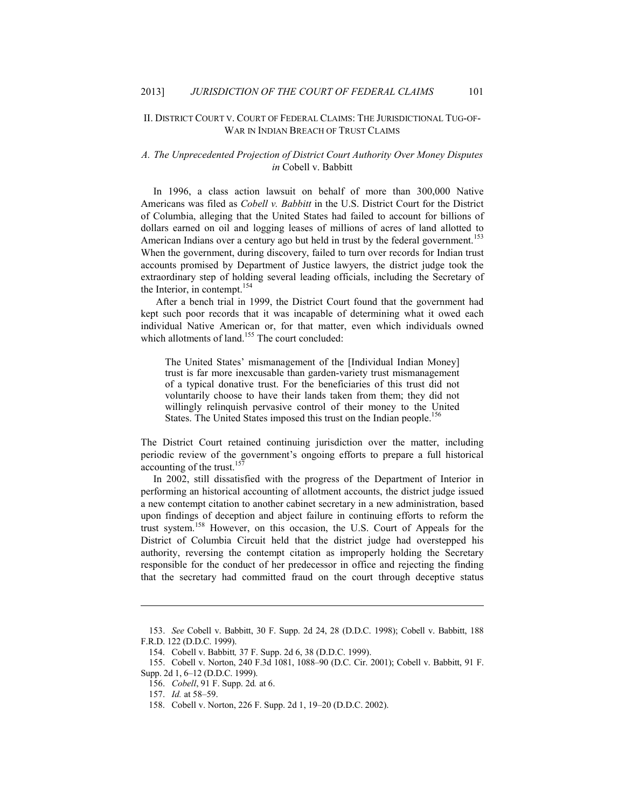#### II. DISTRICT COURT V. COURT OF FEDERAL CLAIMS: THE JURISDICTIONAL TUG-OF-WAR IN INDIAN BREACH OF TRUST CLAIMS

#### *A. The Unprecedented Projection of District Court Authority Over Money Disputes in* Cobell v. Babbitt

In 1996, a class action lawsuit on behalf of more than 300,000 Native Americans was filed as *Cobell v. Babbitt* in the U.S. District Court for the District of Columbia, alleging that the United States had failed to account for billions of dollars earned on oil and logging leases of millions of acres of land allotted to American Indians over a century ago but held in trust by the federal government.<sup>153</sup> When the government, during discovery, failed to turn over records for Indian trust accounts promised by Department of Justice lawyers, the district judge took the extraordinary step of holding several leading officials, including the Secretary of the Interior, in contempt.<sup>154</sup>

 After a bench trial in 1999, the District Court found that the government had kept such poor records that it was incapable of determining what it owed each individual Native American or, for that matter, even which individuals owned which allotments of land.<sup>155</sup> The court concluded:

The United States' mismanagement of the [Individual Indian Money] trust is far more inexcusable than garden-variety trust mismanagement of a typical donative trust. For the beneficiaries of this trust did not voluntarily choose to have their lands taken from them; they did not willingly relinquish pervasive control of their money to the United States. The United States imposed this trust on the Indian people.<sup>156</sup>

The District Court retained continuing jurisdiction over the matter, including periodic review of the government's ongoing efforts to prepare a full historical accounting of the trust.<sup>157</sup>

In 2002, still dissatisfied with the progress of the Department of Interior in performing an historical accounting of allotment accounts, the district judge issued a new contempt citation to another cabinet secretary in a new administration, based upon findings of deception and abject failure in continuing efforts to reform the trust system.158 However, on this occasion, the U.S. Court of Appeals for the District of Columbia Circuit held that the district judge had overstepped his authority, reversing the contempt citation as improperly holding the Secretary responsible for the conduct of her predecessor in office and rejecting the finding that the secretary had committed fraud on the court through deceptive status

 <sup>153.</sup> *See* Cobell v. Babbitt, 30 F. Supp. 2d 24, 28 (D.D.C. 1998); Cobell v. Babbitt, 188 F.R.D. 122 (D.D.C. 1999).

 <sup>154.</sup> Cobell v. Babbitt*,* 37 F. Supp. 2d 6, 38 (D.D.C. 1999).

 <sup>155.</sup> Cobell v. Norton, 240 F.3d 1081, 1088–90 (D.C. Cir. 2001); Cobell v. Babbitt, 91 F. Supp. 2d 1, 6–12 (D.D.C. 1999).

 <sup>156.</sup> *Cobell*, 91 F. Supp. 2d*.* at 6.

 <sup>157.</sup> *Id.* at 58–59.

 <sup>158.</sup> Cobell v. Norton, 226 F. Supp. 2d 1, 19–20 (D.D.C. 2002).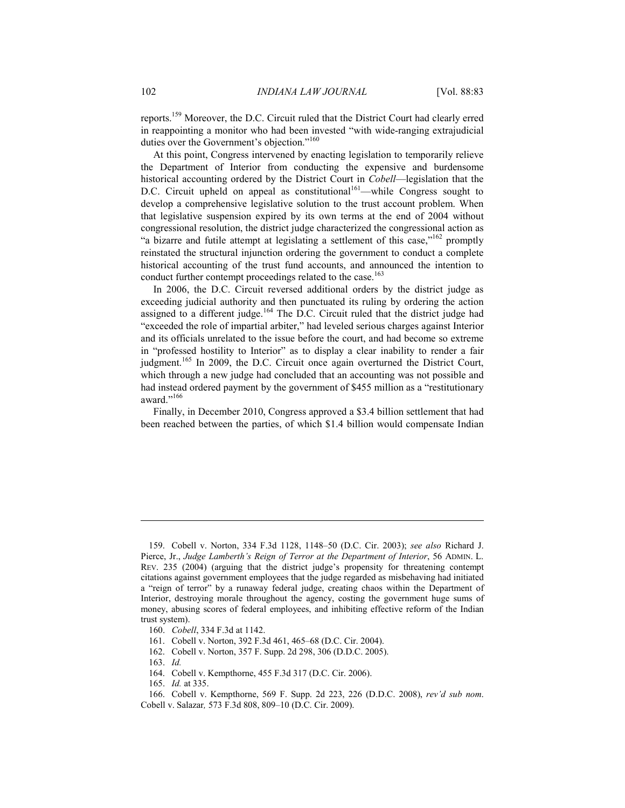reports.159 Moreover, the D.C. Circuit ruled that the District Court had clearly erred in reappointing a monitor who had been invested "with wide-ranging extrajudicial duties over the Government's objection."<sup>160</sup>

At this point, Congress intervened by enacting legislation to temporarily relieve the Department of Interior from conducting the expensive and burdensome historical accounting ordered by the District Court in *Cobell*—legislation that the D.C. Circuit upheld on appeal as constitutional<sup>161</sup>—while Congress sought to develop a comprehensive legislative solution to the trust account problem. When that legislative suspension expired by its own terms at the end of 2004 without congressional resolution, the district judge characterized the congressional action as "a bizarre and futile attempt at legislating a settlement of this case," $162$  promptly reinstated the structural injunction ordering the government to conduct a complete historical accounting of the trust fund accounts, and announced the intention to conduct further contempt proceedings related to the case.<sup>163</sup>

In 2006, the D.C. Circuit reversed additional orders by the district judge as exceeding judicial authority and then punctuated its ruling by ordering the action assigned to a different judge.<sup>164</sup> The D.C. Circuit ruled that the district judge had "exceeded the role of impartial arbiter," had leveled serious charges against Interior and its officials unrelated to the issue before the court, and had become so extreme in "professed hostility to Interior" as to display a clear inability to render a fair judgment.<sup>165</sup> In 2009, the D.C. Circuit once again overturned the District Court, which through a new judge had concluded that an accounting was not possible and had instead ordered payment by the government of \$455 million as a "restitutionary award."<sup>166</sup>

Finally, in December 2010, Congress approved a \$3.4 billion settlement that had been reached between the parties, of which \$1.4 billion would compensate Indian

1

164. Cobell v. Kempthorne, 455 F.3d 317 (D.C. Cir. 2006).

 <sup>159.</sup> Cobell v. Norton, 334 F.3d 1128, 1148–50 (D.C. Cir. 2003); *see also* Richard J. Pierce, Jr., *Judge Lamberth's Reign of Terror at the Department of Interior*, 56 ADMIN. L. REV. 235 (2004) (arguing that the district judge's propensity for threatening contempt citations against government employees that the judge regarded as misbehaving had initiated a "reign of terror" by a runaway federal judge, creating chaos within the Department of Interior, destroying morale throughout the agency, costing the government huge sums of money, abusing scores of federal employees, and inhibiting effective reform of the Indian trust system).

 <sup>160.</sup> *Cobell*, 334 F.3d at 1142.

 <sup>161.</sup> Cobell v. Norton, 392 F.3d 461, 465–68 (D.C. Cir. 2004).

 <sup>162.</sup> Cobell v. Norton, 357 F. Supp. 2d 298, 306 (D.D.C. 2005).

 <sup>163.</sup> *Id.*

 <sup>165.</sup> *Id.* at 335.

 <sup>166.</sup> Cobell v. Kempthorne, 569 F. Supp. 2d 223, 226 (D.D.C. 2008), *rev'd sub nom*. Cobell v. Salazar*,* 573 F.3d 808, 809–10 (D.C. Cir. 2009).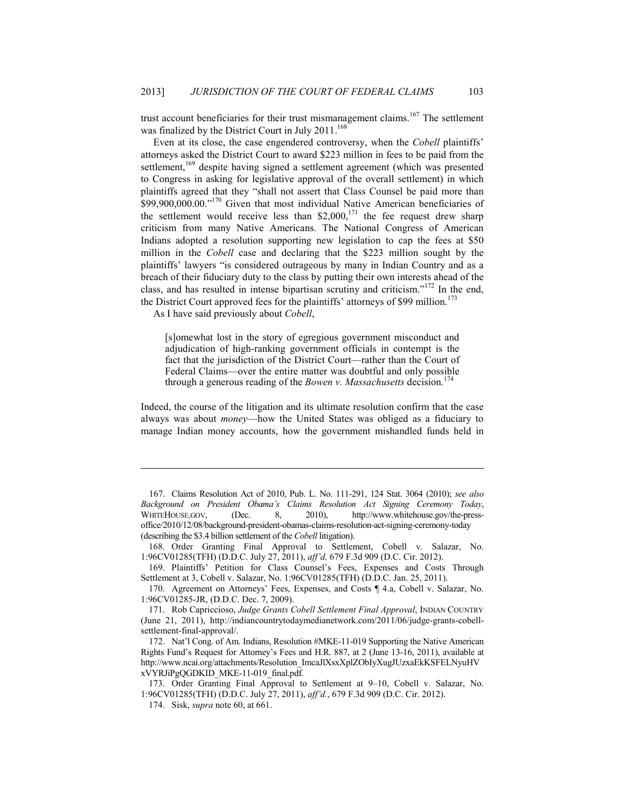trust account beneficiaries for their trust mismanagement claims.<sup>167</sup> The settlement was finalized by the District Court in July 2011.<sup>168</sup>

Even at its close, the case engendered controversy, when the *Cobell* plaintiffs' attorneys asked the District Court to award \$223 million in fees to be paid from the settlement,<sup>169</sup> despite having signed a settlement agreement (which was presented to Congress in asking for legislative approval of the overall settlement) in which plaintiffs agreed that they "shall not assert that Class Counsel be paid more than \$99,900,000.00."<sup>170</sup> Given that most individual Native American beneficiaries of the settlement would receive less than  $$2,000$ ,<sup>171</sup> the fee request drew sharp criticism from many Native Americans. The National Congress of American Indians adopted a resolution supporting new legislation to cap the fees at \$50 million in the *Cobell* case and declaring that the \$223 million sought by the plaintiffs' lawyers "is considered outrageous by many in Indian Country and as a breach of their fiduciary duty to the class by putting their own interests ahead of the class, and has resulted in intense bipartisan scrutiny and criticism."172 In the end, the District Court approved fees for the plaintiffs' attorneys of \$99 million.<sup>173</sup>

As I have said previously about *Cobell*,

[s]omewhat lost in the story of egregious government misconduct and adjudication of high-ranking government officials in contempt is the fact that the jurisdiction of the District Court—rather than the Court of Federal Claims—over the entire matter was doubtful and only possible through a generous reading of the *Bowen v. Massachusetts* decision.<sup>174</sup>

Indeed, the course of the litigation and its ultimate resolution confirm that the case always was about *money*—how the United States was obliged as a fiduciary to manage Indian money accounts, how the government mishandled funds held in

<u>.</u>

 <sup>167.</sup> Claims Resolution Act of 2010, Pub. L. No. 111-291, 124 Stat. 3064 (2010); *see also Background on President Obama's Claims Resolution Act Signing Ceremony Today*, WHITEHOUSE.GOV, (Dec. 8, 2010), http://www.whitehouse.gov/the-pressoffice/2010/12/08/background-president-obamas-claims-resolution-act-signing-ceremony-today (describing the \$3.4 billion settlement of the *Cobell* litigation).

 <sup>168.</sup> Order Granting Final Approval to Settlement, Cobell v. Salazar, No. 1:96CV01285(TFH) (D.D.C. July 27, 2011), *aff'd,* 679 F.3d 909 (D.C. Cir. 2012).

 <sup>169.</sup> Plaintiffs' Petition for Class Counsel's Fees, Expenses and Costs Through Settlement at 3, Cobell v. Salazar, No. 1:96CV01285(TFH) (D.D.C. Jan. 25, 2011).

 <sup>170.</sup> Agreement on Attorneys' Fees, Expenses, and Costs ¶ 4.a, Cobell v. Salazar, No. 1:96CV01285-JR, (D.D.C. Dec. 7, 2009).

 <sup>171.</sup> Rob Capriccioso, *Judge Grants Cobell Settlement Final Approval*, INDIAN COUNTRY [\(June 21, 2011\), http://indiancountrytodaymedianetwork.com/2011/06/judge-grants-cobell](http://indiancountrytodaymedianetwork.com/2011/06/judge-grants-cobell-settlement-)settlement-final-approval/.

 <sup>172.</sup> Nat'l Cong. of Am. Indians, Resolution #MKE-11-019 Supporting the Native American Rights Fund's Request for Attorney's Fees and H.R. 887, at 2 (June 13-16, 2011), available at [http://www.ncai.org/attachments/Resolution\\_ImcaJlXsxXplZObIyXugJUzxaEkKSFELNyuHV](http://www.ncai.org/attachments/Resolution_ImcaJlXsxXplZObIyXugJUzxaEkKSFELNyuHV) xVYRJiPgQGDKID\_MKE-11-019\_final.pdf.

 <sup>173.</sup> Order Granting Final Approval to Settlement at 9–10, Cobell v. Salazar, No. 1:96CV01285(TFH) (D.D.C. July 27, 2011), *aff'd.*, 679 F.3d 909 (D.C. Cir. 2012).

 <sup>174.</sup> Sisk, *supra* note 60, at 661.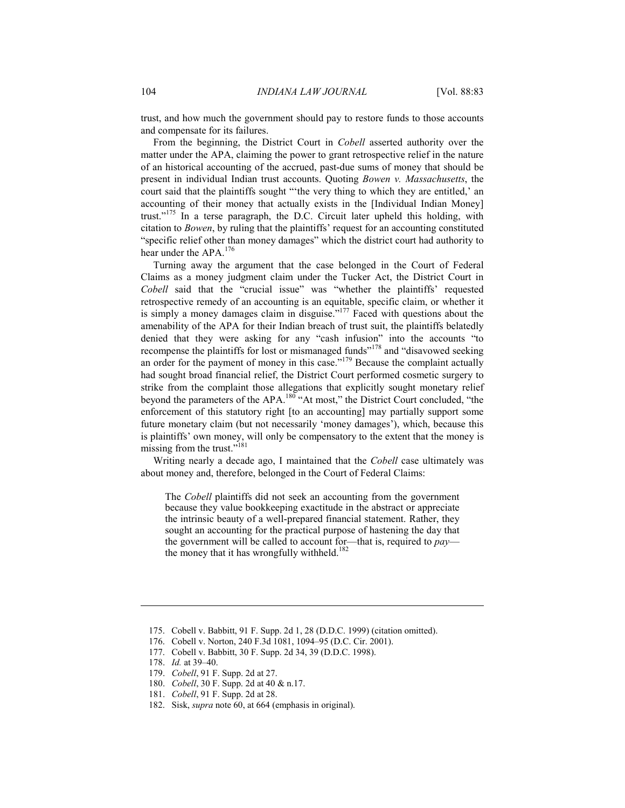trust, and how much the government should pay to restore funds to those accounts and compensate for its failures.

From the beginning, the District Court in *Cobell* asserted authority over the matter under the APA, claiming the power to grant retrospective relief in the nature of an historical accounting of the accrued, past-due sums of money that should be present in individual Indian trust accounts. Quoting *Bowen v. Massachusetts*, the court said that the plaintiffs sought "'the very thing to which they are entitled,' an accounting of their money that actually exists in the [Individual Indian Money] trust."175 In a terse paragraph, the D.C. Circuit later upheld this holding, with citation to *Bowen*, by ruling that the plaintiffs' request for an accounting constituted "specific relief other than money damages" which the district court had authority to hear under the APA.<sup>176</sup>

Turning away the argument that the case belonged in the Court of Federal Claims as a money judgment claim under the Tucker Act, the District Court in *Cobell* said that the "crucial issue" was "whether the plaintiffs' requested retrospective remedy of an accounting is an equitable, specific claim, or whether it is simply a money damages claim in disguise."<sup>177</sup> Faced with questions about the amenability of the APA for their Indian breach of trust suit, the plaintiffs belatedly denied that they were asking for any "cash infusion" into the accounts "to recompense the plaintiffs for lost or mismanaged funds"<sup>178</sup> and "disavowed seeking an order for the payment of money in this case."<sup>179</sup> Because the complaint actually had sought broad financial relief, the District Court performed cosmetic surgery to strike from the complaint those allegations that explicitly sought monetary relief beyond the parameters of the APA.<sup>180</sup> "At most," the District Court concluded, "the enforcement of this statutory right [to an accounting] may partially support some future monetary claim (but not necessarily 'money damages'), which, because this is plaintiffs' own money, will only be compensatory to the extent that the money is missing from the trust."<sup>181</sup>

Writing nearly a decade ago, I maintained that the *Cobell* case ultimately was about money and, therefore, belonged in the Court of Federal Claims:

The *Cobell* plaintiffs did not seek an accounting from the government because they value bookkeeping exactitude in the abstract or appreciate the intrinsic beauty of a well-prepared financial statement. Rather, they sought an accounting for the practical purpose of hastening the day that the government will be called to account for—that is, required to *pay* the money that it has wrongfully withheld.<sup>182</sup>

- 179. *Cobell*, 91 F. Supp. 2d at 27.
- 180. *Cobell*, 30 F. Supp. 2d at 40 & n.17.
- 181. *Cobell*, 91 F. Supp. 2d at 28.
- 182. Sisk, *supra* note 60, at 664 (emphasis in original).

 <sup>175.</sup> Cobell v. Babbitt, 91 F. Supp. 2d 1, 28 (D.D.C. 1999) (citation omitted).

 <sup>176.</sup> Cobell v. Norton, 240 F.3d 1081, 1094–95 (D.C. Cir. 2001).

 <sup>177.</sup> Cobell v. Babbitt, 30 F. Supp. 2d 34, 39 (D.D.C. 1998).

 <sup>178.</sup> *Id.* at 39–40.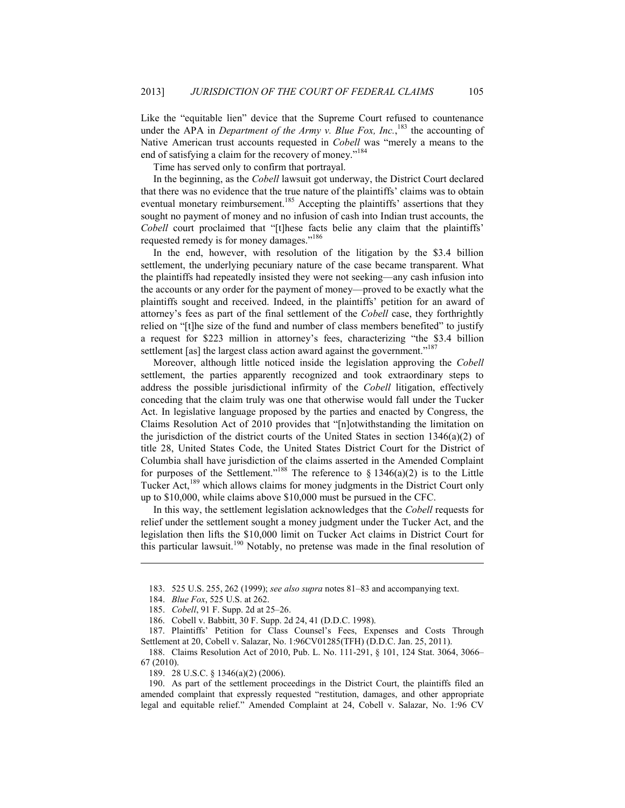Like the "equitable lien" device that the Supreme Court refused to countenance under the APA in *Department of the Army v. Blue Fox, Inc.*,<sup>183</sup> the accounting of Native American trust accounts requested in *Cobell* was "merely a means to the end of satisfying a claim for the recovery of money."<sup>184</sup>

Time has served only to confirm that portrayal.

In the beginning, as the *Cobell* lawsuit got underway, the District Court declared that there was no evidence that the true nature of the plaintiffs' claims was to obtain eventual monetary reimbursement.<sup>185</sup> Accepting the plaintiffs' assertions that they sought no payment of money and no infusion of cash into Indian trust accounts, the *Cobell* court proclaimed that "[t]hese facts belie any claim that the plaintiffs' requested remedy is for money damages."<sup>186</sup>

In the end, however, with resolution of the litigation by the \$3.4 billion settlement, the underlying pecuniary nature of the case became transparent. What the plaintiffs had repeatedly insisted they were not seeking—any cash infusion into the accounts or any order for the payment of money—proved to be exactly what the plaintiffs sought and received. Indeed, in the plaintiffs' petition for an award of attorney's fees as part of the final settlement of the *Cobell* case, they forthrightly relied on "[t]he size of the fund and number of class members benefited" to justify a request for \$223 million in attorney's fees, characterizing "the \$3.4 billion settlement [as] the largest class action award against the government."<sup>187</sup>

Moreover, although little noticed inside the legislation approving the *Cobell* settlement, the parties apparently recognized and took extraordinary steps to address the possible jurisdictional infirmity of the *Cobell* litigation, effectively conceding that the claim truly was one that otherwise would fall under the Tucker Act. In legislative language proposed by the parties and enacted by Congress, the Claims Resolution Act of 2010 provides that "[n]otwithstanding the limitation on the jurisdiction of the district courts of the United States in section 1346(a)(2) of title 28, United States Code, the United States District Court for the District of Columbia shall have jurisdiction of the claims asserted in the Amended Complaint for purposes of the Settlement."<sup>188</sup> The reference to  $\S$  1346(a)(2) is to the Little Tucker Act,<sup>189</sup> which allows claims for money judgments in the District Court only up to \$10,000, while claims above \$10,000 must be pursued in the CFC.

In this way, the settlement legislation acknowledges that the *Cobell* requests for relief under the settlement sought a money judgment under the Tucker Act, and the legislation then lifts the \$10,000 limit on Tucker Act claims in District Court for this particular lawsuit.190 Notably, no pretense was made in the final resolution of

 <sup>183. 525</sup> U.S. 255, 262 (1999); *see also supra* notes 81–83 and accompanying text.

 <sup>184.</sup> *Blue Fox*, 525 U.S. at 262.

 <sup>185.</sup> *Cobell*, 91 F. Supp. 2d at 25–26.

 <sup>186.</sup> Cobell v. Babbitt, 30 F. Supp. 2d 24, 41 (D.D.C. 1998).

 <sup>187.</sup> Plaintiffs' Petition for Class Counsel's Fees, Expenses and Costs Through Settlement at 20, Cobell v. Salazar, No. 1:96CV01285(TFH) (D.D.C. Jan. 25, 2011).

 <sup>188.</sup> Claims Resolution Act of 2010, Pub. L. No. 111-291, § 101, 124 Stat. 3064, 3066– 67 (2010).

 <sup>189. 28</sup> U.S.C. § 1346(a)(2) (2006).

 <sup>190.</sup> As part of the settlement proceedings in the District Court, the plaintiffs filed an amended complaint that expressly requested "restitution, damages, and other appropriate legal and equitable relief." Amended Complaint at 24, Cobell v. Salazar, No. 1:96 CV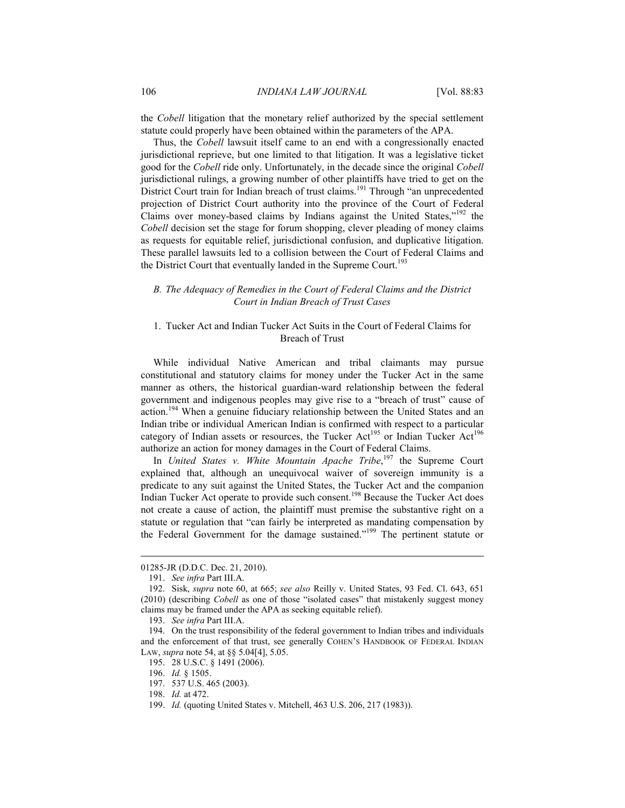the *Cobell* litigation that the monetary relief authorized by the special settlement statute could properly have been obtained within the parameters of the APA.

Thus, the *Cobell* lawsuit itself came to an end with a congressionally enacted jurisdictional reprieve, but one limited to that litigation. It was a legislative ticket good for the *Cobell* ride only. Unfortunately, in the decade since the original *Cobell* jurisdictional rulings, a growing number of other plaintiffs have tried to get on the District Court train for Indian breach of trust claims.<sup>191</sup> Through "an unprecedented projection of District Court authority into the province of the Court of Federal Claims over money-based claims by Indians against the United States,"<sup>192</sup> the *Cobell* decision set the stage for forum shopping, clever pleading of money claims as requests for equitable relief, jurisdictional confusion, and duplicative litigation. These parallel lawsuits led to a collision between the Court of Federal Claims and the District Court that eventually landed in the Supreme Court.<sup>193</sup>

### *B. The Adequacy of Remedies in the Court of Federal Claims and the District Court in Indian Breach of Trust Cases*

### 1. Tucker Act and Indian Tucker Act Suits in the Court of Federal Claims for Breach of Trust

While individual Native American and tribal claimants may pursue constitutional and statutory claims for money under the Tucker Act in the same manner as others, the historical guardian-ward relationship between the federal government and indigenous peoples may give rise to a "breach of trust" cause of action.<sup>194</sup> When a genuine fiduciary relationship between the United States and an Indian tribe or individual American Indian is confirmed with respect to a particular category of Indian assets or resources, the Tucker Act<sup>195</sup> or Indian Tucker Act<sup>196</sup> authorize an action for money damages in the Court of Federal Claims.

In *United States v. White Mountain Apache Tribe*, 197 the Supreme Court explained that, although an unequivocal waiver of sovereign immunity is a predicate to any suit against the United States, the Tucker Act and the companion Indian Tucker Act operate to provide such consent.<sup>198</sup> Because the Tucker Act does not create a cause of action, the plaintiff must premise the substantive right on a statute or regulation that "can fairly be interpreted as mandating compensation by the Federal Government for the damage sustained."199 The pertinent statute or

<u>.</u>

<sup>01285-</sup>JR (D.D.C. Dec. 21, 2010).

 <sup>191.</sup> *See infra* Part III.A.

 <sup>192.</sup> Sisk, *supra* note 60, at 665; *see also* Reilly v. United States, 93 Fed. Cl. 643, 651 (2010) (describing *Cobell* as one of those "isolated cases" that mistakenly suggest money claims may be framed under the APA as seeking equitable relief).

 <sup>193.</sup> *See infra* Part III.A.

 <sup>194.</sup> On the trust responsibility of the federal government to Indian tribes and individuals and the enforcement of that trust, see generally COHEN'S HANDBOOK OF FEDERAL INDIAN LAW, *supra* note 54, at §§ 5.04[4], 5.05.

 <sup>195. 28</sup> U.S.C. § 1491 (2006).

 <sup>196.</sup> *Id.* § 1505.

 <sup>197. 537</sup> U.S. 465 (2003).

 <sup>198.</sup> *Id.* at 472.

 <sup>199.</sup> *Id.* (quoting United States v. Mitchell, 463 U.S. 206, 217 (1983)).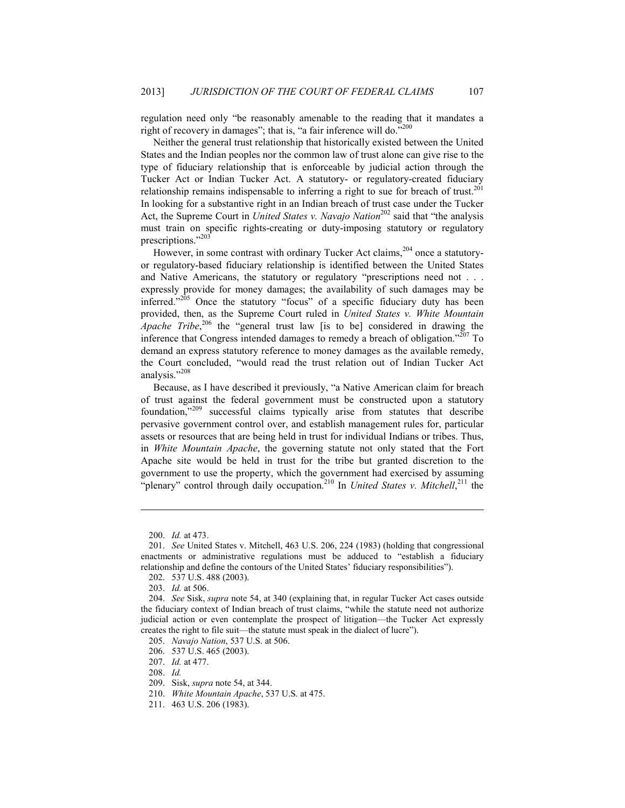regulation need only "be reasonably amenable to the reading that it mandates a right of recovery in damages"; that is, "a fair inference will do." $200$ 

Neither the general trust relationship that historically existed between the United States and the Indian peoples nor the common law of trust alone can give rise to the type of fiduciary relationship that is enforceable by judicial action through the Tucker Act or Indian Tucker Act. A statutory- or regulatory-created fiduciary relationship remains indispensable to inferring a right to sue for breach of trust.<sup>201</sup> In looking for a substantive right in an Indian breach of trust case under the Tucker Act, the Supreme Court in *United States v. Navajo Nation*<sup>202</sup> said that "the analysis must train on specific rights-creating or duty-imposing statutory or regulatory prescriptions."203

However, in some contrast with ordinary Tucker Act claims,<sup>204</sup> once a statutoryor regulatory-based fiduciary relationship is identified between the United States and Native Americans, the statutory or regulatory "prescriptions need not . . . expressly provide for money damages; the availability of such damages may be inferred."205 Once the statutory "focus" of a specific fiduciary duty has been provided, then, as the Supreme Court ruled in *United States v. White Mountain Apache Tribe*, 206 the "general trust law [is to be] considered in drawing the inference that Congress intended damages to remedy a breach of obligation."207 To demand an express statutory reference to money damages as the available remedy, the Court concluded, "would read the trust relation out of Indian Tucker Act analysis."<sup>208</sup>

Because, as I have described it previously, "a Native American claim for breach of trust against the federal government must be constructed upon a statutory foundation,"209 successful claims typically arise from statutes that describe pervasive government control over, and establish management rules for, particular assets or resources that are being held in trust for individual Indians or tribes. Thus, in *White Mountain Apache*, the governing statute not only stated that the Fort Apache site would be held in trust for the tribe but granted discretion to the government to use the property, which the government had exercised by assuming "plenary" control through daily occupation.<sup>210</sup> In *United States v. Mitchell*,<sup>211</sup> the

 <sup>200.</sup> *Id.* at 473.

 <sup>201.</sup> *See* United States v. Mitchell, 463 U.S. 206, 224 (1983) (holding that congressional enactments or administrative regulations must be adduced to "establish a fiduciary relationship and define the contours of the United States' fiduciary responsibilities").

 <sup>202. 537</sup> U.S. 488 (2003).

 <sup>203.</sup> *Id.* at 506.

 <sup>204.</sup> *See* Sisk, *supra* note 54, at 340 (explaining that, in regular Tucker Act cases outside the fiduciary context of Indian breach of trust claims, "while the statute need not authorize judicial action or even contemplate the prospect of litigation—the Tucker Act expressly creates the right to file suit—the statute must speak in the dialect of lucre").

 <sup>205.</sup> *Navajo Nation*, 537 U.S. at 506.

 <sup>206. 537</sup> U.S. 465 (2003).

 <sup>207.</sup> *Id.* at 477.

 <sup>208.</sup> *Id.*

 <sup>209.</sup> Sisk, *supra* note 54, at 344.

 <sup>210.</sup> *White Mountain Apache*, 537 U.S. at 475.

 <sup>211. 463</sup> U.S. 206 (1983).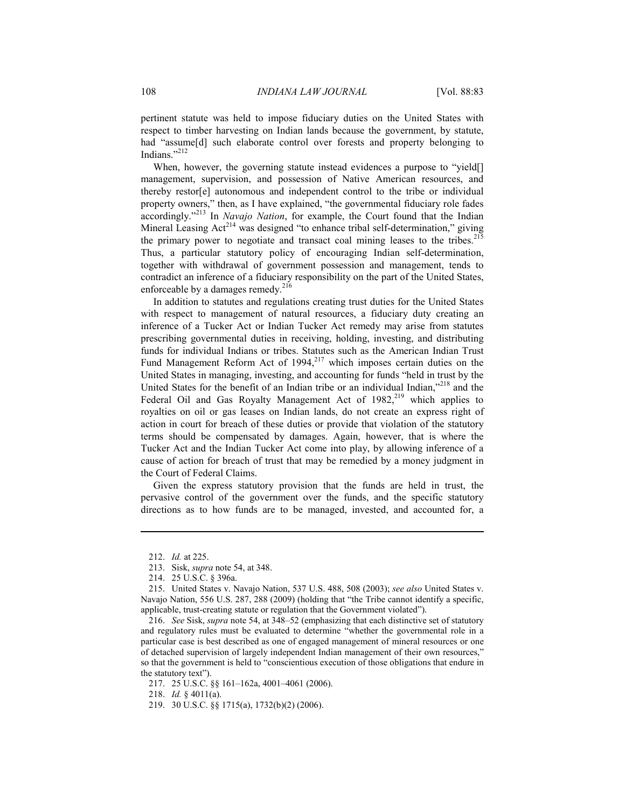pertinent statute was held to impose fiduciary duties on the United States with respect to timber harvesting on Indian lands because the government, by statute, had "assume[d] such elaborate control over forests and property belonging to Indians."<sup>212</sup>

When, however, the governing statute instead evidences a purpose to "yield[] management, supervision, and possession of Native American resources, and thereby restor[e] autonomous and independent control to the tribe or individual property owners," then, as I have explained, "the governmental fiduciary role fades accordingly."213 In *Navajo Nation*, for example, the Court found that the Indian Mineral Leasing  $Act^{214}$  was designed "to enhance tribal self-determination," giving the primary power to negotiate and transact coal mining leases to the tribes.<sup>215</sup> Thus, a particular statutory policy of encouraging Indian self-determination, together with withdrawal of government possession and management, tends to contradict an inference of a fiduciary responsibility on the part of the United States, enforceable by a damages remedy. $2^{16}$ 

In addition to statutes and regulations creating trust duties for the United States with respect to management of natural resources, a fiduciary duty creating an inference of a Tucker Act or Indian Tucker Act remedy may arise from statutes prescribing governmental duties in receiving, holding, investing, and distributing funds for individual Indians or tribes. Statutes such as the American Indian Trust Fund Management Reform Act of  $1994<sub>1</sub><sup>217</sup>$  which imposes certain duties on the United States in managing, investing, and accounting for funds "held in trust by the United States for the benefit of an Indian tribe or an individual Indian,"<sup>218</sup> and the Federal Oil and Gas Royalty Management Act of  $1982$ <sup>219</sup> which applies to royalties on oil or gas leases on Indian lands, do not create an express right of action in court for breach of these duties or provide that violation of the statutory terms should be compensated by damages. Again, however, that is where the Tucker Act and the Indian Tucker Act come into play, by allowing inference of a cause of action for breach of trust that may be remedied by a money judgment in the Court of Federal Claims.

Given the express statutory provision that the funds are held in trust, the pervasive control of the government over the funds, and the specific statutory directions as to how funds are to be managed, invested, and accounted for, a

 <sup>212.</sup> *Id.* at 225.

 <sup>213.</sup> Sisk, *supra* note 54, at 348.

 <sup>214. 25</sup> U.S.C. § 396a.

 <sup>215.</sup> United States v. Navajo Nation, 537 U.S. 488, 508 (2003); *see also* United States v. Navajo Nation, 556 U.S. 287, 288 (2009) (holding that "the Tribe cannot identify a specific, applicable, trust-creating statute or regulation that the Government violated").

 <sup>216.</sup> *See* Sisk, *supra* note 54, at 348–52 (emphasizing that each distinctive set of statutory and regulatory rules must be evaluated to determine "whether the governmental role in a particular case is best described as one of engaged management of mineral resources or one of detached supervision of largely independent Indian management of their own resources," so that the government is held to "conscientious execution of those obligations that endure in the statutory text").

 <sup>217. 25</sup> U.S.C. §§ 161–162a, 4001–4061 (2006).

 <sup>218.</sup> *Id.* § 4011(a).

 <sup>219. 30</sup> U.S.C. §§ 1715(a), 1732(b)(2) (2006).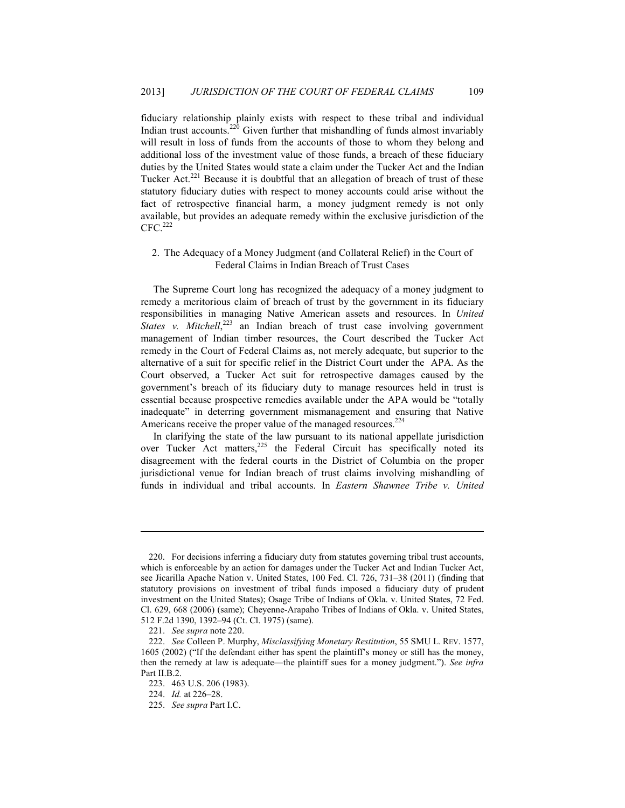fiduciary relationship plainly exists with respect to these tribal and individual Indian trust accounts.<sup>220</sup> Given further that mishandling of funds almost invariably will result in loss of funds from the accounts of those to whom they belong and additional loss of the investment value of those funds, a breach of these fiduciary duties by the United States would state a claim under the Tucker Act and the Indian Tucker Act.<sup>221</sup> Because it is doubtful that an allegation of breach of trust of these statutory fiduciary duties with respect to money accounts could arise without the fact of retrospective financial harm, a money judgment remedy is not only available, but provides an adequate remedy within the exclusive jurisdiction of the  $CFC.<sup>222</sup>$ 

### 2. The Adequacy of a Money Judgment (and Collateral Relief) in the Court of Federal Claims in Indian Breach of Trust Cases

The Supreme Court long has recognized the adequacy of a money judgment to remedy a meritorious claim of breach of trust by the government in its fiduciary responsibilities in managing Native American assets and resources. In *United*  States v. Mitchell,<sup>223</sup> an Indian breach of trust case involving government management of Indian timber resources, the Court described the Tucker Act remedy in the Court of Federal Claims as, not merely adequate, but superior to the alternative of a suit for specific relief in the District Court under the APA. As the Court observed, a Tucker Act suit for retrospective damages caused by the government's breach of its fiduciary duty to manage resources held in trust is essential because prospective remedies available under the APA would be "totally inadequate" in deterring government mismanagement and ensuring that Native Americans receive the proper value of the managed resources.<sup>224</sup>

In clarifying the state of the law pursuant to its national appellate jurisdiction over Tucker Act matters,<sup>225</sup> the Federal Circuit has specifically noted its disagreement with the federal courts in the District of Columbia on the proper jurisdictional venue for Indian breach of trust claims involving mishandling of funds in individual and tribal accounts. In *Eastern Shawnee Tribe v. United* 

 <sup>220.</sup> For decisions inferring a fiduciary duty from statutes governing tribal trust accounts, which is enforceable by an action for damages under the Tucker Act and Indian Tucker Act, see Jicarilla Apache Nation v. United States, 100 Fed. Cl. 726, 731–38 (2011) (finding that statutory provisions on investment of tribal funds imposed a fiduciary duty of prudent investment on the United States); Osage Tribe of Indians of Okla. v. United States, 72 Fed. Cl. 629, 668 (2006) (same); Cheyenne-Arapaho Tribes of Indians of Okla. v. United States, 512 F.2d 1390, 1392–94 (Ct. Cl. 1975) (same).

 <sup>221.</sup> *See supra* note 220.

 <sup>222.</sup> *See* Colleen P. Murphy, *Misclassifying Monetary Restitution*, 55 SMU L. REV. 1577, 1605 (2002) ("If the defendant either has spent the plaintiff's money or still has the money, then the remedy at law is adequate—the plaintiff sues for a money judgment."). *See infra* Part II.B.2.

 <sup>223. 463</sup> U.S. 206 (1983).

 <sup>224.</sup> *Id.* at 226–28.

 <sup>225.</sup> *See supra* Part I.C.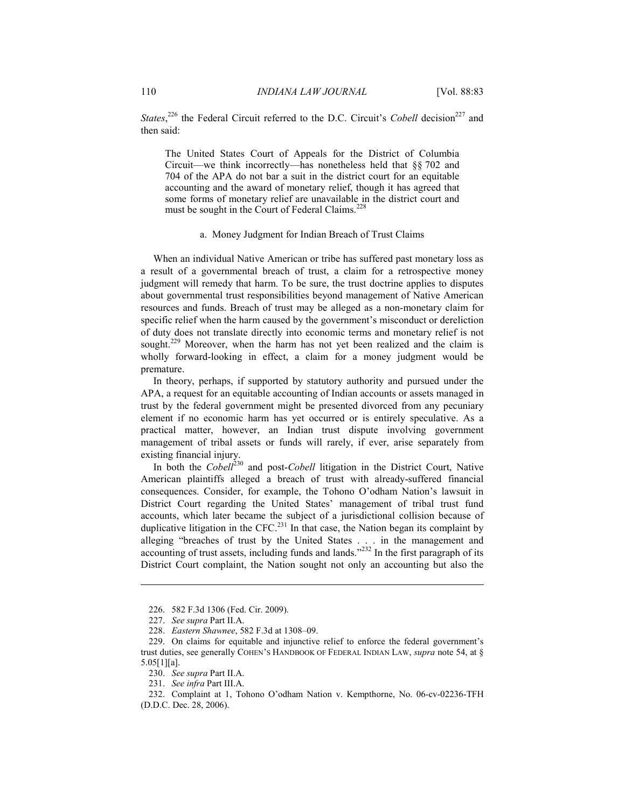*States*,<sup>226</sup> the Federal Circuit referred to the D.C. Circuit's *Cobell* decision<sup>227</sup> and then said:

The United States Court of Appeals for the District of Columbia Circuit—we think incorrectly—has nonetheless held that §§ 702 and 704 of the APA do not bar a suit in the district court for an equitable accounting and the award of monetary relief, though it has agreed that some forms of monetary relief are unavailable in the district court and must be sought in the Court of Federal Claims.<sup>228</sup>

### a. Money Judgment for Indian Breach of Trust Claims

When an individual Native American or tribe has suffered past monetary loss as a result of a governmental breach of trust, a claim for a retrospective money judgment will remedy that harm. To be sure, the trust doctrine applies to disputes about governmental trust responsibilities beyond management of Native American resources and funds. Breach of trust may be alleged as a non-monetary claim for specific relief when the harm caused by the government's misconduct or dereliction of duty does not translate directly into economic terms and monetary relief is not sought.<sup>229</sup> Moreover, when the harm has not yet been realized and the claim is wholly forward-looking in effect, a claim for a money judgment would be premature.

In theory, perhaps, if supported by statutory authority and pursued under the APA, a request for an equitable accounting of Indian accounts or assets managed in trust by the federal government might be presented divorced from any pecuniary element if no economic harm has yet occurred or is entirely speculative. As a practical matter, however, an Indian trust dispute involving government management of tribal assets or funds will rarely, if ever, arise separately from existing financial injury.

In both the *Cobell*<sup>230</sup> and post-*Cobell* litigation in the District Court, Native American plaintiffs alleged a breach of trust with already-suffered financial consequences. Consider, for example, the Tohono O'odham Nation's lawsuit in District Court regarding the United States' management of tribal trust fund accounts, which later became the subject of a jurisdictional collision because of duplicative litigation in the CFC.<sup>231</sup> In that case, the Nation began its complaint by alleging "breaches of trust by the United States . . . in the management and accounting of trust assets, including funds and lands."<sup>232</sup> In the first paragraph of its District Court complaint, the Nation sought not only an accounting but also the

 <sup>226. 582</sup> F.3d 1306 (Fed. Cir. 2009).

 <sup>227.</sup> *See supra* Part II.A.

 <sup>228.</sup> *Eastern Shawnee*, 582 F.3d at 1308–09.

 <sup>229.</sup> On claims for equitable and injunctive relief to enforce the federal government's trust duties, see generally COHEN'S HANDBOOK OF FEDERAL INDIAN LAW, *supra* note 54, at § 5.05[1][a].

 <sup>230.</sup> *See supra* Part II.A.

 <sup>231.</sup> *See infra* Part III.A.

 <sup>232.</sup> Complaint at 1, Tohono O'odham Nation v. Kempthorne, No. 06-cv-02236-TFH (D.D.C. Dec. 28, 2006).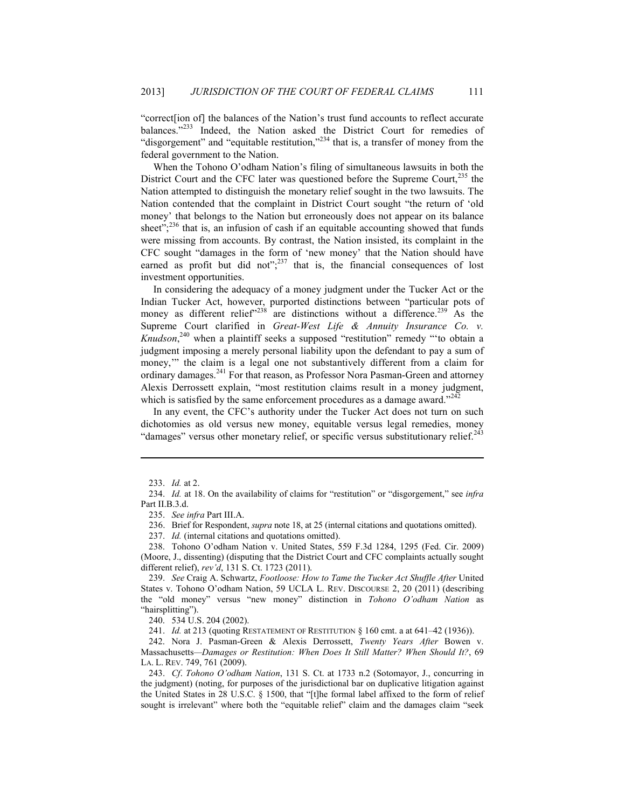"correct[ion of] the balances of the Nation's trust fund accounts to reflect accurate balances."<sup>233</sup> Indeed, the Nation asked the District Court for remedies of "disgorgement" and "equitable restitution,"<sup>234</sup> that is, a transfer of money from the federal government to the Nation.

When the Tohono O'odham Nation's filing of simultaneous lawsuits in both the District Court and the CFC later was questioned before the Supreme Court, $235$  the Nation attempted to distinguish the monetary relief sought in the two lawsuits. The Nation contended that the complaint in District Court sought "the return of 'old money' that belongs to the Nation but erroneously does not appear on its balance sheet"; $^{236}$  that is, an infusion of cash if an equitable accounting showed that funds were missing from accounts. By contrast, the Nation insisted, its complaint in the CFC sought "damages in the form of 'new money' that the Nation should have earned as profit but did not"; $^{237}$  that is, the financial consequences of lost investment opportunities.

In considering the adequacy of a money judgment under the Tucker Act or the Indian Tucker Act, however, purported distinctions between "particular pots of money as different relief"<sup>238</sup> are distinctions without a difference.<sup>239</sup> As the Supreme Court clarified in *Great-West Life & Annuity Insurance Co. v. Knudson*, 240 when a plaintiff seeks a supposed "restitution" remedy "'to obtain a judgment imposing a merely personal liability upon the defendant to pay a sum of money," the claim is a legal one not substantively different from a claim for ordinary damages.<sup>241</sup> For that reason, as Professor Nora Pasman-Green and attorney Alexis Derrossett explain, "most restitution claims result in a money judgment, which is satisfied by the same enforcement procedures as a damage award. $242$ 

In any event, the CFC's authority under the Tucker Act does not turn on such dichotomies as old versus new money, equitable versus legal remedies, money "damages" versus other monetary relief, or specific versus substitutionary relief. $243$ 

1

 238. Tohono O'odham Nation v. United States, 559 F.3d 1284, 1295 (Fed. Cir. 2009) (Moore, J., dissenting) (disputing that the District Court and CFC complaints actually sought different relief), *rev'd*, 131 S. Ct. 1723 (2011).

241. *Id.* at 213 (quoting RESTATEMENT OF RESTITUTION § 160 cmt. a at 641–42 (1936)).

 <sup>233.</sup> *Id.* at 2.

 <sup>234.</sup> *Id.* at 18. On the availability of claims for "restitution" or "disgorgement," see *infra* Part II.B.3.d.

 <sup>235.</sup> *See infra* Part III.A.

 <sup>236.</sup> Brief for Respondent, *supra* note 18, at 25 (internal citations and quotations omitted).

 <sup>237.</sup> *Id.* (internal citations and quotations omitted).

 <sup>239.</sup> *See* Craig A. Schwartz, *Footloose: How to Tame the Tucker Act Shuffle After* United States v. Tohono O'odham Nation, 59 UCLA L. REV. DISCOURSE 2, 20 (2011) (describing the "old money" versus "new money" distinction in *Tohono O'odham Nation* as "hairsplitting").

 <sup>240. 534</sup> U.S. 204 (2002).

 <sup>242.</sup> Nora J. Pasman-Green & Alexis Derrossett, *Twenty Years After* Bowen v. Massachusetts*—Damages or Restitution: When Does It Still Matter? When Should It?*, 69 LA. L. REV. 749, 761 (2009).

 <sup>243.</sup> *Cf*. *Tohono O'odham Nation*, 131 S. Ct. at 1733 n.2 (Sotomayor, J., concurring in the judgment) (noting, for purposes of the jurisdictional bar on duplicative litigation against the United States in 28 U.S.C. § 1500, that "[t]he formal label affixed to the form of relief sought is irrelevant" where both the "equitable relief" claim and the damages claim "seek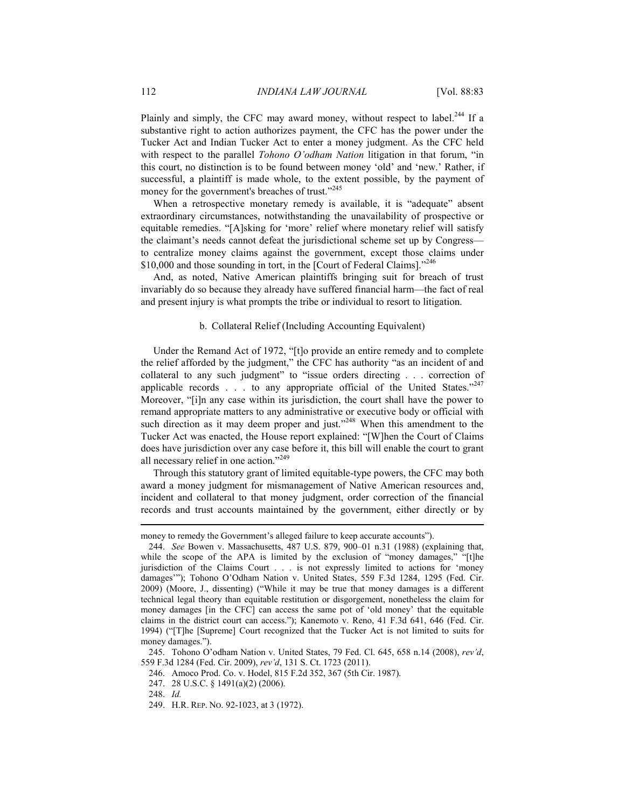Plainly and simply, the CFC may award money, without respect to label.<sup>244</sup> If a substantive right to action authorizes payment, the CFC has the power under the Tucker Act and Indian Tucker Act to enter a money judgment. As the CFC held with respect to the parallel *Tohono O'odham Nation* litigation in that forum, "in this court, no distinction is to be found between money 'old' and 'new.' Rather, if successful, a plaintiff is made whole, to the extent possible, by the payment of money for the government's breaches of trust."<sup>245</sup>

When a retrospective monetary remedy is available, it is "adequate" absent extraordinary circumstances, notwithstanding the unavailability of prospective or equitable remedies. "[A]sking for 'more' relief where monetary relief will satisfy the claimant's needs cannot defeat the jurisdictional scheme set up by Congress to centralize money claims against the government, except those claims under \$10,000 and those sounding in tort, in the [Court of Federal Claims]."<sup>246</sup>

And, as noted, Native American plaintiffs bringing suit for breach of trust invariably do so because they already have suffered financial harm—the fact of real and present injury is what prompts the tribe or individual to resort to litigation.

#### b. Collateral Relief (Including Accounting Equivalent)

Under the Remand Act of 1972, "[t]o provide an entire remedy and to complete the relief afforded by the judgment," the CFC has authority "as an incident of and collateral to any such judgment" to "issue orders directing . . . correction of applicable records  $\ldots$  to any appropriate official of the United States."<sup>247</sup> Moreover, "[i]n any case within its jurisdiction, the court shall have the power to remand appropriate matters to any administrative or executive body or official with such direction as it may deem proper and just."<sup>248</sup> When this amendment to the Tucker Act was enacted, the House report explained: "[W]hen the Court of Claims does have jurisdiction over any case before it, this bill will enable the court to grant all necessary relief in one action."249

Through this statutory grant of limited equitable-type powers, the CFC may both award a money judgment for mismanagement of Native American resources and, incident and collateral to that money judgment, order correction of the financial records and trust accounts maintained by the government, either directly or by

 245. Tohono O'odham Nation v. United States, 79 Fed. Cl. 645, 658 n.14 (2008), *rev'd*, 559 F.3d 1284 (Fed. Cir. 2009), *rev'd*, 131 S. Ct. 1723 (2011).

246. Amoco Prod. Co. v. Hodel, 815 F.2d 352, 367 (5th Cir. 1987).

247. 28 U.S.C. § 1491(a)(2) (2006).

248. *Id.*

<u>.</u>

249. H.R. REP. NO. 92-1023, at 3 (1972).

money to remedy the Government's alleged failure to keep accurate accounts").

 <sup>244.</sup> *See* Bowen v. Massachusetts, 487 U.S. 879, 900–01 n.31 (1988) (explaining that, while the scope of the APA is limited by the exclusion of "money damages," "[t]he jurisdiction of the Claims Court . . . is not expressly limited to actions for 'money damages'"); Tohono O'Odham Nation v. United States, 559 F.3d 1284, 1295 (Fed. Cir. 2009) (Moore, J., dissenting) ("While it may be true that money damages is a different technical legal theory than equitable restitution or disgorgement, nonetheless the claim for money damages [in the CFC] can access the same pot of 'old money' that the equitable claims in the district court can access."); Kanemoto v. Reno, 41 F.3d 641, 646 (Fed. Cir. 1994) ("[T]he [Supreme] Court recognized that the Tucker Act is not limited to suits for money damages.").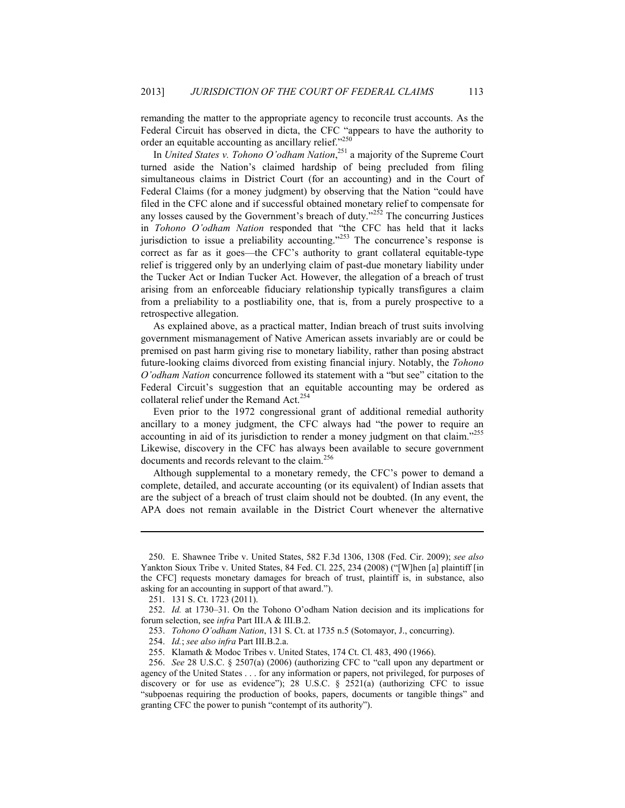remanding the matter to the appropriate agency to reconcile trust accounts. As the Federal Circuit has observed in dicta, the CFC "appears to have the authority to order an equitable accounting as ancillary relief."<sup>250</sup>

In *United States v. Tohono O'odham Nation*, 251 a majority of the Supreme Court turned aside the Nation's claimed hardship of being precluded from filing simultaneous claims in District Court (for an accounting) and in the Court of Federal Claims (for a money judgment) by observing that the Nation "could have filed in the CFC alone and if successful obtained monetary relief to compensate for any losses caused by the Government's breach of duty."<sup>252</sup> The concurring Justices in *Tohono O'odham Nation* responded that "the CFC has held that it lacks jurisdiction to issue a preliability accounting."<sup>253</sup> The concurrence's response is correct as far as it goes—the CFC's authority to grant collateral equitable-type relief is triggered only by an underlying claim of past-due monetary liability under the Tucker Act or Indian Tucker Act. However, the allegation of a breach of trust arising from an enforceable fiduciary relationship typically transfigures a claim from a preliability to a postliability one, that is, from a purely prospective to a retrospective allegation.

As explained above, as a practical matter, Indian breach of trust suits involving government mismanagement of Native American assets invariably are or could be premised on past harm giving rise to monetary liability, rather than posing abstract future-looking claims divorced from existing financial injury. Notably, the *Tohono O'odham Nation* concurrence followed its statement with a "but see" citation to the Federal Circuit's suggestion that an equitable accounting may be ordered as collateral relief under the Remand Act.<sup>254</sup>

Even prior to the 1972 congressional grant of additional remedial authority ancillary to a money judgment, the CFC always had "the power to require an accounting in aid of its jurisdiction to render a money judgment on that claim."<sup>255</sup> Likewise, discovery in the CFC has always been available to secure government documents and records relevant to the claim.<sup>256</sup>

Although supplemental to a monetary remedy, the CFC's power to demand a complete, detailed, and accurate accounting (or its equivalent) of Indian assets that are the subject of a breach of trust claim should not be doubted. (In any event, the APA does not remain available in the District Court whenever the alternative

 <sup>250.</sup> E. Shawnee Tribe v. United States, 582 F.3d 1306, 1308 (Fed. Cir. 2009); *see also* Yankton Sioux Tribe v. United States, 84 Fed. Cl. 225, 234 (2008) ("[W]hen [a] plaintiff [in the CFC] requests monetary damages for breach of trust, plaintiff is, in substance, also asking for an accounting in support of that award.").

 <sup>251. 131</sup> S. Ct. 1723 (2011).

 <sup>252.</sup> *Id.* at 1730–31. On the Tohono O'odham Nation decision and its implications for forum selection, see *infra* Part III.A & III.B.2.

 <sup>253.</sup> *Tohono O'odham Nation*, 131 S. Ct. at 1735 n.5 (Sotomayor, J., concurring).

 <sup>254.</sup> *Id.*; *see also infra* Part III.B.2.a.

 <sup>255.</sup> Klamath & Modoc Tribes v. United States, 174 Ct. Cl. 483, 490 (1966).

 <sup>256.</sup> *See* 28 U.S.C. § 2507(a) (2006) (authorizing CFC to "call upon any department or agency of the United States . . . for any information or papers, not privileged, for purposes of discovery or for use as evidence"); 28 U.S.C.  $\S$  2521(a) (authorizing CFC to issue "subpoenas requiring the production of books, papers, documents or tangible things" and granting CFC the power to punish "contempt of its authority").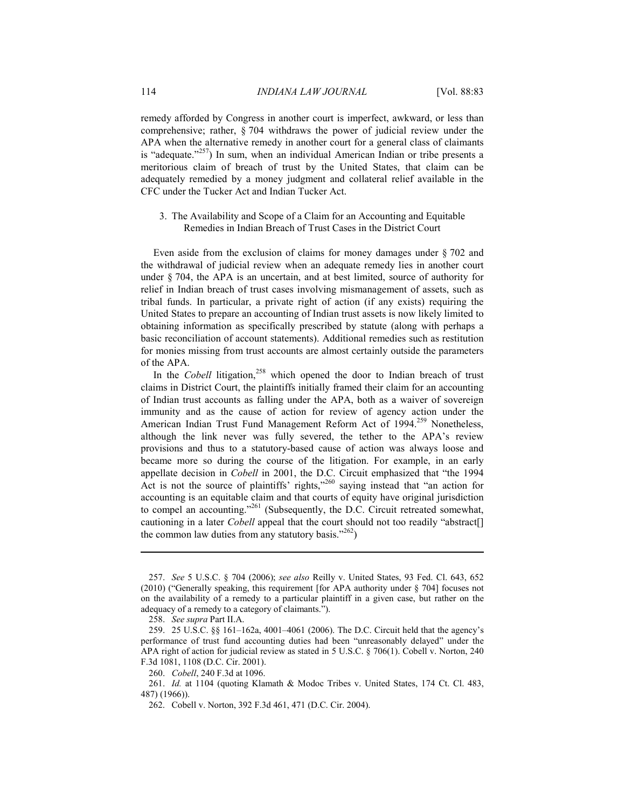remedy afforded by Congress in another court is imperfect, awkward, or less than comprehensive; rather, § 704 withdraws the power of judicial review under the APA when the alternative remedy in another court for a general class of claimants is "adequate." $257$ ) In sum, when an individual American Indian or tribe presents a meritorious claim of breach of trust by the United States, that claim can be adequately remedied by a money judgment and collateral relief available in the CFC under the Tucker Act and Indian Tucker Act.

3. The Availability and Scope of a Claim for an Accounting and Equitable Remedies in Indian Breach of Trust Cases in the District Court

Even aside from the exclusion of claims for money damages under § 702 and the withdrawal of judicial review when an adequate remedy lies in another court under § 704, the APA is an uncertain, and at best limited, source of authority for relief in Indian breach of trust cases involving mismanagement of assets, such as tribal funds. In particular, a private right of action (if any exists) requiring the United States to prepare an accounting of Indian trust assets is now likely limited to obtaining information as specifically prescribed by statute (along with perhaps a basic reconciliation of account statements). Additional remedies such as restitution for monies missing from trust accounts are almost certainly outside the parameters of the APA.

In the *Cobell* litigation,<sup>258</sup> which opened the door to Indian breach of trust claims in District Court, the plaintiffs initially framed their claim for an accounting of Indian trust accounts as falling under the APA, both as a waiver of sovereign immunity and as the cause of action for review of agency action under the American Indian Trust Fund Management Reform Act of 1994.<sup>259</sup> Nonetheless, although the link never was fully severed, the tether to the APA's review provisions and thus to a statutory-based cause of action was always loose and became more so during the course of the litigation. For example, in an early appellate decision in *Cobell* in 2001, the D.C. Circuit emphasized that "the 1994 Act is not the source of plaintiffs' rights,<sup>3260</sup> saying instead that "an action for accounting is an equitable claim and that courts of equity have original jurisdiction to compel an accounting."<sup>261</sup> (Subsequently, the D.C. Circuit retreated somewhat, cautioning in a later *Cobell* appeal that the court should not too readily "abstract[] the common law duties from any statutory basis." $262$ )

 <sup>257.</sup> *See* 5 U.S.C. § 704 (2006); *see also* Reilly v. United States, 93 Fed. Cl. 643, 652 (2010) ("Generally speaking, this requirement [for APA authority under § 704] focuses not on the availability of a remedy to a particular plaintiff in a given case, but rather on the adequacy of a remedy to a category of claimants.").

 <sup>258.</sup> *See supra* Part II.A.

 <sup>259. 25</sup> U.S.C. §§ 161–162a, 4001–4061 (2006). The D.C. Circuit held that the agency's performance of trust fund accounting duties had been "unreasonably delayed" under the APA right of action for judicial review as stated in 5 U.S.C. § 706(1). Cobell v. Norton, 240 F.3d 1081, 1108 (D.C. Cir. 2001).

 <sup>260.</sup> *Cobell*, 240 F.3d at 1096.

 <sup>261.</sup> *Id.* at 1104 (quoting Klamath & Modoc Tribes v. United States, 174 Ct. Cl. 483, 487) (1966)).

 <sup>262.</sup> Cobell v. Norton, 392 F.3d 461, 471 (D.C. Cir. 2004).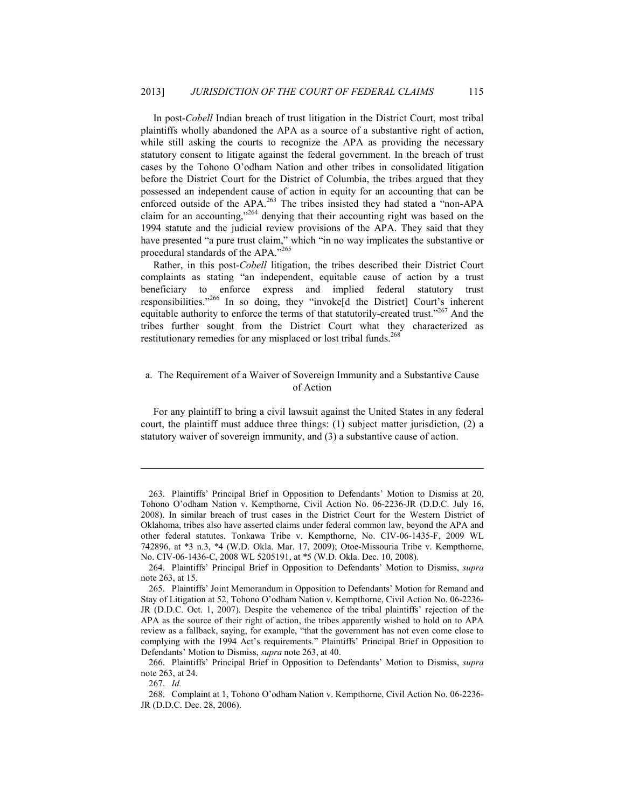In post-*Cobell* Indian breach of trust litigation in the District Court, most tribal plaintiffs wholly abandoned the APA as a source of a substantive right of action, while still asking the courts to recognize the APA as providing the necessary statutory consent to litigate against the federal government. In the breach of trust cases by the Tohono O'odham Nation and other tribes in consolidated litigation before the District Court for the District of Columbia, the tribes argued that they possessed an independent cause of action in equity for an accounting that can be enforced outside of the APA.<sup>263</sup> The tribes insisted they had stated a "non-APA claim for an accounting,"<sup>264</sup> denying that their accounting right was based on the 1994 statute and the judicial review provisions of the APA. They said that they have presented "a pure trust claim," which "in no way implicates the substantive or procedural standards of the APA."<sup>265</sup>

Rather, in this post-*Cobell* litigation, the tribes described their District Court complaints as stating "an independent, equitable cause of action by a trust beneficiary to enforce express and implied federal statutory trust responsibilities."266 In so doing, they "invoke[d the District] Court's inherent equitable authority to enforce the terms of that statutorily-created trust."<sup>267</sup> And the tribes further sought from the District Court what they characterized as restitutionary remedies for any misplaced or lost tribal funds.<sup>268</sup>

### a. The Requirement of a Waiver of Sovereign Immunity and a Substantive Cause of Action

For any plaintiff to bring a civil lawsuit against the United States in any federal court, the plaintiff must adduce three things: (1) subject matter jurisdiction, (2) a statutory waiver of sovereign immunity, and (3) a substantive cause of action.

267. *Id.*

<u>.</u>

 <sup>263.</sup> Plaintiffs' Principal Brief in Opposition to Defendants' Motion to Dismiss at 20, Tohono O'odham Nation v. Kempthorne, Civil Action No. 06-2236-JR (D.D.C. July 16, 2008). In similar breach of trust cases in the District Court for the Western District of Oklahoma, tribes also have asserted claims under federal common law, beyond the APA and other federal statutes. Tonkawa Tribe v. Kempthorne, No. CIV-06-1435-F, 2009 WL 742896, at \*3 n.3, \*4 (W.D. Okla. Mar. 17, 2009); Otoe-Missouria Tribe v. Kempthorne, No. CIV-06-1436-C, 2008 WL 5205191, at \*5 (W.D. Okla. Dec. 10, 2008).

 <sup>264.</sup> Plaintiffs' Principal Brief in Opposition to Defendants' Motion to Dismiss, *supra* note 263, at 15.

 <sup>265.</sup> Plaintiffs' Joint Memorandum in Opposition to Defendants' Motion for Remand and Stay of Litigation at 52, Tohono O'odham Nation v. Kempthorne, Civil Action No. 06-2236- JR (D.D.C. Oct. 1, 2007). Despite the vehemence of the tribal plaintiffs' rejection of the APA as the source of their right of action, the tribes apparently wished to hold on to APA review as a fallback, saying, for example, "that the government has not even come close to complying with the 1994 Act's requirements." Plaintiffs' Principal Brief in Opposition to Defendants' Motion to Dismiss, *supra* note 263, at 40.

 <sup>266.</sup> Plaintiffs' Principal Brief in Opposition to Defendants' Motion to Dismiss, *supra* note 263, at 24.

 <sup>268.</sup> Complaint at 1, Tohono O'odham Nation v. Kempthorne, Civil Action No. 06-2236- JR (D.D.C. Dec. 28, 2006).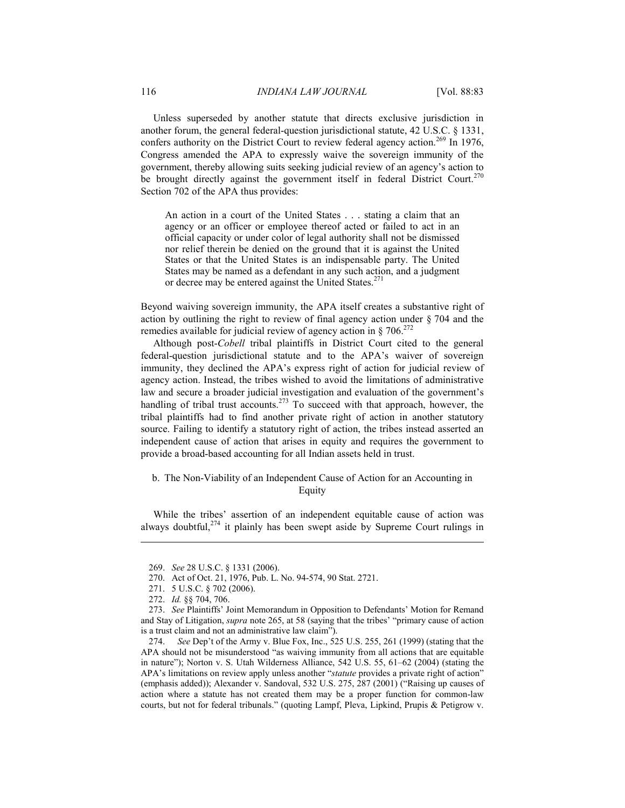Unless superseded by another statute that directs exclusive jurisdiction in another forum, the general federal-question jurisdictional statute, 42 U.S.C. § 1331, confers authority on the District Court to review federal agency action.<sup>269</sup> In 1976, Congress amended the APA to expressly waive the sovereign immunity of the government, thereby allowing suits seeking judicial review of an agency's action to be brought directly against the government itself in federal District Court.<sup>270</sup> Section 702 of the APA thus provides:

An action in a court of the United States . . . stating a claim that an agency or an officer or employee thereof acted or failed to act in an official capacity or under color of legal authority shall not be dismissed nor relief therein be denied on the ground that it is against the United States or that the United States is an indispensable party. The United States may be named as a defendant in any such action, and a judgment or decree may be entered against the United States.<sup>27</sup>

Beyond waiving sovereign immunity, the APA itself creates a substantive right of action by outlining the right to review of final agency action under § 704 and the remedies available for judicial review of agency action in § 706.<sup>272</sup>

Although post-*Cobell* tribal plaintiffs in District Court cited to the general federal-question jurisdictional statute and to the APA's waiver of sovereign immunity, they declined the APA's express right of action for judicial review of agency action. Instead, the tribes wished to avoid the limitations of administrative law and secure a broader judicial investigation and evaluation of the government's handling of tribal trust accounts.<sup>273</sup> To succeed with that approach, however, the tribal plaintiffs had to find another private right of action in another statutory source. Failing to identify a statutory right of action, the tribes instead asserted an independent cause of action that arises in equity and requires the government to provide a broad-based accounting for all Indian assets held in trust.

### b. The Non-Viability of an Independent Cause of Action for an Accounting in Equity

While the tribes' assertion of an independent equitable cause of action was always doubtful,  $2^{74}$  it plainly has been swept aside by Supreme Court rulings in

 <sup>269.</sup> *See* 28 U.S.C. § 1331 (2006).

 <sup>270.</sup> Act of Oct. 21, 1976, Pub. L. No. 94-574, 90 Stat. 2721.

 <sup>271. 5</sup> U.S.C. § 702 (2006).

 <sup>272.</sup> *Id.* §§ 704, 706.

 <sup>273.</sup> *See* Plaintiffs' Joint Memorandum in Opposition to Defendants' Motion for Remand and Stay of Litigation, *supra* note 265, at 58 (saying that the tribes' "primary cause of action is a trust claim and not an administrative law claim").

 <sup>274.</sup> *See* Dep't of the Army v. Blue Fox, Inc., 525 U.S. 255, 261 (1999) (stating that the APA should not be misunderstood "as waiving immunity from all actions that are equitable in nature"); Norton v. S. Utah Wilderness Alliance, 542 U.S. 55, 61–62 (2004) (stating the APA's limitations on review apply unless another "*statute* provides a private right of action" (emphasis added)); Alexander v. Sandoval, 532 U.S. 275, 287 (2001) ("Raising up causes of action where a statute has not created them may be a proper function for common-law courts, but not for federal tribunals." (quoting Lampf, Pleva, Lipkind, Prupis & Petigrow v.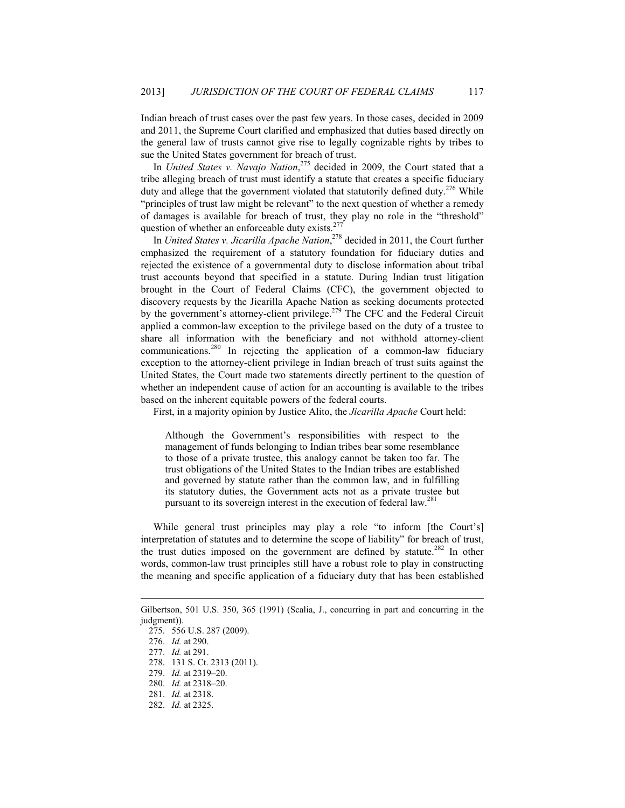Indian breach of trust cases over the past few years. In those cases, decided in 2009 and 2011, the Supreme Court clarified and emphasized that duties based directly on the general law of trusts cannot give rise to legally cognizable rights by tribes to sue the United States government for breach of trust.

In *United States v. Navajo Nation*, 275 decided in 2009, the Court stated that a tribe alleging breach of trust must identify a statute that creates a specific fiduciary duty and allege that the government violated that statutorily defined duty.<sup>276</sup> While "principles of trust law might be relevant" to the next question of whether a remedy of damages is available for breach of trust, they play no role in the "threshold" question of whether an enforceable duty exists.<sup>277</sup>

In *United States v. Jicarilla Apache Nation*, 278 decided in 2011, the Court further emphasized the requirement of a statutory foundation for fiduciary duties and rejected the existence of a governmental duty to disclose information about tribal trust accounts beyond that specified in a statute. During Indian trust litigation brought in the Court of Federal Claims (CFC), the government objected to discovery requests by the Jicarilla Apache Nation as seeking documents protected by the government's attorney-client privilege.<sup>279</sup> The CFC and the Federal Circuit applied a common-law exception to the privilege based on the duty of a trustee to share all information with the beneficiary and not withhold attorney-client communications.280 In rejecting the application of a common-law fiduciary exception to the attorney-client privilege in Indian breach of trust suits against the United States, the Court made two statements directly pertinent to the question of whether an independent cause of action for an accounting is available to the tribes based on the inherent equitable powers of the federal courts.

First, in a majority opinion by Justice Alito, the *Jicarilla Apache* Court held:

Although the Government's responsibilities with respect to the management of funds belonging to Indian tribes bear some resemblance to those of a private trustee, this analogy cannot be taken too far. The trust obligations of the United States to the Indian tribes are established and governed by statute rather than the common law, and in fulfilling its statutory duties, the Government acts not as a private trustee but pursuant to its sovereign interest in the execution of federal law.<sup>281</sup>

While general trust principles may play a role "to inform [the Court's] interpretation of statutes and to determine the scope of liability" for breach of trust, the trust duties imposed on the government are defined by statute.<sup>282</sup> In other words, common-law trust principles still have a robust role to play in constructing the meaning and specific application of a fiduciary duty that has been established

1

277. *Id.* at 291.

278. 131 S. Ct. 2313 (2011).

Gilbertson, 501 U.S. 350, 365 (1991) (Scalia, J., concurring in part and concurring in the judgment)).

 <sup>275. 556</sup> U.S. 287 (2009).

 <sup>276.</sup> *Id.* at 290.

 <sup>279.</sup> *Id.* at 2319–20.

 <sup>280.</sup> *Id.* at 2318–20.

 <sup>281.</sup> *Id.* at 2318.

 <sup>282.</sup> *Id.* at 2325.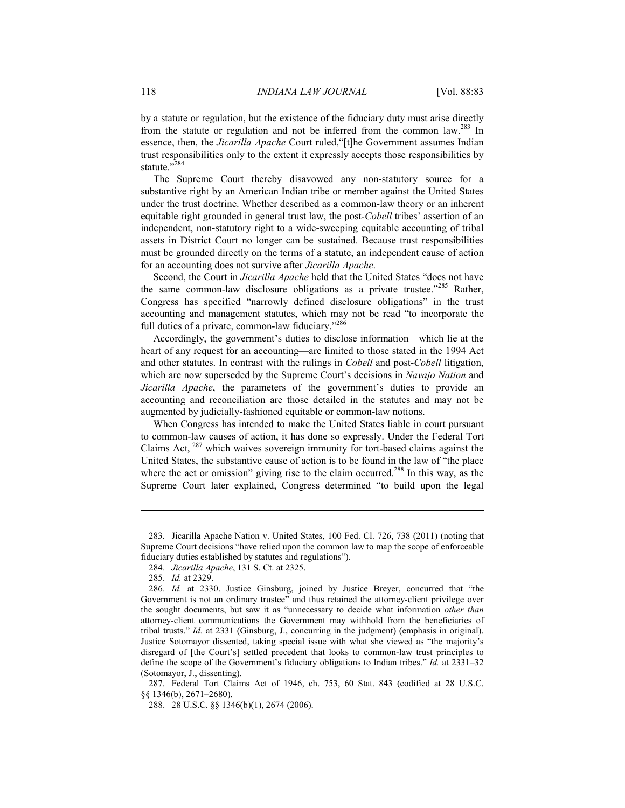by a statute or regulation, but the existence of the fiduciary duty must arise directly from the statute or regulation and not be inferred from the common law.<sup>283</sup> In essence, then, the *Jicarilla Apache* Court ruled,"[t]he Government assumes Indian trust responsibilities only to the extent it expressly accepts those responsibilities by statute."<sup>384</sup>

The Supreme Court thereby disavowed any non-statutory source for a substantive right by an American Indian tribe or member against the United States under the trust doctrine. Whether described as a common-law theory or an inherent equitable right grounded in general trust law, the post-*Cobell* tribes' assertion of an independent, non-statutory right to a wide-sweeping equitable accounting of tribal assets in District Court no longer can be sustained. Because trust responsibilities must be grounded directly on the terms of a statute, an independent cause of action for an accounting does not survive after *Jicarilla Apache*.

Second, the Court in *Jicarilla Apache* held that the United States "does not have the same common-law disclosure obligations as a private trustee." $285$  Rather, Congress has specified "narrowly defined disclosure obligations" in the trust accounting and management statutes, which may not be read "to incorporate the full duties of a private, common-law fiduciary."<sup>286</sup>

Accordingly, the government's duties to disclose information—which lie at the heart of any request for an accounting—are limited to those stated in the 1994 Act and other statutes. In contrast with the rulings in *Cobell* and post-*Cobell* litigation, which are now superseded by the Supreme Court's decisions in *Navajo Nation* and *Jicarilla Apache*, the parameters of the government's duties to provide an accounting and reconciliation are those detailed in the statutes and may not be augmented by judicially-fashioned equitable or common-law notions.

When Congress has intended to make the United States liable in court pursuant to common-law causes of action, it has done so expressly. Under the Federal Tort Claims Act, 287 which waives sovereign immunity for tort-based claims against the United States, the substantive cause of action is to be found in the law of "the place where the act or omission" giving rise to the claim occurred.<sup>288</sup> In this way, as the Supreme Court later explained, Congress determined "to build upon the legal

 <sup>283.</sup> Jicarilla Apache Nation v. United States, 100 Fed. Cl. 726, 738 (2011) (noting that Supreme Court decisions "have relied upon the common law to map the scope of enforceable fiduciary duties established by statutes and regulations").

 <sup>284.</sup> *Jicarilla Apache*, 131 S. Ct. at 2325.

 <sup>285.</sup> *Id.* at 2329.

 <sup>286.</sup> *Id.* at 2330. Justice Ginsburg, joined by Justice Breyer, concurred that "the Government is not an ordinary trustee" and thus retained the attorney-client privilege over the sought documents, but saw it as "unnecessary to decide what information *other than* attorney-client communications the Government may withhold from the beneficiaries of tribal trusts." *Id.* at 2331 (Ginsburg, J., concurring in the judgment) (emphasis in original). Justice Sotomayor dissented, taking special issue with what she viewed as "the majority's disregard of [the Court's] settled precedent that looks to common-law trust principles to define the scope of the Government's fiduciary obligations to Indian tribes." *Id.* at 2331–32 (Sotomayor, J., dissenting).

 <sup>287.</sup> Federal Tort Claims Act of 1946, ch. 753, 60 Stat. 843 (codified at 28 U.S.C. §§ 1346(b), 2671–2680).

 <sup>288. 28</sup> U.S.C. §§ 1346(b)(1), 2674 (2006).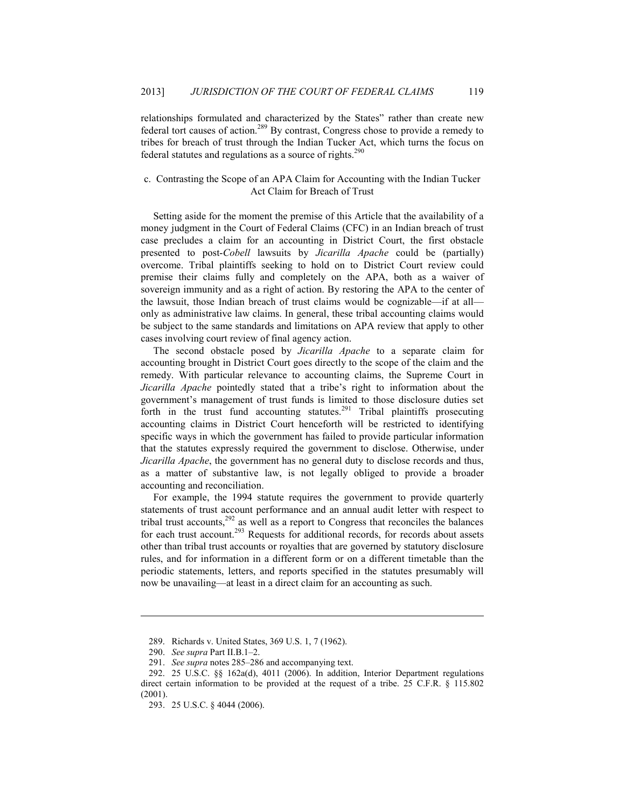relationships formulated and characterized by the States" rather than create new federal tort causes of action.289 By contrast, Congress chose to provide a remedy to tribes for breach of trust through the Indian Tucker Act, which turns the focus on federal statutes and regulations as a source of rights.<sup>290</sup>

### c. Contrasting the Scope of an APA Claim for Accounting with the Indian Tucker Act Claim for Breach of Trust

Setting aside for the moment the premise of this Article that the availability of a money judgment in the Court of Federal Claims (CFC) in an Indian breach of trust case precludes a claim for an accounting in District Court, the first obstacle presented to post-*Cobell* lawsuits by *Jicarilla Apache* could be (partially) overcome. Tribal plaintiffs seeking to hold on to District Court review could premise their claims fully and completely on the APA, both as a waiver of sovereign immunity and as a right of action. By restoring the APA to the center of the lawsuit, those Indian breach of trust claims would be cognizable—if at all only as administrative law claims. In general, these tribal accounting claims would be subject to the same standards and limitations on APA review that apply to other cases involving court review of final agency action.

The second obstacle posed by *Jicarilla Apache* to a separate claim for accounting brought in District Court goes directly to the scope of the claim and the remedy. With particular relevance to accounting claims, the Supreme Court in *Jicarilla Apache* pointedly stated that a tribe's right to information about the government's management of trust funds is limited to those disclosure duties set forth in the trust fund accounting statutes.<sup>291</sup> Tribal plaintiffs prosecuting accounting claims in District Court henceforth will be restricted to identifying specific ways in which the government has failed to provide particular information that the statutes expressly required the government to disclose. Otherwise, under *Jicarilla Apache*, the government has no general duty to disclose records and thus, as a matter of substantive law, is not legally obliged to provide a broader accounting and reconciliation.

For example, the 1994 statute requires the government to provide quarterly statements of trust account performance and an annual audit letter with respect to tribal trust accounts,  $292$  as well as a report to Congress that reconciles the balances for each trust account.<sup>293</sup> Requests for additional records, for records about assets other than tribal trust accounts or royalties that are governed by statutory disclosure rules, and for information in a different form or on a different timetable than the periodic statements, letters, and reports specified in the statutes presumably will now be unavailing—at least in a direct claim for an accounting as such.

 <sup>289.</sup> Richards v. United States, 369 U.S. 1, 7 (1962).

 <sup>290.</sup> *See supra* Part II.B.1–2.

 <sup>291.</sup> *See supra* notes 285–286 and accompanying text.

 <sup>292. 25</sup> U.S.C. §§ 162a(d), 4011 (2006). In addition, Interior Department regulations direct certain information to be provided at the request of a tribe. 25 C.F.R. § 115.802 (2001).

 <sup>293. 25</sup> U.S.C. § 4044 (2006).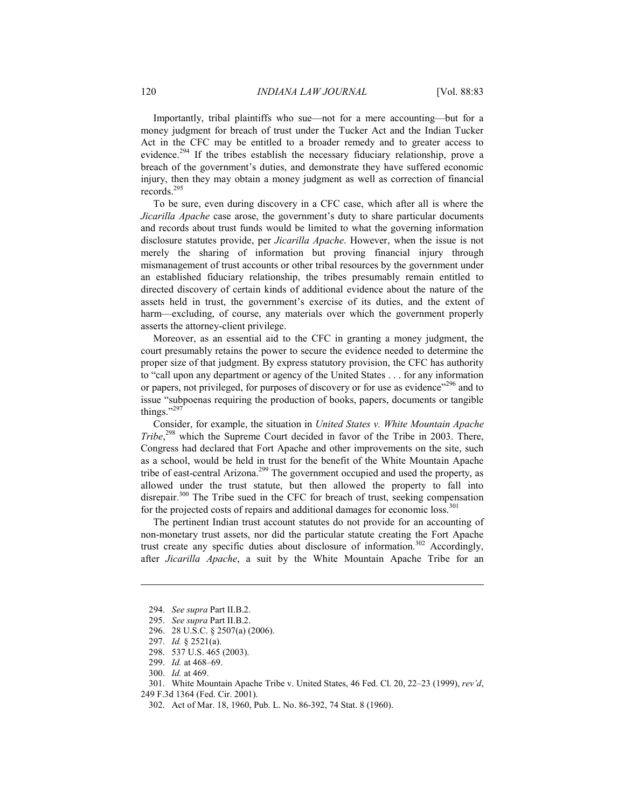Importantly, tribal plaintiffs who sue—not for a mere accounting—but for a money judgment for breach of trust under the Tucker Act and the Indian Tucker Act in the CFC may be entitled to a broader remedy and to greater access to evidence.<sup>294</sup> If the tribes establish the necessary fiduciary relationship, prove a breach of the government's duties, and demonstrate they have suffered economic injury, then they may obtain a money judgment as well as correction of financial records.295

To be sure, even during discovery in a CFC case, which after all is where the *Jicarilla Apache* case arose, the government's duty to share particular documents and records about trust funds would be limited to what the governing information disclosure statutes provide, per *Jicarilla Apache*. However, when the issue is not merely the sharing of information but proving financial injury through mismanagement of trust accounts or other tribal resources by the government under an established fiduciary relationship, the tribes presumably remain entitled to directed discovery of certain kinds of additional evidence about the nature of the assets held in trust, the government's exercise of its duties, and the extent of harm—excluding, of course, any materials over which the government properly asserts the attorney-client privilege.

Moreover, as an essential aid to the CFC in granting a money judgment, the court presumably retains the power to secure the evidence needed to determine the proper size of that judgment. By express statutory provision, the CFC has authority to "call upon any department or agency of the United States . . . for any information or papers, not privileged, for purposes of discovery or for use as evidence"<sup>296</sup> and to issue "subpoenas requiring the production of books, papers, documents or tangible things."<sup>297</sup>

Consider, for example, the situation in *United States v. White Mountain Apache Tribe*, 298 which the Supreme Court decided in favor of the Tribe in 2003. There, Congress had declared that Fort Apache and other improvements on the site, such as a school, would be held in trust for the benefit of the White Mountain Apache tribe of east-central Arizona.<sup>299</sup> The government occupied and used the property, as allowed under the trust statute, but then allowed the property to fall into disrepair. $300$  The Tribe sued in the CFC for breach of trust, seeking compensation for the projected costs of repairs and additional damages for economic loss.<sup>301</sup>

The pertinent Indian trust account statutes do not provide for an accounting of non-monetary trust assets, nor did the particular statute creating the Fort Apache trust create any specific duties about disclosure of information.<sup>302</sup> Accordingly, after *Jicarilla Apache*, a suit by the White Mountain Apache Tribe for an

1

302. Act of Mar. 18, 1960, Pub. L. No. 86-392, 74 Stat. 8 (1960).

 <sup>294.</sup> *See supra* Part II.B.2.

 <sup>295.</sup> *See supra* Part II.B.2.

 <sup>296. 28</sup> U.S.C. § 2507(a) (2006).

 <sup>297.</sup> *Id.* § 2521(a).

 <sup>298. 537</sup> U.S. 465 (2003).

 <sup>299.</sup> *Id.* at 468–69.

 <sup>300.</sup> *Id.* at 469.

 <sup>301.</sup> White Mountain Apache Tribe v. United States, 46 Fed. Cl. 20, 22–23 (1999), *rev'd*,

<sup>249</sup> F.3d 1364 (Fed. Cir. 2001).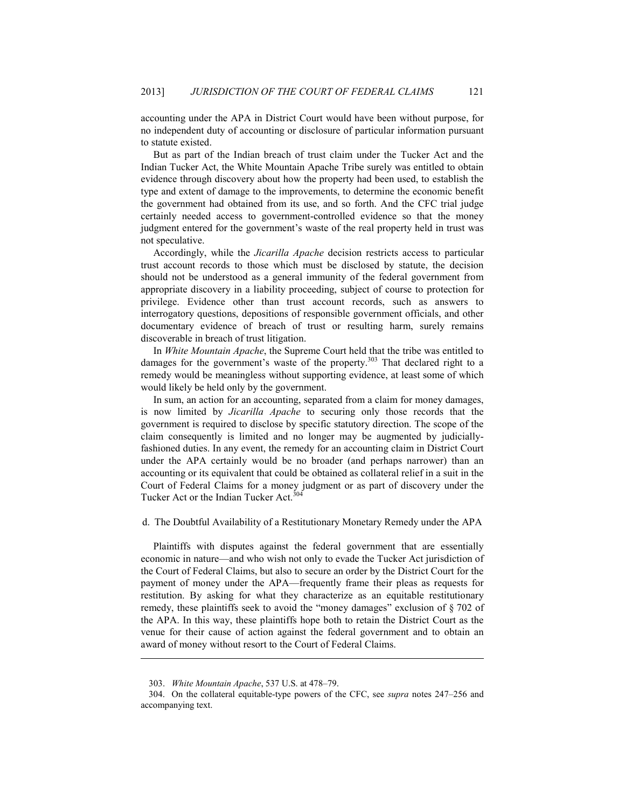accounting under the APA in District Court would have been without purpose, for no independent duty of accounting or disclosure of particular information pursuant to statute existed.

But as part of the Indian breach of trust claim under the Tucker Act and the Indian Tucker Act, the White Mountain Apache Tribe surely was entitled to obtain evidence through discovery about how the property had been used, to establish the type and extent of damage to the improvements, to determine the economic benefit the government had obtained from its use, and so forth. And the CFC trial judge certainly needed access to government-controlled evidence so that the money judgment entered for the government's waste of the real property held in trust was not speculative.

Accordingly, while the *Jicarilla Apache* decision restricts access to particular trust account records to those which must be disclosed by statute, the decision should not be understood as a general immunity of the federal government from appropriate discovery in a liability proceeding, subject of course to protection for privilege. Evidence other than trust account records, such as answers to interrogatory questions, depositions of responsible government officials, and other documentary evidence of breach of trust or resulting harm, surely remains discoverable in breach of trust litigation.

In *White Mountain Apache*, the Supreme Court held that the tribe was entitled to damages for the government's waste of the property.<sup>303</sup> That declared right to a remedy would be meaningless without supporting evidence, at least some of which would likely be held only by the government.

In sum, an action for an accounting, separated from a claim for money damages, is now limited by *Jicarilla Apache* to securing only those records that the government is required to disclose by specific statutory direction. The scope of the claim consequently is limited and no longer may be augmented by judiciallyfashioned duties. In any event, the remedy for an accounting claim in District Court under the APA certainly would be no broader (and perhaps narrower) than an accounting or its equivalent that could be obtained as collateral relief in a suit in the Court of Federal Claims for a money judgment or as part of discovery under the Tucker Act or the Indian Tucker Act.<sup>304</sup>

d. The Doubtful Availability of a Restitutionary Monetary Remedy under the APA

Plaintiffs with disputes against the federal government that are essentially economic in nature—and who wish not only to evade the Tucker Act jurisdiction of the Court of Federal Claims, but also to secure an order by the District Court for the payment of money under the APA—frequently frame their pleas as requests for restitution. By asking for what they characterize as an equitable restitutionary remedy, these plaintiffs seek to avoid the "money damages" exclusion of § 702 of the APA. In this way, these plaintiffs hope both to retain the District Court as the venue for their cause of action against the federal government and to obtain an award of money without resort to the Court of Federal Claims.

 <sup>303.</sup> *White Mountain Apache*, 537 U.S. at 478–79.

 <sup>304.</sup> On the collateral equitable-type powers of the CFC, see *supra* notes 247–256 and accompanying text.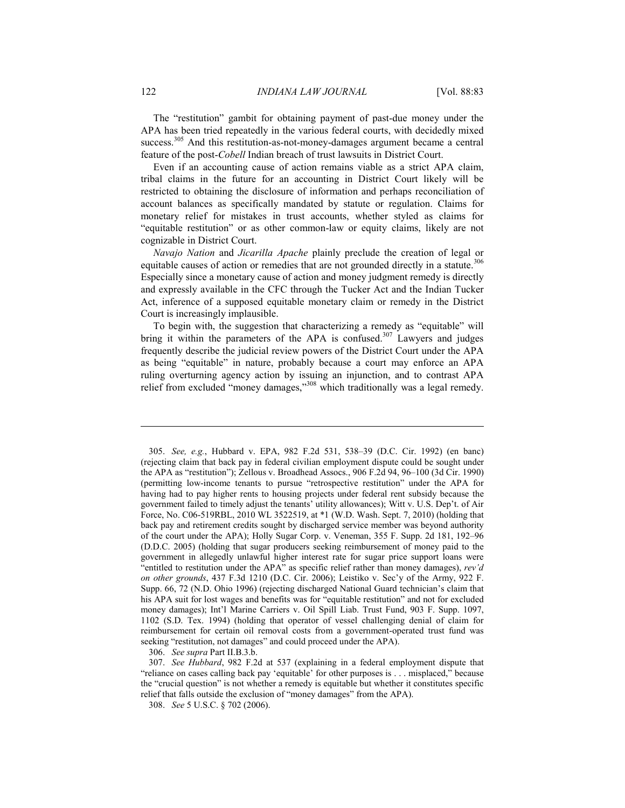The "restitution" gambit for obtaining payment of past-due money under the APA has been tried repeatedly in the various federal courts, with decidedly mixed success.<sup>305</sup> And this restitution-as-not-money-damages argument became a central feature of the post-*Cobell* Indian breach of trust lawsuits in District Court.

Even if an accounting cause of action remains viable as a strict APA claim, tribal claims in the future for an accounting in District Court likely will be restricted to obtaining the disclosure of information and perhaps reconciliation of account balances as specifically mandated by statute or regulation. Claims for monetary relief for mistakes in trust accounts, whether styled as claims for "equitable restitution" or as other common-law or equity claims, likely are not cognizable in District Court.

*Navajo Nation* and *Jicarilla Apache* plainly preclude the creation of legal or equitable causes of action or remedies that are not grounded directly in a statute.<sup>306</sup> Especially since a monetary cause of action and money judgment remedy is directly and expressly available in the CFC through the Tucker Act and the Indian Tucker Act, inference of a supposed equitable monetary claim or remedy in the District Court is increasingly implausible.

To begin with, the suggestion that characterizing a remedy as "equitable" will bring it within the parameters of the APA is confused. $307$  Lawyers and judges frequently describe the judicial review powers of the District Court under the APA as being "equitable" in nature, probably because a court may enforce an APA ruling overturning agency action by issuing an injunction, and to contrast APA relief from excluded "money damages,"<sup>308</sup> which traditionally was a legal remedy.

306. *See supra* Part II.B.3.b.

 <sup>305.</sup> *See, e.g.*, Hubbard v. EPA, 982 F.2d 531, 538–39 (D.C. Cir. 1992) (en banc) (rejecting claim that back pay in federal civilian employment dispute could be sought under the APA as "restitution"); Zellous v. Broadhead Assocs., 906 F.2d 94, 96–100 (3d Cir. 1990) (permitting low-income tenants to pursue "retrospective restitution" under the APA for having had to pay higher rents to housing projects under federal rent subsidy because the government failed to timely adjust the tenants' utility allowances); Witt v. U.S. Dep't. of Air Force, No. C06-519RBL, 2010 WL 3522519, at \*1 (W.D. Wash. Sept. 7, 2010) (holding that back pay and retirement credits sought by discharged service member was beyond authority of the court under the APA); Holly Sugar Corp. v. Veneman, 355 F. Supp. 2d 181, 192–96 (D.D.C. 2005) (holding that sugar producers seeking reimbursement of money paid to the government in allegedly unlawful higher interest rate for sugar price support loans were "entitled to restitution under the APA" as specific relief rather than money damages), *rev'd on other grounds*, 437 F.3d 1210 (D.C. Cir. 2006); Leistiko v. Sec'y of the Army, 922 F. Supp. 66, 72 (N.D. Ohio 1996) (rejecting discharged National Guard technician's claim that his APA suit for lost wages and benefits was for "equitable restitution" and not for excluded money damages); Int'l Marine Carriers v. Oil Spill Liab. Trust Fund, 903 F. Supp. 1097, 1102 (S.D. Tex. 1994) (holding that operator of vessel challenging denial of claim for reimbursement for certain oil removal costs from a government-operated trust fund was seeking "restitution, not damages" and could proceed under the APA).

 <sup>307.</sup> *See Hubbard*, 982 F.2d at 537 (explaining in a federal employment dispute that "reliance on cases calling back pay 'equitable' for other purposes is . . . misplaced," because the "crucial question" is not whether a remedy is equitable but whether it constitutes specific relief that falls outside the exclusion of "money damages" from the APA).

 <sup>308.</sup> *See* 5 U.S.C. § 702 (2006).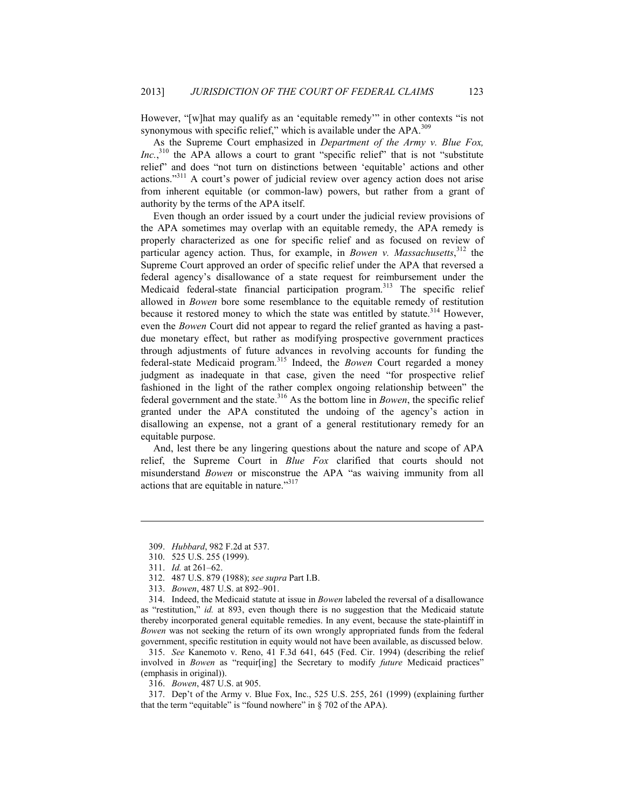However, "[w]hat may qualify as an 'equitable remedy'" in other contexts "is not synonymous with specific relief," which is available under the  $APA$ .<sup>309</sup>

As the Supreme Court emphasized in *Department of the Army v. Blue Fox, Inc.*<sup>310</sup>, the APA allows a court to grant "specific relief" that is not "substitute relief" and does "not turn on distinctions between 'equitable' actions and other actions."311 A court's power of judicial review over agency action does not arise from inherent equitable (or common-law) powers, but rather from a grant of authority by the terms of the APA itself.

Even though an order issued by a court under the judicial review provisions of the APA sometimes may overlap with an equitable remedy, the APA remedy is properly characterized as one for specific relief and as focused on review of particular agency action. Thus, for example, in *Bowen v. Massachusetts*, 312 the Supreme Court approved an order of specific relief under the APA that reversed a federal agency's disallowance of a state request for reimbursement under the Medicaid federal-state financial participation program.<sup>313</sup> The specific relief allowed in *Bowen* bore some resemblance to the equitable remedy of restitution because it restored money to which the state was entitled by statute.<sup>314</sup> However, even the *Bowen* Court did not appear to regard the relief granted as having a pastdue monetary effect, but rather as modifying prospective government practices through adjustments of future advances in revolving accounts for funding the federal-state Medicaid program.315 Indeed, the *Bowen* Court regarded a money judgment as inadequate in that case, given the need "for prospective relief fashioned in the light of the rather complex ongoing relationship between" the federal government and the state.<sup>316</sup> As the bottom line in *Bowen*, the specific relief granted under the APA constituted the undoing of the agency's action in disallowing an expense, not a grant of a general restitutionary remedy for an equitable purpose.

And, lest there be any lingering questions about the nature and scope of APA relief, the Supreme Court in *Blue Fox* clarified that courts should not misunderstand *Bowen* or misconstrue the APA "as waiving immunity from all actions that are equitable in nature."<sup>317</sup>

1

 314. Indeed, the Medicaid statute at issue in *Bowen* labeled the reversal of a disallowance as "restitution," *id.* at 893, even though there is no suggestion that the Medicaid statute thereby incorporated general equitable remedies. In any event, because the state-plaintiff in *Bowen* was not seeking the return of its own wrongly appropriated funds from the federal government, specific restitution in equity would not have been available, as discussed below.

 315. *See* Kanemoto v. Reno, 41 F.3d 641, 645 (Fed. Cir. 1994) (describing the relief involved in *Bowen* as "requir[ing] the Secretary to modify *future* Medicaid practices" (emphasis in original)).

316. *Bowen*, 487 U.S. at 905.

 317. Dep't of the Army v. Blue Fox, Inc., 525 U.S. 255, 261 (1999) (explaining further that the term "equitable" is "found nowhere" in § 702 of the APA).

 <sup>309.</sup> *Hubbard*, 982 F.2d at 537.

 <sup>310. 525</sup> U.S. 255 (1999).

 <sup>311.</sup> *Id.* at 261–62.

 <sup>312. 487</sup> U.S. 879 (1988); *see supra* Part I.B.

 <sup>313.</sup> *Bowen*, 487 U.S. at 892–901.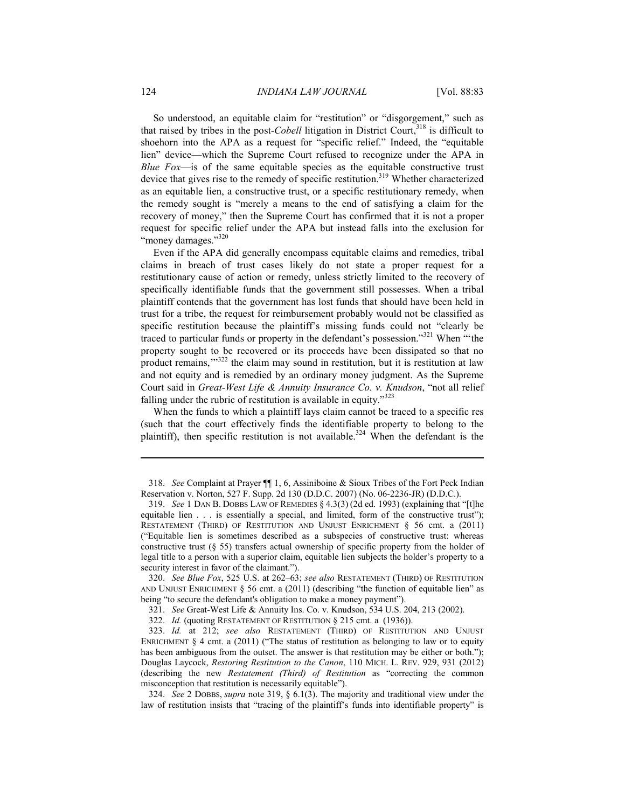So understood, an equitable claim for "restitution" or "disgorgement," such as that raised by tribes in the post-*Cobell* litigation in District Court,<sup>318</sup> is difficult to shoehorn into the APA as a request for "specific relief." Indeed, the "equitable lien" device—which the Supreme Court refused to recognize under the APA in *Blue Fox*—is of the same equitable species as the equitable constructive trust device that gives rise to the remedy of specific restitution.<sup>319</sup> Whether characterized as an equitable lien, a constructive trust, or a specific restitutionary remedy, when the remedy sought is "merely a means to the end of satisfying a claim for the recovery of money," then the Supreme Court has confirmed that it is not a proper request for specific relief under the APA but instead falls into the exclusion for "money damages."<sup>320</sup>

Even if the APA did generally encompass equitable claims and remedies, tribal claims in breach of trust cases likely do not state a proper request for a restitutionary cause of action or remedy, unless strictly limited to the recovery of specifically identifiable funds that the government still possesses. When a tribal plaintiff contends that the government has lost funds that should have been held in trust for a tribe, the request for reimbursement probably would not be classified as specific restitution because the plaintiff's missing funds could not "clearly be traced to particular funds or property in the defendant's possession."321 When "'the property sought to be recovered or its proceeds have been dissipated so that no product remains,'"322 the claim may sound in restitution, but it is restitution at law and not equity and is remedied by an ordinary money judgment. As the Supreme Court said in *Great-West Life & Annuity Insurance Co. v. Knudson*, "not all relief falling under the rubric of restitution is available in equity."<sup>323</sup>

When the funds to which a plaintiff lays claim cannot be traced to a specific res (such that the court effectively finds the identifiable property to belong to the plaintiff), then specific restitution is not available.<sup>324</sup> When the defendant is the

 324. *See* 2 DOBBS, *supra* note 319, § 6.1(3). The majority and traditional view under the law of restitution insists that "tracing of the plaintiff's funds into identifiable property" is

 <sup>318.</sup> *See* Complaint at Prayer ¶¶ 1, 6, Assiniboine & Sioux Tribes of the Fort Peck Indian Reservation v. Norton, 527 F. Supp. 2d 130 (D.D.C. 2007) (No. 06-2236-JR) (D.D.C.).

 <sup>319.</sup> *See* 1 DAN B. DOBBS LAW OF REMEDIES § 4.3(3) (2d ed. 1993) (explaining that "[t]he equitable lien . . . is essentially a special, and limited, form of the constructive trust"); RESTATEMENT (THIRD) OF RESTITUTION AND UNJUST ENRICHMENT § 56 cmt. a (2011) ("Equitable lien is sometimes described as a subspecies of constructive trust: whereas constructive trust (§ 55) transfers actual ownership of specific property from the holder of legal title to a person with a superior claim, equitable lien subjects the holder's property to a security interest in favor of the claimant.").

 <sup>320.</sup> *See Blue Fox*, 525 U.S. at 262–63; *see also* RESTATEMENT (THIRD) OF RESTITUTION AND UNJUST ENRICHMENT § 56 cmt. a (2011) (describing "the function of equitable lien" as being "to secure the defendant's obligation to make a money payment").

 <sup>321.</sup> *See* Great-West Life & Annuity Ins. Co. v. Knudson, 534 U.S. 204, 213 (2002).

 <sup>322.</sup> *Id.* (quoting RESTATEMENT OF RESTITUTION § 215 cmt. a (1936)).

 <sup>323.</sup> *Id.* at 212; *see also* RESTATEMENT (THIRD) OF RESTITUTION AND UNJUST ENRICHMENT  $\S 4$  cmt. a (2011) ("The status of restitution as belonging to law or to equity has been ambiguous from the outset. The answer is that restitution may be either or both."); Douglas Laycock, *Restoring Restitution to the Canon*, 110 MICH. L. REV. 929, 931 (2012) (describing the new *Restatement (Third) of Restitution* as "correcting the common misconception that restitution is necessarily equitable").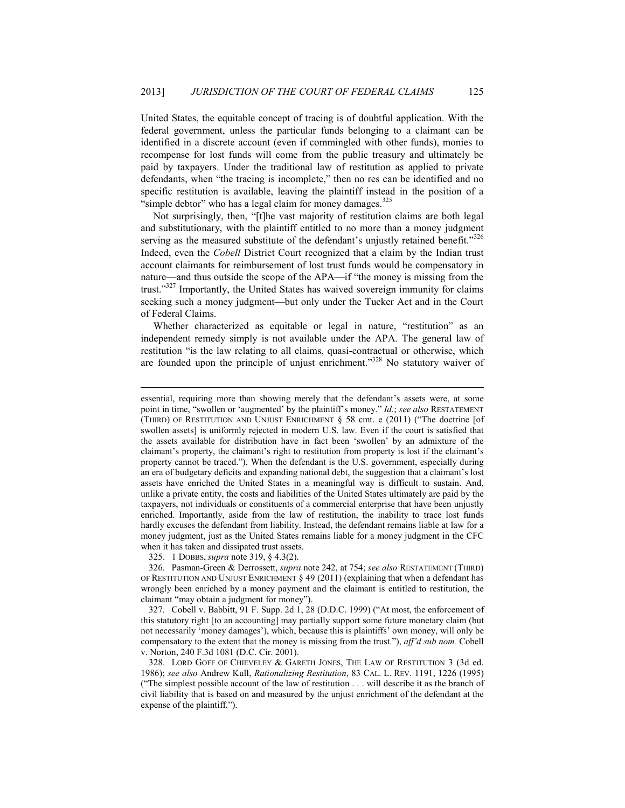United States, the equitable concept of tracing is of doubtful application. With the federal government, unless the particular funds belonging to a claimant can be identified in a discrete account (even if commingled with other funds), monies to recompense for lost funds will come from the public treasury and ultimately be paid by taxpayers. Under the traditional law of restitution as applied to private defendants, when "the tracing is incomplete," then no res can be identified and no specific restitution is available, leaving the plaintiff instead in the position of a "simple debtor" who has a legal claim for money damages. $325$ 

Not surprisingly, then, "[t]he vast majority of restitution claims are both legal and substitutionary, with the plaintiff entitled to no more than a money judgment serving as the measured substitute of the defendant's unjustly retained benefit."326 Indeed, even the *Cobell* District Court recognized that a claim by the Indian trust account claimants for reimbursement of lost trust funds would be compensatory in nature—and thus outside the scope of the APA—if "the money is missing from the trust."327 Importantly, the United States has waived sovereign immunity for claims seeking such a money judgment—but only under the Tucker Act and in the Court of Federal Claims.

Whether characterized as equitable or legal in nature, "restitution" as an independent remedy simply is not available under the APA. The general law of restitution "is the law relating to all claims, quasi-contractual or otherwise, which are founded upon the principle of unjust enrichment."<sup>328</sup> No statutory waiver of

1

 327. Cobell v. Babbitt, 91 F. Supp. 2d 1, 28 (D.D.C. 1999) ("At most, the enforcement of this statutory right [to an accounting] may partially support some future monetary claim (but not necessarily 'money damages'), which, because this is plaintiffs' own money, will only be compensatory to the extent that the money is missing from the trust."), *aff'd sub nom.* Cobell v. Norton, 240 F.3d 1081 (D.C. Cir. 2001).

 328. LORD GOFF OF CHIEVELEY & GARETH JONES, THE LAW OF RESTITUTION 3 (3d ed. 1986); *see also* Andrew Kull, *Rationalizing Restitution*, 83 CAL. L. REV. 1191, 1226 (1995) ("The simplest possible account of the law of restitution . . . will describe it as the branch of civil liability that is based on and measured by the unjust enrichment of the defendant at the expense of the plaintiff.").

essential, requiring more than showing merely that the defendant's assets were, at some point in time, "swollen or 'augmented' by the plaintiff's money." *Id.*; *see also* RESTATEMENT (THIRD) OF RESTITUTION AND UNJUST ENRICHMENT § 58 cmt. e (2011) ("The doctrine [of swollen assets] is uniformly rejected in modern U.S. law. Even if the court is satisfied that the assets available for distribution have in fact been 'swollen' by an admixture of the claimant's property, the claimant's right to restitution from property is lost if the claimant's property cannot be traced."). When the defendant is the U.S. government, especially during an era of budgetary deficits and expanding national debt, the suggestion that a claimant's lost assets have enriched the United States in a meaningful way is difficult to sustain. And, unlike a private entity, the costs and liabilities of the United States ultimately are paid by the taxpayers, not individuals or constituents of a commercial enterprise that have been unjustly enriched. Importantly, aside from the law of restitution, the inability to trace lost funds hardly excuses the defendant from liability. Instead, the defendant remains liable at law for a money judgment, just as the United States remains liable for a money judgment in the CFC when it has taken and dissipated trust assets.

 <sup>325. 1</sup> DOBBS, *supra* note 319, § 4.3(2).

 <sup>326.</sup> Pasman-Green & Derrossett, *supra* note 242, at 754; *see also* RESTATEMENT (THIRD) OF RESTITUTION AND UNJUST ENRICHMENT  $\S 49 (2011)$  (explaining that when a defendant has wrongly been enriched by a money payment and the claimant is entitled to restitution, the claimant "may obtain a judgment for money").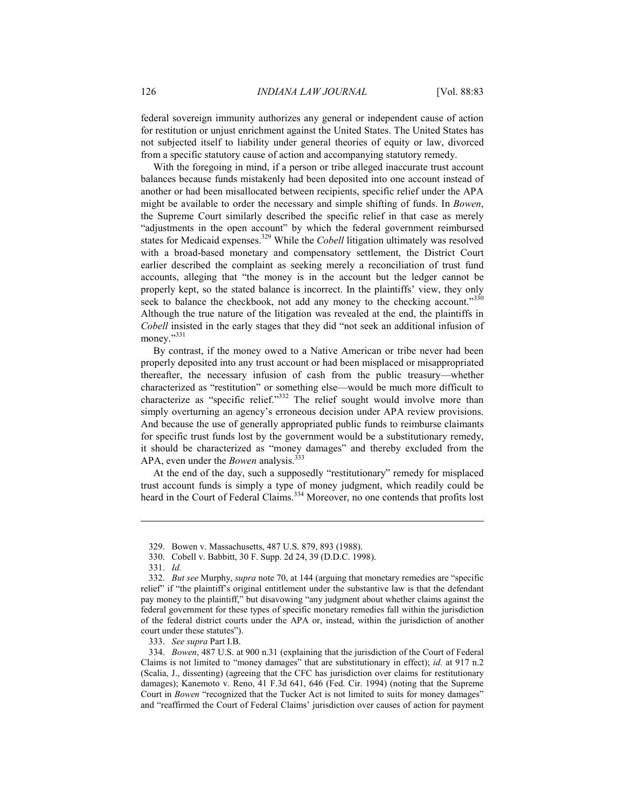federal sovereign immunity authorizes any general or independent cause of action for restitution or unjust enrichment against the United States. The United States has not subjected itself to liability under general theories of equity or law, divorced from a specific statutory cause of action and accompanying statutory remedy.

With the foregoing in mind, if a person or tribe alleged inaccurate trust account balances because funds mistakenly had been deposited into one account instead of another or had been misallocated between recipients, specific relief under the APA might be available to order the necessary and simple shifting of funds. In *Bowen*, the Supreme Court similarly described the specific relief in that case as merely "adjustments in the open account" by which the federal government reimbursed states for Medicaid expenses.<sup>329</sup> While the *Cobell* litigation ultimately was resolved with a broad-based monetary and compensatory settlement, the District Court earlier described the complaint as seeking merely a reconciliation of trust fund accounts, alleging that "the money is in the account but the ledger cannot be properly kept, so the stated balance is incorrect. In the plaintiffs' view, they only seek to balance the checkbook, not add any money to the checking account."<sup>330</sup> Although the true nature of the litigation was revealed at the end, the plaintiffs in *Cobell* insisted in the early stages that they did "not seek an additional infusion of money."331

By contrast, if the money owed to a Native American or tribe never had been properly deposited into any trust account or had been misplaced or misappropriated thereafter, the necessary infusion of cash from the public treasury—whether characterized as "restitution" or something else—would be much more difficult to characterize as "specific relief."<sup>332</sup> The relief sought would involve more than simply overturning an agency's erroneous decision under APA review provisions. And because the use of generally appropriated public funds to reimburse claimants for specific trust funds lost by the government would be a substitutionary remedy, it should be characterized as "money damages" and thereby excluded from the APA, even under the *Bowen* analysis.<sup>333</sup>

At the end of the day, such a supposedly "restitutionary" remedy for misplaced trust account funds is simply a type of money judgment, which readily could be heard in the Court of Federal Claims.<sup>334</sup> Moreover, no one contends that profits lost

 <sup>329.</sup> Bowen v. Massachusetts, 487 U.S. 879, 893 (1988).

 <sup>330.</sup> Cobell v. Babbitt, 30 F. Supp. 2d 24, 39 (D.D.C. 1998).

 <sup>331.</sup> *Id.*

 <sup>332.</sup> *But see* Murphy, *supra* note 70, at 144 (arguing that monetary remedies are "specific relief" if "the plaintiff's original entitlement under the substantive law is that the defendant pay money to the plaintiff," but disavowing "any judgment about whether claims against the federal government for these types of specific monetary remedies fall within the jurisdiction of the federal district courts under the APA or, instead, within the jurisdiction of another court under these statutes").

 <sup>333.</sup> *See supra* Part I.B.

 <sup>334.</sup> *Bowen*, 487 U.S. at 900 n.31 (explaining that the jurisdiction of the Court of Federal Claims is not limited to "money damages" that are substitutionary in effect); *id.* at 917 n.2 (Scalia, J., dissenting) (agreeing that the CFC has jurisdiction over claims for restitutionary damages); Kanemoto v. Reno, 41 F.3d 641, 646 (Fed. Cir. 1994) (noting that the Supreme Court in *Bowen* "recognized that the Tucker Act is not limited to suits for money damages" and "reaffirmed the Court of Federal Claims' jurisdiction over causes of action for payment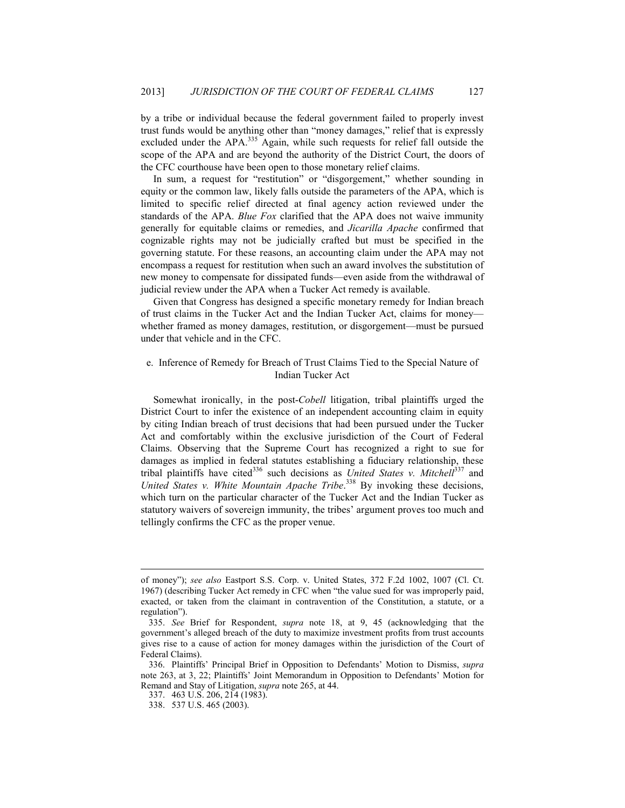by a tribe or individual because the federal government failed to properly invest trust funds would be anything other than "money damages," relief that is expressly excluded under the APA.<sup>335</sup> Again, while such requests for relief fall outside the scope of the APA and are beyond the authority of the District Court, the doors of the CFC courthouse have been open to those monetary relief claims.

In sum, a request for "restitution" or "disgorgement," whether sounding in equity or the common law, likely falls outside the parameters of the APA, which is limited to specific relief directed at final agency action reviewed under the standards of the APA. *Blue Fox* clarified that the APA does not waive immunity generally for equitable claims or remedies, and *Jicarilla Apache* confirmed that cognizable rights may not be judicially crafted but must be specified in the governing statute. For these reasons, an accounting claim under the APA may not encompass a request for restitution when such an award involves the substitution of new money to compensate for dissipated funds—even aside from the withdrawal of judicial review under the APA when a Tucker Act remedy is available.

Given that Congress has designed a specific monetary remedy for Indian breach of trust claims in the Tucker Act and the Indian Tucker Act, claims for money whether framed as money damages, restitution, or disgorgement—must be pursued under that vehicle and in the CFC.

### e. Inference of Remedy for Breach of Trust Claims Tied to the Special Nature of Indian Tucker Act

Somewhat ironically, in the post-*Cobell* litigation, tribal plaintiffs urged the District Court to infer the existence of an independent accounting claim in equity by citing Indian breach of trust decisions that had been pursued under the Tucker Act and comfortably within the exclusive jurisdiction of the Court of Federal Claims. Observing that the Supreme Court has recognized a right to sue for damages as implied in federal statutes establishing a fiduciary relationship, these tribal plaintiffs have cited<sup>336</sup> such decisions as *United States v. Mitchell*<sup>337</sup> and United States v. White Mountain Apache Tribe.<sup>338</sup> By invoking these decisions, which turn on the particular character of the Tucker Act and the Indian Tucker as statutory waivers of sovereign immunity, the tribes' argument proves too much and tellingly confirms the CFC as the proper venue.

<u>.</u>

of money"); *see also* Eastport S.S. Corp. v. United States, 372 F.2d 1002, 1007 (Cl. Ct. 1967) (describing Tucker Act remedy in CFC when "the value sued for was improperly paid, exacted, or taken from the claimant in contravention of the Constitution, a statute, or a regulation").

 <sup>335.</sup> *See* Brief for Respondent, *supra* note 18, at 9, 45 (acknowledging that the government's alleged breach of the duty to maximize investment profits from trust accounts gives rise to a cause of action for money damages within the jurisdiction of the Court of Federal Claims).

 <sup>336.</sup> Plaintiffs' Principal Brief in Opposition to Defendants' Motion to Dismiss, *supra* note 263, at 3, 22; Plaintiffs' Joint Memorandum in Opposition to Defendants' Motion for Remand and Stay of Litigation, *supra* note 265, at 44.

 <sup>337. 463</sup> U.S. 206, 214 (1983).

 <sup>338. 537</sup> U.S. 465 (2003).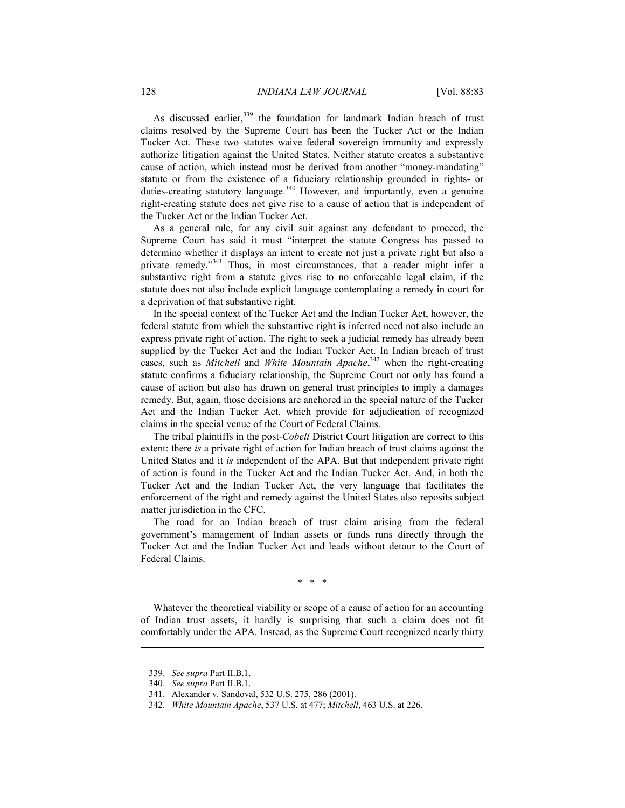As discussed earlier,<sup>339</sup> the foundation for landmark Indian breach of trust claims resolved by the Supreme Court has been the Tucker Act or the Indian Tucker Act. These two statutes waive federal sovereign immunity and expressly authorize litigation against the United States. Neither statute creates a substantive cause of action, which instead must be derived from another "money-mandating" statute or from the existence of a fiduciary relationship grounded in rights- or duties-creating statutory language.<sup>340</sup> However, and importantly, even a genuine right-creating statute does not give rise to a cause of action that is independent of the Tucker Act or the Indian Tucker Act.

As a general rule, for any civil suit against any defendant to proceed, the Supreme Court has said it must "interpret the statute Congress has passed to determine whether it displays an intent to create not just a private right but also a private remedy."<sup>341</sup> Thus, in most circumstances, that a reader might infer a substantive right from a statute gives rise to no enforceable legal claim, if the statute does not also include explicit language contemplating a remedy in court for a deprivation of that substantive right.

In the special context of the Tucker Act and the Indian Tucker Act, however, the federal statute from which the substantive right is inferred need not also include an express private right of action. The right to seek a judicial remedy has already been supplied by the Tucker Act and the Indian Tucker Act. In Indian breach of trust cases, such as *Mitchell* and *White Mountain Apache*, 342 when the right-creating statute confirms a fiduciary relationship, the Supreme Court not only has found a cause of action but also has drawn on general trust principles to imply a damages remedy. But, again, those decisions are anchored in the special nature of the Tucker Act and the Indian Tucker Act, which provide for adjudication of recognized claims in the special venue of the Court of Federal Claims.

The tribal plaintiffs in the post-*Cobell* District Court litigation are correct to this extent: there *is* a private right of action for Indian breach of trust claims against the United States and it *is* independent of the APA. But that independent private right of action is found in the Tucker Act and the Indian Tucker Act. And, in both the Tucker Act and the Indian Tucker Act, the very language that facilitates the enforcement of the right and remedy against the United States also reposits subject matter jurisdiction in the CFC.

The road for an Indian breach of trust claim arising from the federal government's management of Indian assets or funds runs directly through the Tucker Act and the Indian Tucker Act and leads without detour to the Court of Federal Claims.

\* \* \*

Whatever the theoretical viability or scope of a cause of action for an accounting of Indian trust assets, it hardly is surprising that such a claim does not fit comfortably under the APA. Instead, as the Supreme Court recognized nearly thirty

<u>.</u>

 <sup>339.</sup> *See supra* Part II.B.1.

 <sup>340.</sup> *See supra* Part II.B.1.

 <sup>341.</sup> Alexander v. Sandoval, 532 U.S. 275, 286 (2001).

 <sup>342.</sup> *White Mountain Apache*, 537 U.S. at 477; *Mitchell*, 463 U.S. at 226.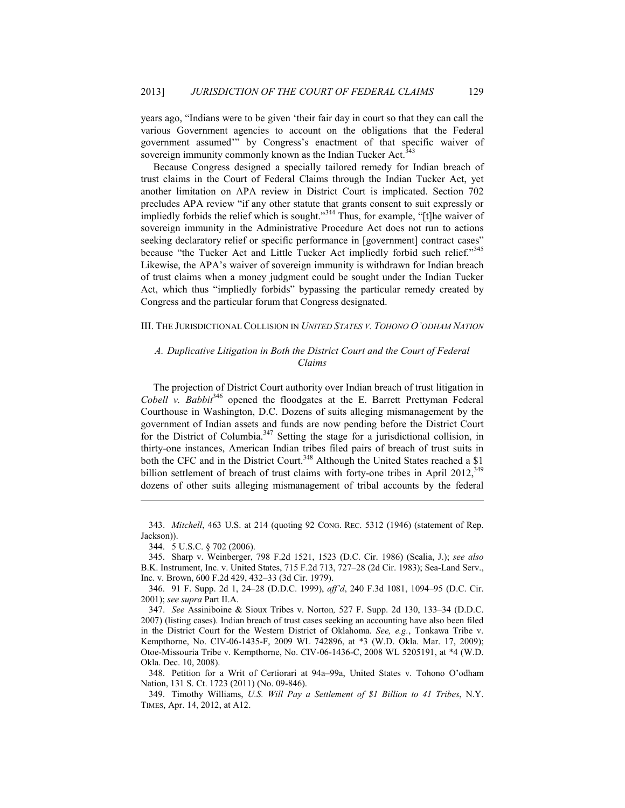years ago, "Indians were to be given 'their fair day in court so that they can call the various Government agencies to account on the obligations that the Federal government assumed'" by Congress's enactment of that specific waiver of sovereign immunity commonly known as the Indian Tucker Act.<sup>343</sup>

Because Congress designed a specially tailored remedy for Indian breach of trust claims in the Court of Federal Claims through the Indian Tucker Act, yet another limitation on APA review in District Court is implicated. Section 702 precludes APA review "if any other statute that grants consent to suit expressly or impliedly forbids the relief which is sought."344 Thus, for example, "[t]he waiver of sovereign immunity in the Administrative Procedure Act does not run to actions seeking declaratory relief or specific performance in [government] contract cases" because "the Tucker Act and Little Tucker Act impliedly forbid such relief."345 Likewise, the APA's waiver of sovereign immunity is withdrawn for Indian breach of trust claims when a money judgment could be sought under the Indian Tucker Act, which thus "impliedly forbids" bypassing the particular remedy created by Congress and the particular forum that Congress designated.

#### III. THE JURISDICTIONAL COLLISION IN *UNITED STATES V. TOHONO O'ODHAM NATION*

### *A. Duplicative Litigation in Both the District Court and the Court of Federal Claims*

The projection of District Court authority over Indian breach of trust litigation in *Cobell v. Babbit*<sup>346</sup> opened the floodgates at the E. Barrett Prettyman Federal Courthouse in Washington, D.C. Dozens of suits alleging mismanagement by the government of Indian assets and funds are now pending before the District Court for the District of Columbia.<sup>347</sup> Setting the stage for a jurisdictional collision, in thirty-one instances, American Indian tribes filed pairs of breach of trust suits in both the CFC and in the District Court.<sup>348</sup> Although the United States reached a \$1 billion settlement of breach of trust claims with forty-one tribes in April 2012,<sup>349</sup> dozens of other suits alleging mismanagement of tribal accounts by the federal

 <sup>343.</sup> *Mitchell*, 463 U.S. at 214 (quoting 92 CONG. REC. 5312 (1946) (statement of Rep. Jackson)).

 <sup>344. 5</sup> U.S.C. § 702 (2006).

 <sup>345.</sup> Sharp v. Weinberger, 798 F.2d 1521, 1523 (D.C. Cir. 1986) (Scalia, J.); *see also*  B.K. Instrument, Inc. v. United States, 715 F.2d 713, 727–28 (2d Cir. 1983); Sea-Land Serv., Inc. v. Brown, 600 F.2d 429, 432–33 (3d Cir. 1979).

 <sup>346. 91</sup> F. Supp. 2d 1, 24–28 (D.D.C. 1999), *aff'd*, 240 F.3d 1081, 1094–95 (D.C. Cir. 2001); *see supra* Part II.A.

 <sup>347.</sup> *See* Assiniboine & Sioux Tribes v. Norton*,* 527 F. Supp. 2d 130, 133–34 (D.D.C. 2007) (listing cases). Indian breach of trust cases seeking an accounting have also been filed in the District Court for the Western District of Oklahoma. *See, e.g.*, Tonkawa Tribe v. Kempthorne, No. CIV-06-1435-F, 2009 WL 742896, at \*3 (W.D. Okla. Mar. 17, 2009); Otoe-Missouria Tribe v. Kempthorne, No. CIV-06-1436-C, 2008 WL 5205191, at \*4 (W.D. Okla. Dec. 10, 2008).

 <sup>348.</sup> Petition for a Writ of Certiorari at 94a–99a, United States v. Tohono O'odham Nation, 131 S. Ct. 1723 (2011) (No. 09-846).

 <sup>349.</sup> Timothy Williams, *U.S. Will Pay a Settlement of \$1 Billion to 41 Tribes*, N.Y. TIMES, Apr. 14, 2012, at A12.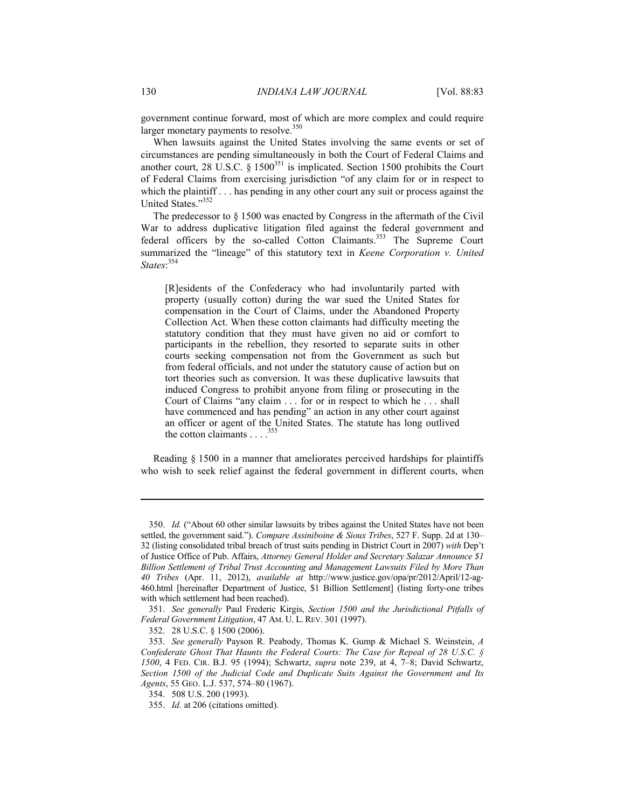government continue forward, most of which are more complex and could require larger monetary payments to resolve.<sup>350</sup>

When lawsuits against the United States involving the same events or set of circumstances are pending simultaneously in both the Court of Federal Claims and another court, 28 U.S.C.  $\S$  1500<sup>351</sup> is implicated. Section 1500 prohibits the Court of Federal Claims from exercising jurisdiction "of any claim for or in respect to which the plaintiff . . . has pending in any other court any suit or process against the United States."<sup>352</sup>

The predecessor to § 1500 was enacted by Congress in the aftermath of the Civil War to address duplicative litigation filed against the federal government and federal officers by the so-called Cotton Claimants.<sup>353</sup> The Supreme Court summarized the "lineage" of this statutory text in *Keene Corporation v. United States*: 354

[R]esidents of the Confederacy who had involuntarily parted with property (usually cotton) during the war sued the United States for compensation in the Court of Claims, under the Abandoned Property Collection Act. When these cotton claimants had difficulty meeting the statutory condition that they must have given no aid or comfort to participants in the rebellion, they resorted to separate suits in other courts seeking compensation not from the Government as such but from federal officials, and not under the statutory cause of action but on tort theories such as conversion. It was these duplicative lawsuits that induced Congress to prohibit anyone from filing or prosecuting in the Court of Claims "any claim . . . for or in respect to which he . . . shall have commenced and has pending" an action in any other court against an officer or agent of the United States. The statute has long outlived the cotton claimants . . . .<sup>355</sup>

Reading § 1500 in a manner that ameliorates perceived hardships for plaintiffs who wish to seek relief against the federal government in different courts, when

 <sup>350.</sup> *Id.* ("About 60 other similar lawsuits by tribes against the United States have not been settled, the government said."). *Compare Assiniboine & Sioux Tribes*, 527 F. Supp. 2d at 130– 32 (listing consolidated tribal breach of trust suits pending in District Court in 2007) *with* Dep't of Justice Office of Pub. Affairs, *Attorney General Holder and Secretary Salazar Announce \$1 Billion Settlement of Tribal Trust Accounting and Management Lawsuits Filed by More Than 40 Tribes* (Apr. 11, 2012), *available at* http://www.justice.gov/opa/pr/2012/April/12-ag-460.html [hereinafter Department of Justice, \$1 Billion Settlement] (listing forty-one tribes with which settlement had been reached).

 <sup>351.</sup> *See generally* Paul Frederic Kirgis, *Section 1500 and the Jurisdictional Pitfalls of Federal Government Litigation*, 47 AM. U. L. REV. 301 (1997).

 <sup>352. 28</sup> U.S.C. § 1500 (2006).

 <sup>353.</sup> *See generally* Payson R. Peabody, Thomas K. Gump & Michael S. Weinstein, *A Confederate Ghost That Haunts the Federal Courts: The Case for Repeal of 28 U.S.C. § 1500*, 4 FED. CIR. B.J. 95 (1994); Schwartz, *supra* note 239, at 4, 7–8; David Schwartz, *Section 1500 of the Judicial Code and Duplicate Suits Against the Government and Its Agents*, 55 GEO. L.J. 537, 574–80 (1967).

 <sup>354. 508</sup> U.S. 200 (1993).

 <sup>355.</sup> *Id.* at 206 (citations omitted).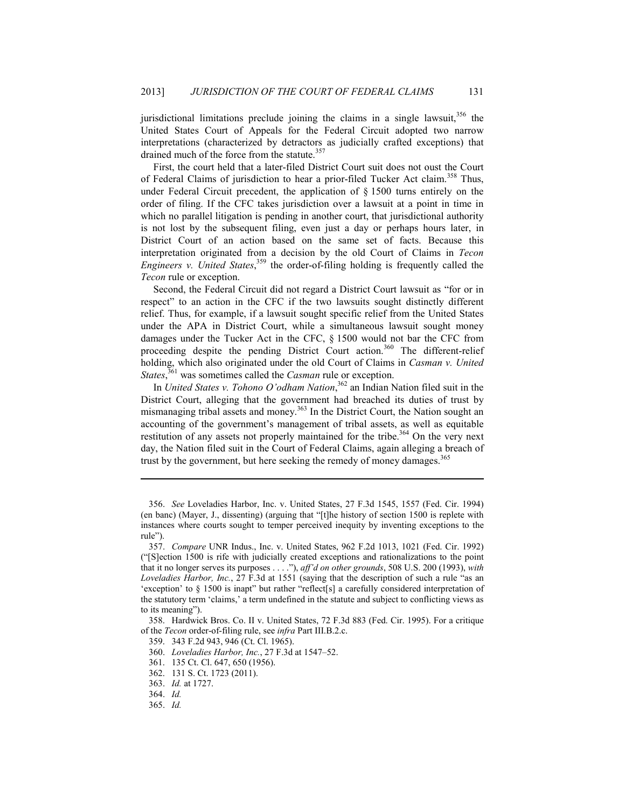jurisdictional limitations preclude joining the claims in a single lawsuit, $356$  the United States Court of Appeals for the Federal Circuit adopted two narrow interpretations (characterized by detractors as judicially crafted exceptions) that drained much of the force from the statute.<sup>357</sup>

First, the court held that a later-filed District Court suit does not oust the Court of Federal Claims of jurisdiction to hear a prior-filed Tucker Act claim.<sup>358</sup> Thus, under Federal Circuit precedent, the application of § 1500 turns entirely on the order of filing. If the CFC takes jurisdiction over a lawsuit at a point in time in which no parallel litigation is pending in another court, that jurisdictional authority is not lost by the subsequent filing, even just a day or perhaps hours later, in District Court of an action based on the same set of facts. Because this interpretation originated from a decision by the old Court of Claims in *Tecon Engineers v. United States*, 359 the order-of-filing holding is frequently called the *Tecon* rule or exception.

Second, the Federal Circuit did not regard a District Court lawsuit as "for or in respect" to an action in the CFC if the two lawsuits sought distinctly different relief. Thus, for example, if a lawsuit sought specific relief from the United States under the APA in District Court, while a simultaneous lawsuit sought money damages under the Tucker Act in the CFC, § 1500 would not bar the CFC from proceeding despite the pending District Court action.<sup>360</sup> The different-relief holding, which also originated under the old Court of Claims in *Casman v. United States*, 361 was sometimes called the *Casman* rule or exception.

In *United States v. Tohono O'odham Nation*, 362 an Indian Nation filed suit in the District Court, alleging that the government had breached its duties of trust by mismanaging tribal assets and money.<sup>363</sup> In the District Court, the Nation sought an accounting of the government's management of tribal assets, as well as equitable restitution of any assets not properly maintained for the tribe.<sup>364</sup> On the very next day, the Nation filed suit in the Court of Federal Claims, again alleging a breach of trust by the government, but here seeking the remedy of money damages.<sup>365</sup>

 358. Hardwick Bros. Co. II v. United States, 72 F.3d 883 (Fed. Cir. 1995). For a critique of the *Tecon* order-of-filing rule, see *infra* Part III.B.2.c.

 <sup>356.</sup> *See* Loveladies Harbor, Inc. v. United States, 27 F.3d 1545, 1557 (Fed. Cir. 1994) (en banc) (Mayer, J., dissenting) (arguing that "[t]he history of section 1500 is replete with instances where courts sought to temper perceived inequity by inventing exceptions to the rule").

 <sup>357.</sup> *Compare* UNR Indus., Inc. v. United States, 962 F.2d 1013, 1021 (Fed. Cir. 1992) ("[S]ection 1500 is rife with judicially created exceptions and rationalizations to the point that it no longer serves its purposes . . . ."), *aff'd on other grounds*, 508 U.S. 200 (1993), *with Loveladies Harbor, Inc.*, 27 F.3d at 1551 (saying that the description of such a rule "as an 'exception' to § 1500 is inapt" but rather "reflect[s] a carefully considered interpretation of the statutory term 'claims,' a term undefined in the statute and subject to conflicting views as to its meaning").

 <sup>359. 343</sup> F.2d 943, 946 (Ct. Cl. 1965).

 <sup>360.</sup> *Loveladies Harbor, Inc.*, 27 F.3d at 1547–52.

 <sup>361. 135</sup> Ct. Cl. 647, 650 (1956).

 <sup>362. 131</sup> S. Ct. 1723 (2011).

 <sup>363.</sup> *Id.* at 1727.

 <sup>364.</sup> *Id.*

 <sup>365.</sup> *Id.*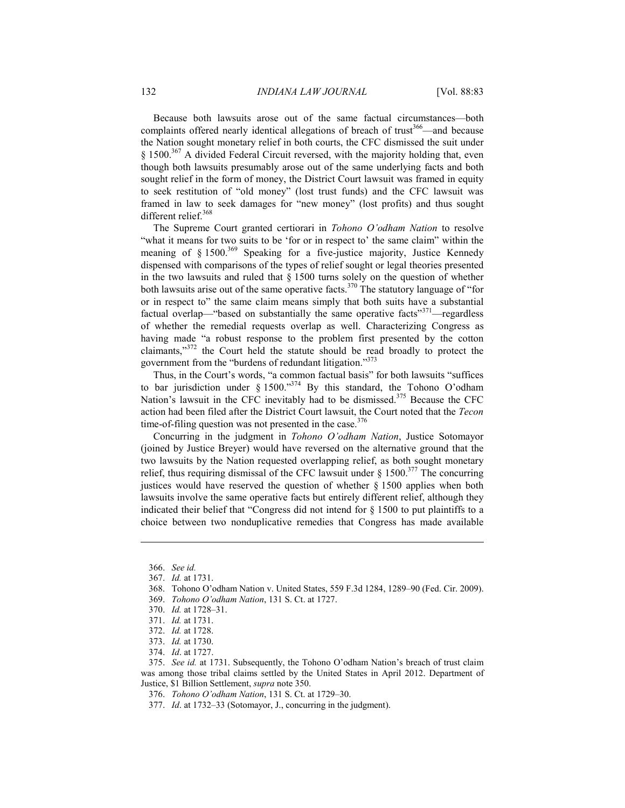Because both lawsuits arose out of the same factual circumstances—both complaints offered nearly identical allegations of breach of trust<sup>366</sup>—and because the Nation sought monetary relief in both courts, the CFC dismissed the suit under  $\S$  1500.<sup>367</sup> A divided Federal Circuit reversed, with the majority holding that, even though both lawsuits presumably arose out of the same underlying facts and both sought relief in the form of money, the District Court lawsuit was framed in equity to seek restitution of "old money" (lost trust funds) and the CFC lawsuit was framed in law to seek damages for "new money" (lost profits) and thus sought different relief.<sup>368</sup>

The Supreme Court granted certiorari in *Tohono O'odham Nation* to resolve "what it means for two suits to be 'for or in respect to' the same claim" within the meaning of  $\S 1500^{369}$  Speaking for a five-justice majority, Justice Kennedy dispensed with comparisons of the types of relief sought or legal theories presented in the two lawsuits and ruled that  $\S$  1500 turns solely on the question of whether both lawsuits arise out of the same operative facts.<sup>370</sup> The statutory language of "for or in respect to" the same claim means simply that both suits have a substantial factual overlap—"based on substantially the same operative facts"<sup>371</sup>—regardless of whether the remedial requests overlap as well. Characterizing Congress as having made "a robust response to the problem first presented by the cotton claimants,"372 the Court held the statute should be read broadly to protect the government from the "burdens of redundant litigation."373

Thus, in the Court's words, "a common factual basis" for both lawsuits "suffices to bar jurisdiction under § 1500."374 By this standard, the Tohono O'odham Nation's lawsuit in the CFC inevitably had to be dismissed.<sup>375</sup> Because the CFC action had been filed after the District Court lawsuit, the Court noted that the *Tecon* time-of-filing question was not presented in the case. $376$ 

Concurring in the judgment in *Tohono O'odham Nation*, Justice Sotomayor (joined by Justice Breyer) would have reversed on the alternative ground that the two lawsuits by the Nation requested overlapping relief, as both sought monetary relief, thus requiring dismissal of the CFC lawsuit under  $\S$  1500.<sup>377</sup> The concurring justices would have reserved the question of whether § 1500 applies when both lawsuits involve the same operative facts but entirely different relief, although they indicated their belief that "Congress did not intend for § 1500 to put plaintiffs to a choice between two nonduplicative remedies that Congress has made available

1

- 368. Tohono O'odham Nation v. United States, 559 F.3d 1284, 1289–90 (Fed. Cir. 2009).
- 369. *Tohono O'odham Nation*, 131 S. Ct. at 1727.
- 370. *Id.* at 1728–31.
- 371. *Id.* at 1731.
- 372. *Id.* at 1728.
- 373. *Id.* at 1730.
- 374. *Id*. at 1727.

 375. *See id.* at 1731. Subsequently, the Tohono O'odham Nation's breach of trust claim was among those tribal claims settled by the United States in April 2012. Department of Justice, \$1 Billion Settlement, *supra* note 350.

376. *Tohono O'odham Nation*, 131 S. Ct. at 1729–30.

377. *Id*. at 1732–33 (Sotomayor, J., concurring in the judgment).

 <sup>366.</sup> *See id.*

 <sup>367.</sup> *Id.* at 1731.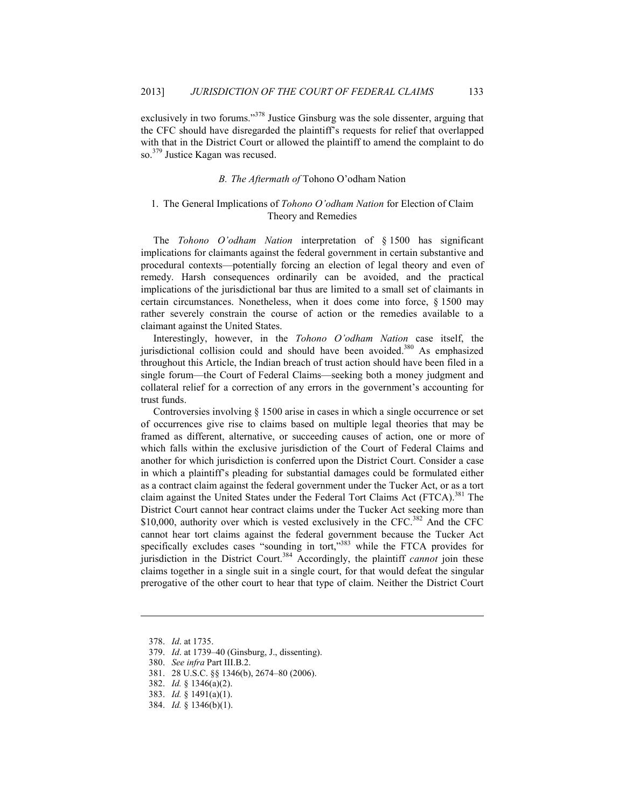exclusively in two forums."<sup>378</sup> Justice Ginsburg was the sole dissenter, arguing that the CFC should have disregarded the plaintiff's requests for relief that overlapped with that in the District Court or allowed the plaintiff to amend the complaint to do so.<sup>379</sup> Justice Kagan was recused.

## *B. The Aftermath of* Tohono O'odham Nation

## 1. The General Implications of *Tohono O'odham Nation* for Election of Claim Theory and Remedies

The *Tohono O'odham Nation* interpretation of § 1500 has significant implications for claimants against the federal government in certain substantive and procedural contexts—potentially forcing an election of legal theory and even of remedy. Harsh consequences ordinarily can be avoided, and the practical implications of the jurisdictional bar thus are limited to a small set of claimants in certain circumstances. Nonetheless, when it does come into force, § 1500 may rather severely constrain the course of action or the remedies available to a claimant against the United States.

Interestingly, however, in the *Tohono O'odham Nation* case itself, the jurisdictional collision could and should have been avoided.<sup>380</sup> As emphasized throughout this Article, the Indian breach of trust action should have been filed in a single forum—the Court of Federal Claims—seeking both a money judgment and collateral relief for a correction of any errors in the government's accounting for trust funds.

Controversies involving  $\S$  1500 arise in cases in which a single occurrence or set of occurrences give rise to claims based on multiple legal theories that may be framed as different, alternative, or succeeding causes of action, one or more of which falls within the exclusive jurisdiction of the Court of Federal Claims and another for which jurisdiction is conferred upon the District Court. Consider a case in which a plaintiff's pleading for substantial damages could be formulated either as a contract claim against the federal government under the Tucker Act, or as a tort claim against the United States under the Federal Tort Claims Act (FTCA).<sup>381</sup> The District Court cannot hear contract claims under the Tucker Act seeking more than \$10,000, authority over which is vested exclusively in the CFC.<sup>382</sup> And the CFC cannot hear tort claims against the federal government because the Tucker Act specifically excludes cases "sounding in tort,"383 while the FTCA provides for jurisdiction in the District Court.<sup>384</sup> Accordingly, the plaintiff *cannot* join these claims together in a single suit in a single court, for that would defeat the singular prerogative of the other court to hear that type of claim. Neither the District Court

1

381. 28 U.S.C. §§ 1346(b), 2674–80 (2006).

 <sup>378.</sup> *Id*. at 1735.

 <sup>379.</sup> *Id*. at 1739–40 (Ginsburg, J., dissenting).

 <sup>380.</sup> *See infra* Part III.B.2.

 <sup>382.</sup> *Id.* § 1346(a)(2).

 <sup>383.</sup> *Id.* § 1491(a)(1).

 <sup>384.</sup> *Id.* § 1346(b)(1).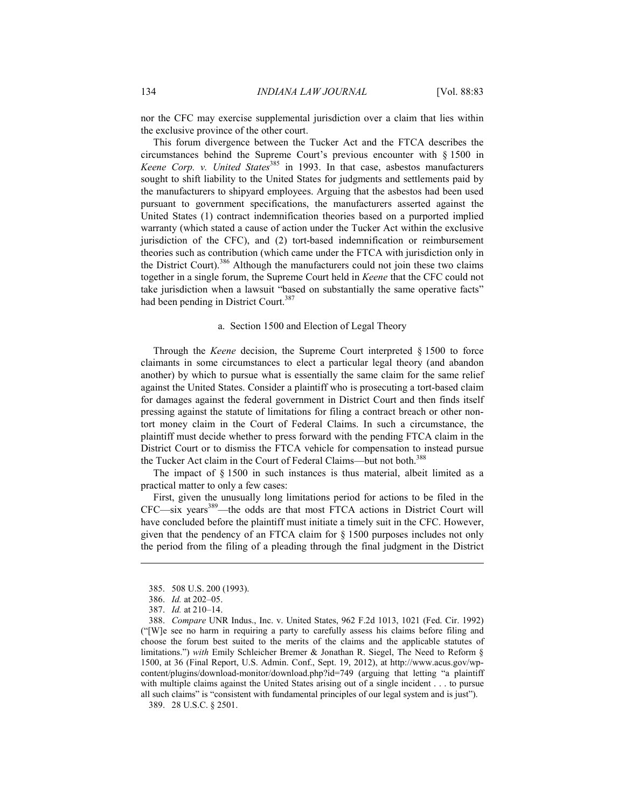nor the CFC may exercise supplemental jurisdiction over a claim that lies within the exclusive province of the other court.

This forum divergence between the Tucker Act and the FTCA describes the circumstances behind the Supreme Court's previous encounter with § 1500 in *Keene Corp. v. United States*<sup>385</sup> in 1993. In that case, asbestos manufacturers sought to shift liability to the United States for judgments and settlements paid by the manufacturers to shipyard employees. Arguing that the asbestos had been used pursuant to government specifications, the manufacturers asserted against the United States (1) contract indemnification theories based on a purported implied warranty (which stated a cause of action under the Tucker Act within the exclusive jurisdiction of the CFC), and (2) tort-based indemnification or reimbursement theories such as contribution (which came under the FTCA with jurisdiction only in the District Court).<sup>386</sup> Although the manufacturers could not join these two claims together in a single forum, the Supreme Court held in *Keene* that the CFC could not take jurisdiction when a lawsuit "based on substantially the same operative facts" had been pending in District Court.<sup>387</sup>

#### a. Section 1500 and Election of Legal Theory

Through the *Keene* decision, the Supreme Court interpreted § 1500 to force claimants in some circumstances to elect a particular legal theory (and abandon another) by which to pursue what is essentially the same claim for the same relief against the United States. Consider a plaintiff who is prosecuting a tort-based claim for damages against the federal government in District Court and then finds itself pressing against the statute of limitations for filing a contract breach or other nontort money claim in the Court of Federal Claims. In such a circumstance, the plaintiff must decide whether to press forward with the pending FTCA claim in the District Court or to dismiss the FTCA vehicle for compensation to instead pursue the Tucker Act claim in the Court of Federal Claims—but not both.<sup>388</sup>

The impact of § 1500 in such instances is thus material, albeit limited as a practical matter to only a few cases:

First, given the unusually long limitations period for actions to be filed in the CFC—six years<sup>389</sup>—the odds are that most FTCA actions in District Court will have concluded before the plaintiff must initiate a timely suit in the CFC. However, given that the pendency of an FTCA claim for § 1500 purposes includes not only the period from the filing of a pleading through the final judgment in the District

1

389. 28 U.S.C. § 2501.

 <sup>385. 508</sup> U.S. 200 (1993).

 <sup>386.</sup> *Id.* at 202–05.

 <sup>387.</sup> *Id.* at 210–14.

 <sup>388.</sup> *Compare* UNR Indus., Inc. v. United States, 962 F.2d 1013, 1021 (Fed. Cir. 1992) ("[W]e see no harm in requiring a party to carefully assess his claims before filing and choose the forum best suited to the merits of the claims and the applicable statutes of limitations.") *with* Emily Schleicher Bremer & Jonathan R. Siegel, The Need to Reform § [1500, at 36 \(Final Report, U.S. Admin. Conf., Sept. 19, 2012\), at http://www.acus.gov/wp](http://www.acus.gov/sites/default/files/Section-1500-Report_Final.pdf)content/plugins/download-monitor/download.php?id=749 (arguing that letting "a plaintiff with multiple claims against the United States arising out of a single incident . . . to pursue all such claims" is "consistent with fundamental principles of our legal system and is just").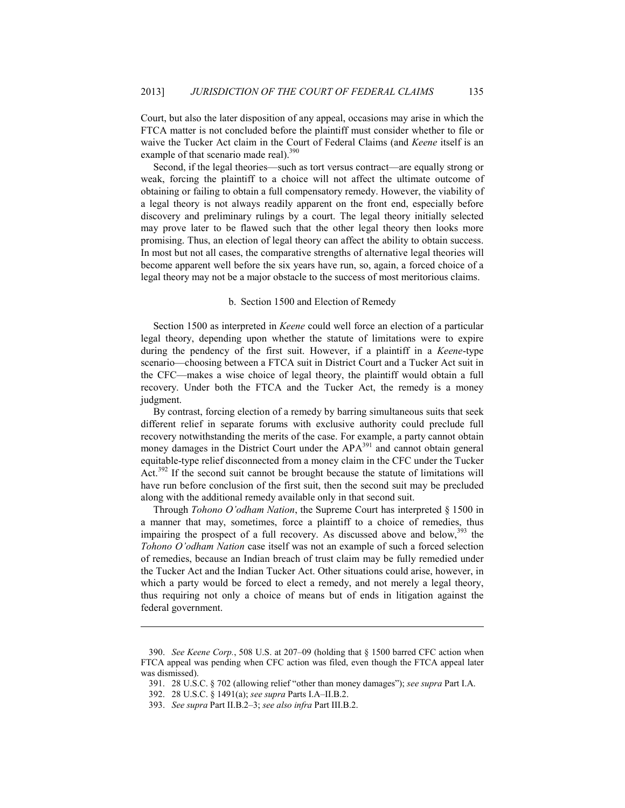Court, but also the later disposition of any appeal, occasions may arise in which the FTCA matter is not concluded before the plaintiff must consider whether to file or waive the Tucker Act claim in the Court of Federal Claims (and *Keene* itself is an example of that scenario made real).<sup>390</sup>

Second, if the legal theories—such as tort versus contract—are equally strong or weak, forcing the plaintiff to a choice will not affect the ultimate outcome of obtaining or failing to obtain a full compensatory remedy. However, the viability of a legal theory is not always readily apparent on the front end, especially before discovery and preliminary rulings by a court. The legal theory initially selected may prove later to be flawed such that the other legal theory then looks more promising. Thus, an election of legal theory can affect the ability to obtain success. In most but not all cases, the comparative strengths of alternative legal theories will become apparent well before the six years have run, so, again, a forced choice of a legal theory may not be a major obstacle to the success of most meritorious claims.

#### b. Section 1500 and Election of Remedy

Section 1500 as interpreted in *Keene* could well force an election of a particular legal theory, depending upon whether the statute of limitations were to expire during the pendency of the first suit. However, if a plaintiff in a *Keene*-type scenario—choosing between a FTCA suit in District Court and a Tucker Act suit in the CFC—makes a wise choice of legal theory, the plaintiff would obtain a full recovery. Under both the FTCA and the Tucker Act, the remedy is a money judgment.

By contrast, forcing election of a remedy by barring simultaneous suits that seek different relief in separate forums with exclusive authority could preclude full recovery notwithstanding the merits of the case. For example, a party cannot obtain money damages in the District Court under the APA<sup>391</sup> and cannot obtain general equitable-type relief disconnected from a money claim in the CFC under the Tucker Act.392 If the second suit cannot be brought because the statute of limitations will have run before conclusion of the first suit, then the second suit may be precluded along with the additional remedy available only in that second suit.

Through *Tohono O'odham Nation*, the Supreme Court has interpreted § 1500 in a manner that may, sometimes, force a plaintiff to a choice of remedies, thus impairing the prospect of a full recovery. As discussed above and below, $393$  the *Tohono O'odham Nation* case itself was not an example of such a forced selection of remedies, because an Indian breach of trust claim may be fully remedied under the Tucker Act and the Indian Tucker Act. Other situations could arise, however, in which a party would be forced to elect a remedy, and not merely a legal theory, thus requiring not only a choice of means but of ends in litigation against the federal government.

<u>.</u>

 <sup>390.</sup> *See Keene Corp.*, 508 U.S. at 207–09 (holding that § 1500 barred CFC action when FTCA appeal was pending when CFC action was filed, even though the FTCA appeal later was dismissed).

 <sup>391. 28</sup> U.S.C. § 702 (allowing relief "other than money damages"); *see supra* Part I.A.

 <sup>392. 28</sup> U.S.C. § 1491(a); *see supra* Parts I.A–II.B.2.

 <sup>393.</sup> *See supra* Part II.B.2–3; *see also infra* Part III.B.2.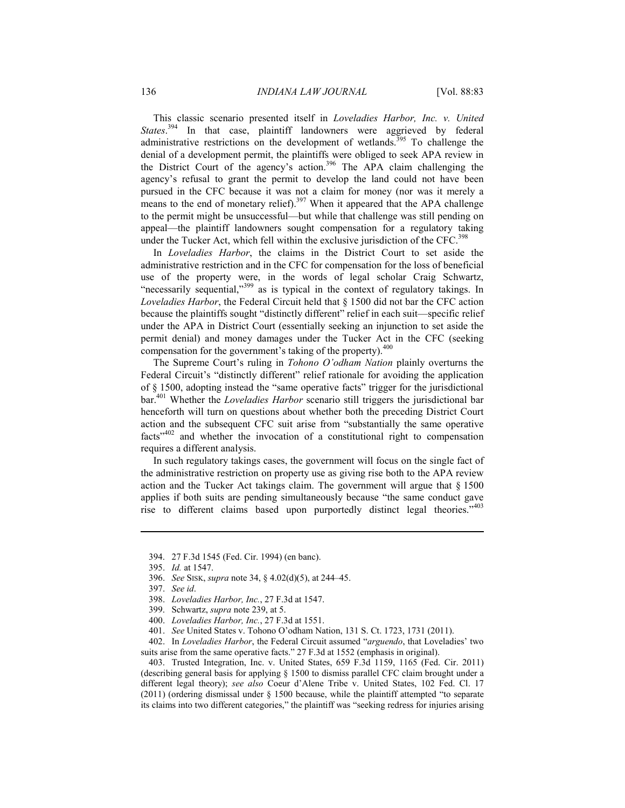This classic scenario presented itself in *Loveladies Harbor, Inc. v. United*  States.<sup>394</sup> In that case, plaintiff landowners were aggrieved by federal administrative restrictions on the development of wetlands.<sup>395</sup> To challenge the denial of a development permit, the plaintiffs were obliged to seek APA review in the District Court of the agency's action.<sup>396</sup> The APA claim challenging the agency's refusal to grant the permit to develop the land could not have been pursued in the CFC because it was not a claim for money (nor was it merely a means to the end of monetary relief).<sup>397</sup> When it appeared that the APA challenge to the permit might be unsuccessful—but while that challenge was still pending on appeal—the plaintiff landowners sought compensation for a regulatory taking under the Tucker Act, which fell within the exclusive jurisdiction of the  $CFC$ <sup>398</sup>

In *Loveladies Harbor*, the claims in the District Court to set aside the administrative restriction and in the CFC for compensation for the loss of beneficial use of the property were, in the words of legal scholar Craig Schwartz, "necessarily sequential,"<sup>399</sup> as is typical in the context of regulatory takings. In *Loveladies Harbor*, the Federal Circuit held that § 1500 did not bar the CFC action because the plaintiffs sought "distinctly different" relief in each suit—specific relief under the APA in District Court (essentially seeking an injunction to set aside the permit denial) and money damages under the Tucker Act in the CFC (seeking compensation for the government's taking of the property). $400$ 

The Supreme Court's ruling in *Tohono O'odham Nation* plainly overturns the Federal Circuit's "distinctly different" relief rationale for avoiding the application of § 1500, adopting instead the "same operative facts" trigger for the jurisdictional bar.401 Whether the *Loveladies Harbor* scenario still triggers the jurisdictional bar henceforth will turn on questions about whether both the preceding District Court action and the subsequent CFC suit arise from "substantially the same operative facts"402 and whether the invocation of a constitutional right to compensation requires a different analysis.

In such regulatory takings cases, the government will focus on the single fact of the administrative restriction on property use as giving rise both to the APA review action and the Tucker Act takings claim. The government will argue that § 1500 applies if both suits are pending simultaneously because "the same conduct gave rise to different claims based upon purportedly distinct legal theories."403

1

 403. Trusted Integration, Inc. v. United States, 659 F.3d 1159, 1165 (Fed. Cir. 2011) (describing general basis for applying § 1500 to dismiss parallel CFC claim brought under a different legal theory); *see also* Coeur d'Alene Tribe v. United States, 102 Fed. Cl. 17 (2011) (ordering dismissal under § 1500 because, while the plaintiff attempted "to separate its claims into two different categories," the plaintiff was "seeking redress for injuries arising

 <sup>394. 27</sup> F.3d 1545 (Fed. Cir. 1994) (en banc).

 <sup>395.</sup> *Id.* at 1547.

 <sup>396.</sup> *See* SISK, *supra* note 34, § 4.02(d)(5), at 244–45.

 <sup>397.</sup> *See id*.

 <sup>398.</sup> *Loveladies Harbor, Inc.*, 27 F.3d at 1547.

 <sup>399.</sup> Schwartz, *supra* note 239, at 5.

 <sup>400.</sup> *Loveladies Harbor, Inc.*, 27 F.3d at 1551.

 <sup>401.</sup> *See* United States v. Tohono O'odham Nation, 131 S. Ct. 1723, 1731 (2011).

 <sup>402.</sup> In *Loveladies Harbor*, the Federal Circuit assumed "*arguendo*, that Loveladies' two suits arise from the same operative facts." 27 F.3d at 1552 (emphasis in original).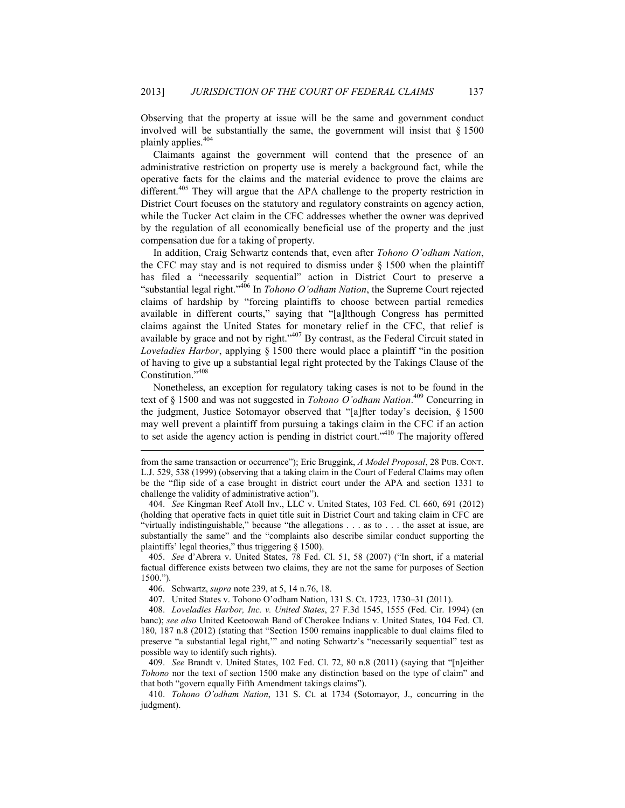Observing that the property at issue will be the same and government conduct involved will be substantially the same, the government will insist that  $\S$  1500 plainly applies.<sup>404</sup>

Claimants against the government will contend that the presence of an administrative restriction on property use is merely a background fact, while the operative facts for the claims and the material evidence to prove the claims are different.<sup>405</sup> They will argue that the APA challenge to the property restriction in District Court focuses on the statutory and regulatory constraints on agency action, while the Tucker Act claim in the CFC addresses whether the owner was deprived by the regulation of all economically beneficial use of the property and the just compensation due for a taking of property.

In addition, Craig Schwartz contends that, even after *Tohono O'odham Nation*, the CFC may stay and is not required to dismiss under  $\S$  1500 when the plaintiff has filed a "necessarily sequential" action in District Court to preserve a "substantial legal right."406 In *Tohono O'odham Nation*, the Supreme Court rejected claims of hardship by "forcing plaintiffs to choose between partial remedies available in different courts," saying that "[a]lthough Congress has permitted claims against the United States for monetary relief in the CFC, that relief is available by grace and not by right."407 By contrast, as the Federal Circuit stated in *Loveladies Harbor*, applying § 1500 there would place a plaintiff "in the position of having to give up a substantial legal right protected by the Takings Clause of the Constitution."<sup>408</sup>

Nonetheless, an exception for regulatory taking cases is not to be found in the text of § 1500 and was not suggested in *Tohono O'odham Nation*. 409 Concurring in the judgment, Justice Sotomayor observed that "[a]fter today's decision, § 1500 may well prevent a plaintiff from pursuing a takings claim in the CFC if an action to set aside the agency action is pending in district court."410 The majority offered

 405. *See* d'Abrera v. United States, 78 Fed. Cl. 51, 58 (2007) ("In short, if a material factual difference exists between two claims, they are not the same for purposes of Section 1500.").

406. Schwartz, *supra* note 239, at 5, 14 n.76, 18.

1

407. United States v. Tohono O'odham Nation, 131 S. Ct. 1723, 1730–31 (2011).

 408. *Loveladies Harbor, Inc. v. United States*, 27 F.3d 1545, 1555 (Fed. Cir. 1994) (en banc); *see also* United Keetoowah Band of Cherokee Indians v. United States, 104 Fed. Cl. 180, 187 n.8 (2012) (stating that "Section 1500 remains inapplicable to dual claims filed to preserve "a substantial legal right,'" and noting Schwartz's "necessarily sequential" test as possible way to identify such rights).

 409. *See* Brandt v. United States, 102 Fed. Cl. 72, 80 n.8 (2011) (saying that "[n]either *Tohono* nor the text of section 1500 make any distinction based on the type of claim" and that both "govern equally Fifth Amendment takings claims").

 410. *Tohono O'odham Nation*, 131 S. Ct. at 1734 (Sotomayor, J., concurring in the judgment).

from the same transaction or occurrence"); Eric Bruggink, *A Model Proposal*, 28 PUB. CONT. L.J. 529, 538 (1999) (observing that a taking claim in the Court of Federal Claims may often be the "flip side of a case brought in district court under the APA and section 1331 to challenge the validity of administrative action").

 <sup>404.</sup> *See* Kingman Reef Atoll Inv., LLC v. United States, 103 Fed. Cl. 660, 691 (2012) (holding that operative facts in quiet title suit in District Court and taking claim in CFC are "virtually indistinguishable," because "the allegations . . . as to . . . the asset at issue, are substantially the same" and the "complaints also describe similar conduct supporting the plaintiffs' legal theories," thus triggering § 1500).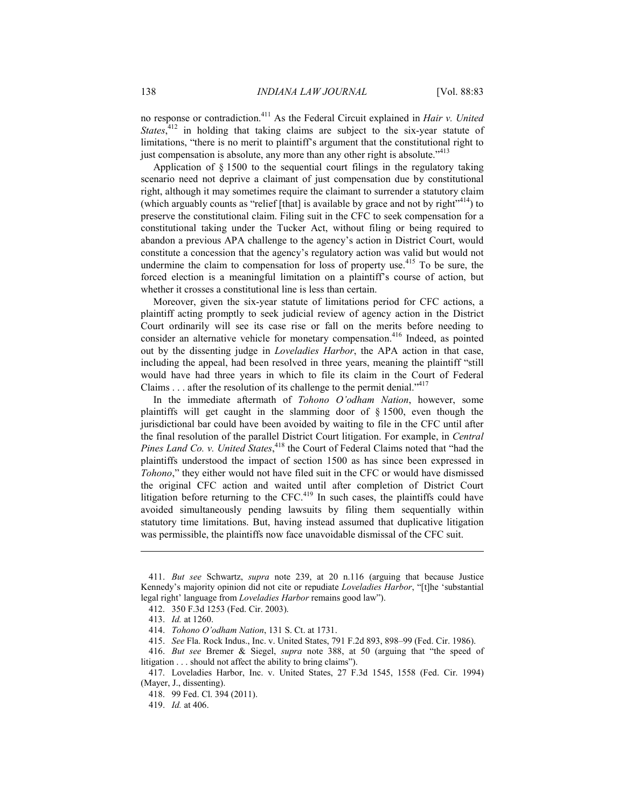no response or contradiction.411 As the Federal Circuit explained in *Hair v. United*  States,<sup>412</sup> in holding that taking claims are subject to the six-year statute of limitations, "there is no merit to plaintiff's argument that the constitutional right to just compensation is absolute, any more than any other right is absolute.<sup>"413</sup>

Application of § 1500 to the sequential court filings in the regulatory taking scenario need not deprive a claimant of just compensation due by constitutional right, although it may sometimes require the claimant to surrender a statutory claim (which arguably counts as "relief [that] is available by grace and not by right $x^{414}$ ) to preserve the constitutional claim. Filing suit in the CFC to seek compensation for a constitutional taking under the Tucker Act, without filing or being required to abandon a previous APA challenge to the agency's action in District Court, would constitute a concession that the agency's regulatory action was valid but would not undermine the claim to compensation for loss of property use.<sup>415</sup> To be sure, the forced election is a meaningful limitation on a plaintiff's course of action, but whether it crosses a constitutional line is less than certain.

Moreover, given the six-year statute of limitations period for CFC actions, a plaintiff acting promptly to seek judicial review of agency action in the District Court ordinarily will see its case rise or fall on the merits before needing to consider an alternative vehicle for monetary compensation.<sup>416</sup> Indeed, as pointed out by the dissenting judge in *Loveladies Harbor*, the APA action in that case, including the appeal, had been resolved in three years, meaning the plaintiff "still would have had three years in which to file its claim in the Court of Federal Claims  $\dots$  after the resolution of its challenge to the permit denial."<sup>417</sup>

In the immediate aftermath of *Tohono O'odham Nation*, however, some plaintiffs will get caught in the slamming door of § 1500, even though the jurisdictional bar could have been avoided by waiting to file in the CFC until after the final resolution of the parallel District Court litigation. For example, in *Central*  Pines Land Co. v. United States,<sup>418</sup> the Court of Federal Claims noted that "had the plaintiffs understood the impact of section 1500 as has since been expressed in *Tohono*," they either would not have filed suit in the CFC or would have dismissed the original CFC action and waited until after completion of District Court litigation before returning to the  $CFC<sup>419</sup>$  In such cases, the plaintiffs could have avoided simultaneously pending lawsuits by filing them sequentially within statutory time limitations. But, having instead assumed that duplicative litigation was permissible, the plaintiffs now face unavoidable dismissal of the CFC suit.

 <sup>411.</sup> *But see* Schwartz, *supra* note 239, at 20 n.116 (arguing that because Justice Kennedy's majority opinion did not cite or repudiate *Loveladies Harbor*, "[t]he 'substantial legal right' language from *Loveladies Harbor* remains good law").

 <sup>412. 350</sup> F.3d 1253 (Fed. Cir. 2003).

 <sup>413.</sup> *Id.* at 1260.

 <sup>414.</sup> *Tohono O'odham Nation*, 131 S. Ct. at 1731.

 <sup>415.</sup> *See* Fla. Rock Indus., Inc. v. United States, 791 F.2d 893, 898–99 (Fed. Cir. 1986).

 <sup>416.</sup> *But see* Bremer & Siegel, *supra* note 388, at 50 (arguing that "the speed of litigation . . . should not affect the ability to bring claims").

 <sup>417.</sup> Loveladies Harbor, Inc. v. United States, 27 F.3d 1545, 1558 (Fed. Cir. 1994) (Mayer, J., dissenting).

 <sup>418. 99</sup> Fed. Cl. 394 (2011).

 <sup>419.</sup> *Id.* at 406.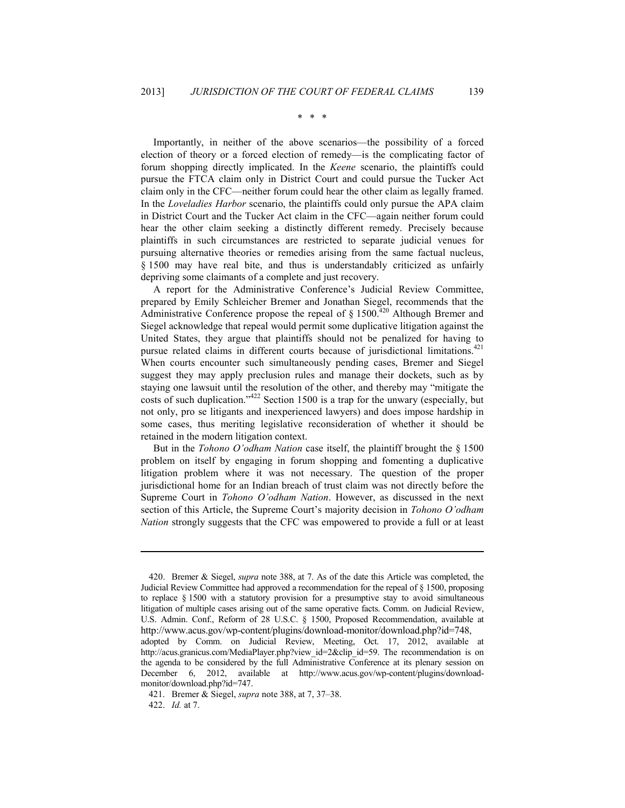\* \* \*

Importantly, in neither of the above scenarios—the possibility of a forced election of theory or a forced election of remedy—is the complicating factor of forum shopping directly implicated. In the *Keene* scenario, the plaintiffs could pursue the FTCA claim only in District Court and could pursue the Tucker Act claim only in the CFC—neither forum could hear the other claim as legally framed. In the *Loveladies Harbor* scenario, the plaintiffs could only pursue the APA claim in District Court and the Tucker Act claim in the CFC—again neither forum could hear the other claim seeking a distinctly different remedy. Precisely because plaintiffs in such circumstances are restricted to separate judicial venues for pursuing alternative theories or remedies arising from the same factual nucleus, § 1500 may have real bite, and thus is understandably criticized as unfairly depriving some claimants of a complete and just recovery.

A report for the Administrative Conference's Judicial Review Committee, prepared by Emily Schleicher Bremer and Jonathan Siegel, recommends that the Administrative Conference propose the repeal of  $\S$  1500.<sup>420</sup> Although Bremer and Siegel acknowledge that repeal would permit some duplicative litigation against the United States, they argue that plaintiffs should not be penalized for having to pursue related claims in different courts because of jurisdictional limitations.<sup>421</sup> When courts encounter such simultaneously pending cases, Bremer and Siegel suggest they may apply preclusion rules and manage their dockets, such as by staying one lawsuit until the resolution of the other, and thereby may "mitigate the costs of such duplication."422 Section 1500 is a trap for the unwary (especially, but not only, pro se litigants and inexperienced lawyers) and does impose hardship in some cases, thus meriting legislative reconsideration of whether it should be retained in the modern litigation context.

But in the *Tohono O'odham Nation* case itself, the plaintiff brought the § 1500 problem on itself by engaging in forum shopping and fomenting a duplicative litigation problem where it was not necessary. The question of the proper jurisdictional home for an Indian breach of trust claim was not directly before the Supreme Court in *Tohono O'odham Nation*. However, as discussed in the next section of this Article, the Supreme Court's majority decision in *Tohono O'odham Nation* strongly suggests that the CFC was empowered to provide a full or at least

 <sup>420.</sup> Bremer & Siegel, *supra* note 388, at 7. As of the date this Article was completed, the Judicial Review Committee had approved a recommendation for the repeal of § 1500, proposing to replace § 1500 with a statutory provision for a presumptive stay to avoid simultaneous litigation of multiple cases arising out of the same operative facts. Comm. on Judicial Review, U.S. Admin. Conf., Reform of 28 U.S.C. § 1500, Proposed Recommendation, available at [http://www.acus.gov/wp-content/plugins/download-monitor/download.php?id=748,](http://www.acus.gov/sites/default/files/Section-1500-Proposed-Recommendation.pdf) 

adopted by Comm. on Judicial Review, Meeting, Oct. 17, 2012, available at http://acus.granicus.com/MediaPlayer.php?view\_id=2&clip\_id=59. The recommendation is on the agenda to be considered by the full Administrative Conference at its plenary session on December 6, 2012, available at http://www.acus.gov/wp-content/plugins/downloadmonitor/download.php?id=747.

 <sup>421.</sup> Bremer & Siegel, *supra* note 388, at 7, 37–38.

 <sup>422.</sup> *Id.* at 7.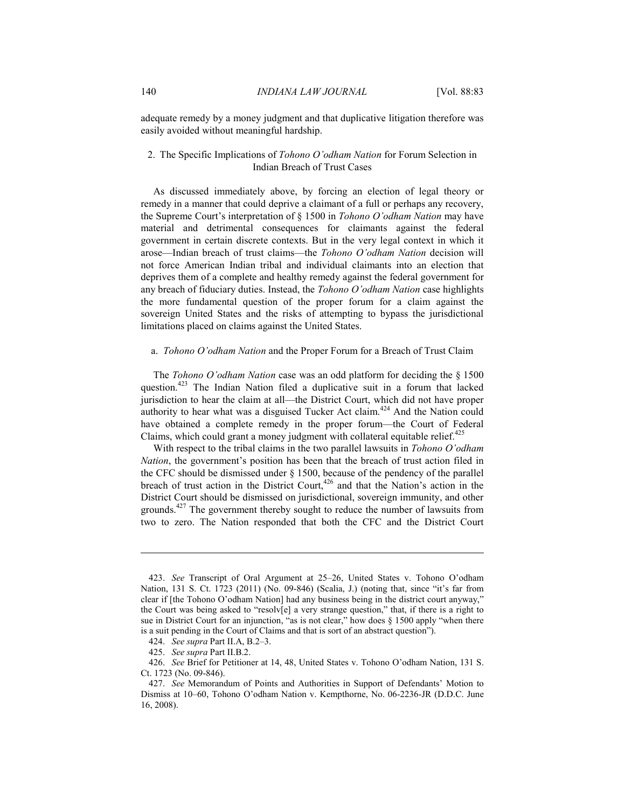adequate remedy by a money judgment and that duplicative litigation therefore was easily avoided without meaningful hardship.

### 2. The Specific Implications of *Tohono O'odham Nation* for Forum Selection in Indian Breach of Trust Cases

As discussed immediately above, by forcing an election of legal theory or remedy in a manner that could deprive a claimant of a full or perhaps any recovery, the Supreme Court's interpretation of § 1500 in *Tohono O'odham Nation* may have material and detrimental consequences for claimants against the federal government in certain discrete contexts. But in the very legal context in which it arose—Indian breach of trust claims—the *Tohono O'odham Nation* decision will not force American Indian tribal and individual claimants into an election that deprives them of a complete and healthy remedy against the federal government for any breach of fiduciary duties. Instead, the *Tohono O'odham Nation* case highlights the more fundamental question of the proper forum for a claim against the sovereign United States and the risks of attempting to bypass the jurisdictional limitations placed on claims against the United States.

#### a. *Tohono O'odham Nation* and the Proper Forum for a Breach of Trust Claim

The *Tohono O'odham Nation* case was an odd platform for deciding the § 1500 question.<sup>423</sup> The Indian Nation filed a duplicative suit in a forum that lacked jurisdiction to hear the claim at all—the District Court, which did not have proper authority to hear what was a disguised Tucker Act claim.<sup>424</sup> And the Nation could have obtained a complete remedy in the proper forum—the Court of Federal Claims, which could grant a money judgment with collateral equitable relief. $425$ 

With respect to the tribal claims in the two parallel lawsuits in *Tohono O'odham Nation*, the government's position has been that the breach of trust action filed in the CFC should be dismissed under § 1500, because of the pendency of the parallel breach of trust action in the District Court,<sup>426</sup> and that the Nation's action in the District Court should be dismissed on jurisdictional, sovereign immunity, and other grounds.<sup>427</sup> The government thereby sought to reduce the number of lawsuits from two to zero. The Nation responded that both the CFC and the District Court

 <sup>423.</sup> *See* Transcript of Oral Argument at 25–26, United States v. Tohono O'odham Nation, 131 S. Ct. 1723 (2011) (No. 09-846) (Scalia, J.) (noting that, since "it's far from clear if [the Tohono O'odham Nation] had any business being in the district court anyway," the Court was being asked to "resolv[e] a very strange question," that, if there is a right to sue in District Court for an injunction, "as is not clear," how does § 1500 apply "when there is a suit pending in the Court of Claims and that is sort of an abstract question").

 <sup>424.</sup> *See supra* Part II.A, B.2–3.

 <sup>425.</sup> *See supra* Part II.B.2.

 <sup>426.</sup> *See* Brief for Petitioner at 14, 48, United States v. Tohono O'odham Nation, 131 S. Ct. 1723 (No. 09-846).

 <sup>427.</sup> *See* Memorandum of Points and Authorities in Support of Defendants' Motion to Dismiss at 10–60, Tohono O'odham Nation v. Kempthorne, No. 06-2236-JR (D.D.C. June 16, 2008).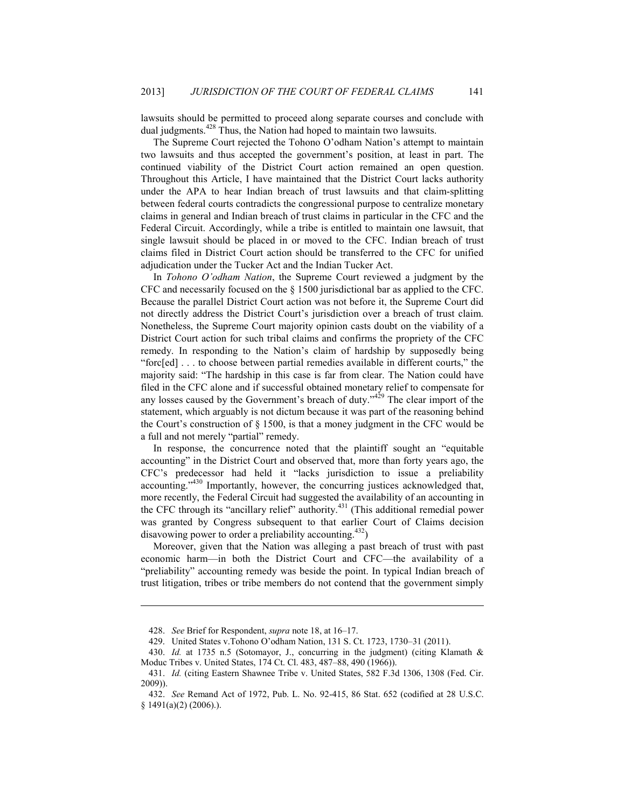lawsuits should be permitted to proceed along separate courses and conclude with dual judgments.<sup>428</sup> Thus, the Nation had hoped to maintain two lawsuits.

The Supreme Court rejected the Tohono O'odham Nation's attempt to maintain two lawsuits and thus accepted the government's position, at least in part. The continued viability of the District Court action remained an open question. Throughout this Article, I have maintained that the District Court lacks authority under the APA to hear Indian breach of trust lawsuits and that claim-splitting between federal courts contradicts the congressional purpose to centralize monetary claims in general and Indian breach of trust claims in particular in the CFC and the Federal Circuit. Accordingly, while a tribe is entitled to maintain one lawsuit, that single lawsuit should be placed in or moved to the CFC. Indian breach of trust claims filed in District Court action should be transferred to the CFC for unified adjudication under the Tucker Act and the Indian Tucker Act.

In *Tohono O'odham Nation*, the Supreme Court reviewed a judgment by the CFC and necessarily focused on the § 1500 jurisdictional bar as applied to the CFC. Because the parallel District Court action was not before it, the Supreme Court did not directly address the District Court's jurisdiction over a breach of trust claim. Nonetheless, the Supreme Court majority opinion casts doubt on the viability of a District Court action for such tribal claims and confirms the propriety of the CFC remedy. In responding to the Nation's claim of hardship by supposedly being "forc[ed] . . . to choose between partial remedies available in different courts," the majority said: "The hardship in this case is far from clear. The Nation could have filed in the CFC alone and if successful obtained monetary relief to compensate for any losses caused by the Government's breach of duty."<sup>429</sup> The clear import of the statement, which arguably is not dictum because it was part of the reasoning behind the Court's construction of § 1500, is that a money judgment in the CFC would be a full and not merely "partial" remedy.

In response, the concurrence noted that the plaintiff sought an "equitable accounting" in the District Court and observed that, more than forty years ago, the CFC's predecessor had held it "lacks jurisdiction to issue a preliability accounting."430 Importantly, however, the concurring justices acknowledged that, more recently, the Federal Circuit had suggested the availability of an accounting in the CFC through its "ancillary relief" authority.<sup>431</sup> (This additional remedial power was granted by Congress subsequent to that earlier Court of Claims decision disavowing power to order a preliability accounting.<sup>432</sup>)

Moreover, given that the Nation was alleging a past breach of trust with past economic harm—in both the District Court and CFC—the availability of a "preliability" accounting remedy was beside the point. In typical Indian breach of trust litigation, tribes or tribe members do not contend that the government simply

 <sup>428.</sup> *See* Brief for Respondent, *supra* note 18, at 16–17.

 <sup>429.</sup> United States v.Tohono O'odham Nation, 131 S. Ct. 1723, 1730–31 (2011).

 <sup>430.</sup> *Id.* at 1735 n.5 (Sotomayor, J., concurring in the judgment) (citing Klamath & Moduc Tribes v. United States, 174 Ct. Cl. 483, 487–88, 490 (1966)).

 <sup>431.</sup> *Id.* (citing Eastern Shawnee Tribe v. United States, 582 F.3d 1306, 1308 (Fed. Cir. 2009)).

 <sup>432.</sup> *See* Remand Act of 1972, Pub. L. No. 92-415, 86 Stat. 652 (codified at 28 U.S.C. § 1491(a)(2) (2006).).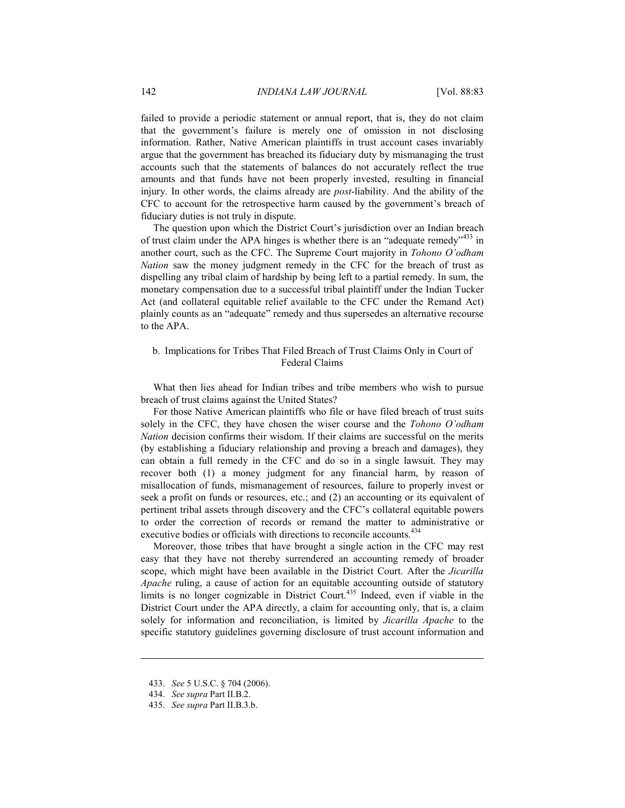failed to provide a periodic statement or annual report, that is, they do not claim that the government's failure is merely one of omission in not disclosing information. Rather, Native American plaintiffs in trust account cases invariably argue that the government has breached its fiduciary duty by mismanaging the trust accounts such that the statements of balances do not accurately reflect the true amounts and that funds have not been properly invested, resulting in financial injury. In other words, the claims already are *post*-liability. And the ability of the CFC to account for the retrospective harm caused by the government's breach of fiduciary duties is not truly in dispute.

The question upon which the District Court's jurisdiction over an Indian breach of trust claim under the APA hinges is whether there is an "adequate remedy"<sup>433</sup> in another court, such as the CFC. The Supreme Court majority in *Tohono O'odham Nation* saw the money judgment remedy in the CFC for the breach of trust as dispelling any tribal claim of hardship by being left to a partial remedy. In sum, the monetary compensation due to a successful tribal plaintiff under the Indian Tucker Act (and collateral equitable relief available to the CFC under the Remand Act) plainly counts as an "adequate" remedy and thus supersedes an alternative recourse to the APA.

### b. Implications for Tribes That Filed Breach of Trust Claims Only in Court of Federal Claims

What then lies ahead for Indian tribes and tribe members who wish to pursue breach of trust claims against the United States?

For those Native American plaintiffs who file or have filed breach of trust suits solely in the CFC, they have chosen the wiser course and the *Tohono O'odham Nation* decision confirms their wisdom. If their claims are successful on the merits (by establishing a fiduciary relationship and proving a breach and damages), they can obtain a full remedy in the CFC and do so in a single lawsuit. They may recover both (1) a money judgment for any financial harm, by reason of misallocation of funds, mismanagement of resources, failure to properly invest or seek a profit on funds or resources, etc.; and (2) an accounting or its equivalent of pertinent tribal assets through discovery and the CFC's collateral equitable powers to order the correction of records or remand the matter to administrative or executive bodies or officials with directions to reconcile accounts.<sup>434</sup>

Moreover, those tribes that have brought a single action in the CFC may rest easy that they have not thereby surrendered an accounting remedy of broader scope, which might have been available in the District Court. After the *Jicarilla Apache* ruling, a cause of action for an equitable accounting outside of statutory limits is no longer cognizable in District Court.<sup>435</sup> Indeed, even if viable in the District Court under the APA directly, a claim for accounting only, that is, a claim solely for information and reconciliation, is limited by *Jicarilla Apache* to the specific statutory guidelines governing disclosure of trust account information and

 <sup>433.</sup> *See* 5 U.S.C. § 704 (2006).

 <sup>434.</sup> *See supra* Part II.B.2.

 <sup>435.</sup> *See supra* Part II.B.3.b.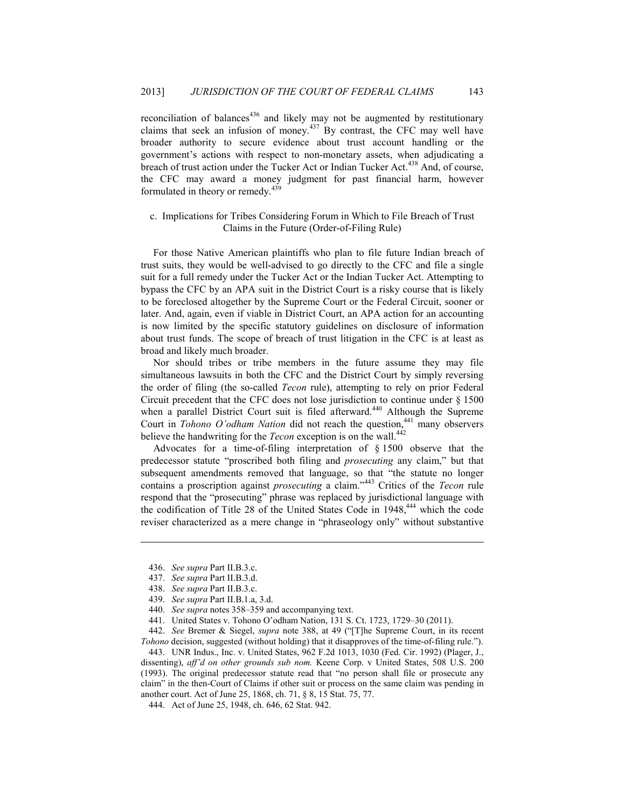reconciliation of balances $436$  and likely may not be augmented by restitutionary claims that seek an infusion of money.<sup>437</sup> By contrast, the CFC may well have broader authority to secure evidence about trust account handling or the government's actions with respect to non-monetary assets, when adjudicating a breach of trust action under the Tucker Act or Indian Tucker Act.<sup>438</sup> And, of course, the CFC may award a money judgment for past financial harm, however formulated in theory or remedy.<sup>439</sup>

### c. Implications for Tribes Considering Forum in Which to File Breach of Trust Claims in the Future (Order-of-Filing Rule)

For those Native American plaintiffs who plan to file future Indian breach of trust suits, they would be well-advised to go directly to the CFC and file a single suit for a full remedy under the Tucker Act or the Indian Tucker Act. Attempting to bypass the CFC by an APA suit in the District Court is a risky course that is likely to be foreclosed altogether by the Supreme Court or the Federal Circuit, sooner or later. And, again, even if viable in District Court, an APA action for an accounting is now limited by the specific statutory guidelines on disclosure of information about trust funds. The scope of breach of trust litigation in the CFC is at least as broad and likely much broader.

Nor should tribes or tribe members in the future assume they may file simultaneous lawsuits in both the CFC and the District Court by simply reversing the order of filing (the so-called *Tecon* rule), attempting to rely on prior Federal Circuit precedent that the CFC does not lose jurisdiction to continue under § 1500 when a parallel District Court suit is filed afterward.<sup>440</sup> Although the Supreme Court in *Tohono O'odham Nation* did not reach the question,<sup>441</sup> many observers believe the handwriting for the *Tecon* exception is on the wall.<sup>442</sup>

Advocates for a time-of-filing interpretation of § 1500 observe that the predecessor statute "proscribed both filing and *prosecuting* any claim," but that subsequent amendments removed that language, so that "the statute no longer contains a proscription against *prosecuting* a claim."443 Critics of the *Tecon* rule respond that the "prosecuting" phrase was replaced by jurisdictional language with the codification of Title 28 of the United States Code in 1948,<sup>444</sup> which the code reviser characterized as a mere change in "phraseology only" without substantive

1

 443. UNR Indus., Inc. v. United States, 962 F.2d 1013, 1030 (Fed. Cir. 1992) (Plager, J., dissenting), *aff'd on other grounds sub nom.* Keene Corp. v United States, 508 U.S. 200 (1993). The original predecessor statute read that "no person shall file or prosecute any claim" in the then-Court of Claims if other suit or process on the same claim was pending in another court. Act of June 25, 1868, ch. 71, § 8, 15 Stat. 75, 77.

444. Act of June 25, 1948, ch. 646, 62 Stat. 942.

 <sup>436.</sup> *See supra* Part II.B.3.c.

 <sup>437.</sup> *See supra* Part II.B.3.d.

 <sup>438.</sup> *See supra* Part II.B.3.c.

 <sup>439.</sup> *See supra* Part II.B.1.a, 3.d.

 <sup>440.</sup> *See supra* notes 358–359 and accompanying text.

 <sup>441.</sup> United States v. Tohono O'odham Nation, 131 S. Ct. 1723, 1729–30 (2011).

 <sup>442.</sup> *See* Bremer & Siegel, *supra* note 388, at 49 ("[T]he Supreme Court, in its recent *Tohono* decision, suggested (without holding) that it disapproves of the time-of-filing rule.").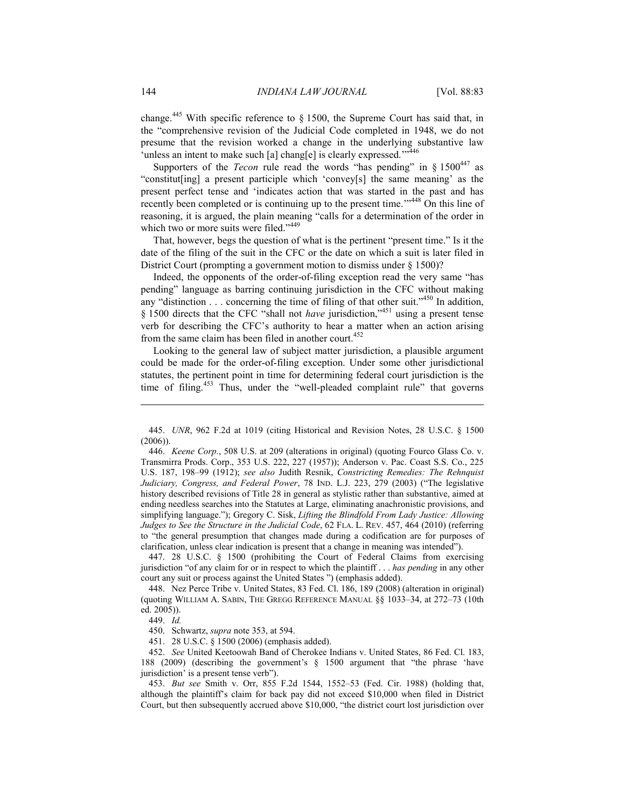change.<sup>445</sup> With specific reference to  $\S$  1500, the Supreme Court has said that, in the "comprehensive revision of the Judicial Code completed in 1948, we do not presume that the revision worked a change in the underlying substantive law 'unless an intent to make such [a] chang[e] is clearly expressed."<sup>446</sup>

Supporters of the *Tecon* rule read the words "has pending" in  $\S 1500^{447}$  as "constitut[ing] a present participle which 'convey[s] the same meaning' as the present perfect tense and 'indicates action that was started in the past and has recently been completed or is continuing up to the present time."<sup>448</sup> On this line of reasoning, it is argued, the plain meaning "calls for a determination of the order in which two or more suits were filed."<sup>449</sup>

That, however, begs the question of what is the pertinent "present time." Is it the date of the filing of the suit in the CFC or the date on which a suit is later filed in District Court (prompting a government motion to dismiss under § 1500)?

Indeed, the opponents of the order-of-filing exception read the very same "has pending" language as barring continuing jurisdiction in the CFC without making any "distinction . . . concerning the time of filing of that other suit."<sup>450</sup> In addition, § 1500 directs that the CFC "shall not *have* jurisdiction,"<sup>451</sup> using a present tense verb for describing the CFC's authority to hear a matter when an action arising from the same claim has been filed in another court.<sup>452</sup>

Looking to the general law of subject matter jurisdiction, a plausible argument could be made for the order-of-filing exception. Under some other jurisdictional statutes, the pertinent point in time for determining federal court jurisdiction is the time of filing.<sup>453</sup> Thus, under the "well-pleaded complaint rule" that governs

 447. 28 U.S.C. § 1500 (prohibiting the Court of Federal Claims from exercising jurisdiction "of any claim for or in respect to which the plaintiff . . . *has pending* in any other court any suit or process against the United States ") (emphasis added).

 448. Nez Perce Tribe v. United States, 83 Fed. Cl. 186, 189 (2008) (alteration in original) (quoting WILLIAM A. SABIN, THE GREGG REFERENCE MANUAL §§ 1033–34, at 272–73 (10th ed. 2005)).

 <sup>445.</sup> *UNR*, 962 F.2d at 1019 (citing Historical and Revision Notes, 28 U.S.C. § 1500 (2006)).

 <sup>446.</sup> *Keene Corp.*, 508 U.S. at 209 (alterations in original) (quoting Fourco Glass Co. v. Transmirra Prods. Corp., 353 U.S. 222, 227 (1957)); Anderson v. Pac. Coast S.S. Co., 225 U.S. 187, 198–99 (1912); *see also* Judith Resnik, *Constricting Remedies: The Rehnquist Judiciary, Congress, and Federal Power*, 78 IND. L.J. 223, 279 (2003) ("The legislative history described revisions of Title 28 in general as stylistic rather than substantive, aimed at ending needless searches into the Statutes at Large, eliminating anachronistic provisions, and simplifying language."); Gregory C. Sisk, *Lifting the Blindfold From Lady Justice: Allowing Judges to See the Structure in the Judicial Code*, 62 FLA. L. REV. 457, 464 (2010) (referring to "the general presumption that changes made during a codification are for purposes of clarification, unless clear indication is present that a change in meaning was intended").

 <sup>449.</sup> *Id.*

 <sup>450.</sup> Schwartz, *supra* note 353, at 594.

 <sup>451. 28</sup> U.S.C. § 1500 (2006) (emphasis added).

 <sup>452.</sup> *See* United Keetoowah Band of Cherokee Indians v. United States, 86 Fed. Cl. 183, 188 (2009) (describing the government's § 1500 argument that "the phrase 'have jurisdiction' is a present tense verb").

 <sup>453.</sup> *But see* Smith v. Orr, 855 F.2d 1544, 1552–53 (Fed. Cir. 1988) (holding that, although the plaintiff's claim for back pay did not exceed \$10,000 when filed in District Court, but then subsequently accrued above \$10,000, "the district court lost jurisdiction over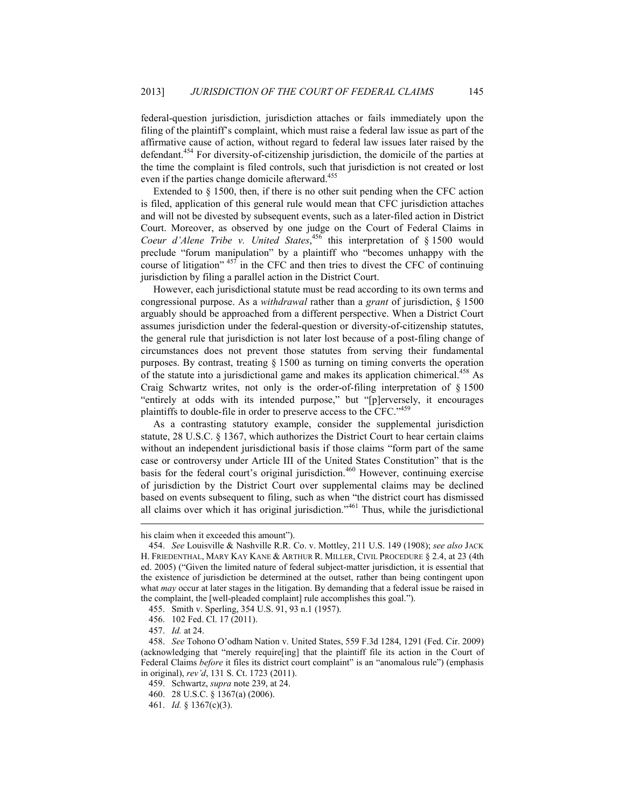federal-question jurisdiction, jurisdiction attaches or fails immediately upon the filing of the plaintiff's complaint, which must raise a federal law issue as part of the affirmative cause of action, without regard to federal law issues later raised by the defendant.<sup>454</sup> For diversity-of-citizenship jurisdiction, the domicile of the parties at the time the complaint is filed controls, such that jurisdiction is not created or lost even if the parties change domicile afterward.<sup>455</sup>

Extended to § 1500, then, if there is no other suit pending when the CFC action is filed, application of this general rule would mean that CFC jurisdiction attaches and will not be divested by subsequent events, such as a later-filed action in District Court. Moreover, as observed by one judge on the Court of Federal Claims in Coeur d'Alene Tribe v. United States,<sup>456</sup> this interpretation of § 1500 would preclude "forum manipulation" by a plaintiff who "becomes unhappy with the course of litigation"  $457$  in the CFC and then tries to divest the CFC of continuing jurisdiction by filing a parallel action in the District Court.

However, each jurisdictional statute must be read according to its own terms and congressional purpose. As a *withdrawal* rather than a *grant* of jurisdiction, § 1500 arguably should be approached from a different perspective. When a District Court assumes jurisdiction under the federal-question or diversity-of-citizenship statutes, the general rule that jurisdiction is not later lost because of a post-filing change of circumstances does not prevent those statutes from serving their fundamental purposes. By contrast, treating § 1500 as turning on timing converts the operation of the statute into a jurisdictional game and makes its application chimerical.<sup>458</sup> As Craig Schwartz writes, not only is the order-of-filing interpretation of § 1500 "entirely at odds with its intended purpose," but "[p]erversely, it encourages plaintiffs to double-file in order to preserve access to the CFC."<sup>459</sup>

As a contrasting statutory example, consider the supplemental jurisdiction statute, 28 U.S.C. § 1367, which authorizes the District Court to hear certain claims without an independent jurisdictional basis if those claims "form part of the same case or controversy under Article III of the United States Constitution" that is the basis for the federal court's original jurisdiction.<sup>460</sup> However, continuing exercise of jurisdiction by the District Court over supplemental claims may be declined based on events subsequent to filing, such as when "the district court has dismissed all claims over which it has original jurisdiction."<sup>461</sup> Thus, while the jurisdictional

his claim when it exceeded this amount").

 <sup>454.</sup> *See* Louisville & Nashville R.R. Co. v. Mottley, 211 U.S. 149 (1908); *see also* JACK H. FRIEDENTHAL, MARY KAY KANE & ARTHUR R. MILLER, CIVIL PROCEDURE § 2.4, at 23 (4th ed. 2005) ("Given the limited nature of federal subject-matter jurisdiction, it is essential that the existence of jurisdiction be determined at the outset, rather than being contingent upon what *may* occur at later stages in the litigation. By demanding that a federal issue be raised in the complaint, the [well-pleaded complaint] rule accomplishes this goal.").

 <sup>455.</sup> Smith v. Sperling, 354 U.S. 91, 93 n.1 (1957).

 <sup>456. 102</sup> Fed. Cl. 17 (2011).

 <sup>457.</sup> *Id.* at 24.

 <sup>458.</sup> *See* Tohono O'odham Nation v. United States, 559 F.3d 1284, 1291 (Fed. Cir. 2009) (acknowledging that "merely require[ing] that the plaintiff file its action in the Court of Federal Claims *before* it files its district court complaint" is an "anomalous rule") (emphasis in original), *rev'd*, 131 S. Ct. 1723 (2011).

 <sup>459.</sup> Schwartz, *supra* note 239, at 24.

 <sup>460. 28</sup> U.S.C. § 1367(a) (2006).

 <sup>461.</sup> *Id.* § 1367(c)(3).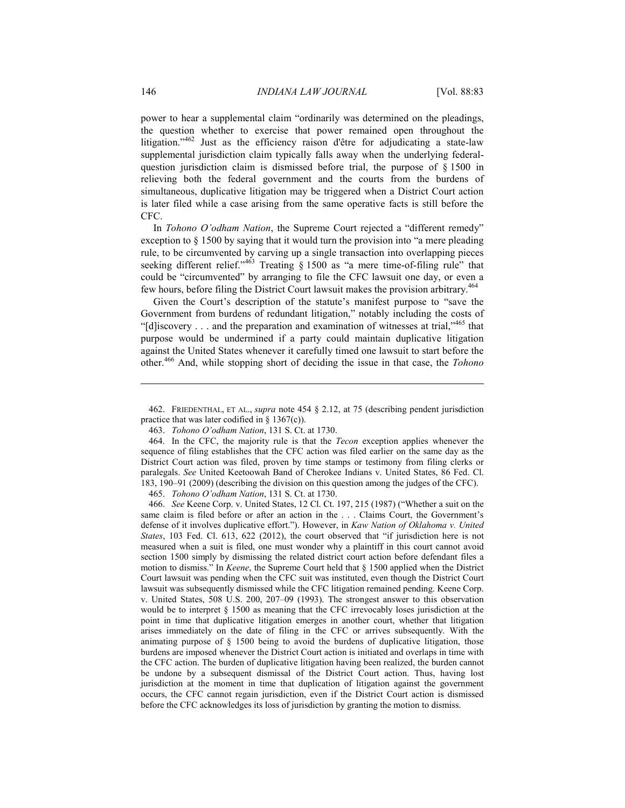power to hear a supplemental claim "ordinarily was determined on the pleadings, the question whether to exercise that power remained open throughout the litigation."<sup>462</sup> Just as the efficiency raison d'être for adjudicating a state-law supplemental jurisdiction claim typically falls away when the underlying federalquestion jurisdiction claim is dismissed before trial, the purpose of § 1500 in relieving both the federal government and the courts from the burdens of simultaneous, duplicative litigation may be triggered when a District Court action is later filed while a case arising from the same operative facts is still before the CFC.

In *Tohono O'odham Nation*, the Supreme Court rejected a "different remedy" exception to § 1500 by saying that it would turn the provision into "a mere pleading rule, to be circumvented by carving up a single transaction into overlapping pieces seeking different relief."<sup>463</sup> Treating § 1500 as "a mere time-of-filing rule" that could be "circumvented" by arranging to file the CFC lawsuit one day, or even a few hours, before filing the District Court lawsuit makes the provision arbitrary.<sup>464</sup>

Given the Court's description of the statute's manifest purpose to "save the Government from burdens of redundant litigation," notably including the costs of "[d] iscovery . . . and the preparation and examination of witnesses at trial,"  $465$  that purpose would be undermined if a party could maintain duplicative litigation against the United States whenever it carefully timed one lawsuit to start before the other.466 And, while stopping short of deciding the issue in that case, the *Tohono* 

463. *Tohono O'odham Nation*, 131 S. Ct. at 1730.

465. *Tohono O'odham Nation*, 131 S. Ct. at 1730.

 466. *See* Keene Corp. v. United States, 12 Cl. Ct. 197, 215 (1987) ("Whether a suit on the same claim is filed before or after an action in the . . . Claims Court, the Government's defense of it involves duplicative effort."). However, in *Kaw Nation of Oklahoma v. United States*, 103 Fed. Cl. 613, 622 (2012), the court observed that "if jurisdiction here is not measured when a suit is filed, one must wonder why a plaintiff in this court cannot avoid section 1500 simply by dismissing the related district court action before defendant files a motion to dismiss." In *Keene*, the Supreme Court held that § 1500 applied when the District Court lawsuit was pending when the CFC suit was instituted, even though the District Court lawsuit was subsequently dismissed while the CFC litigation remained pending. Keene Corp. v. United States, 508 U.S. 200, 207–09 (1993). The strongest answer to this observation would be to interpret § 1500 as meaning that the CFC irrevocably loses jurisdiction at the point in time that duplicative litigation emerges in another court, whether that litigation arises immediately on the date of filing in the CFC or arrives subsequently. With the animating purpose of § 1500 being to avoid the burdens of duplicative litigation, those burdens are imposed whenever the District Court action is initiated and overlaps in time with the CFC action. The burden of duplicative litigation having been realized, the burden cannot be undone by a subsequent dismissal of the District Court action. Thus, having lost jurisdiction at the moment in time that duplication of litigation against the government occurs, the CFC cannot regain jurisdiction, even if the District Court action is dismissed before the CFC acknowledges its loss of jurisdiction by granting the motion to dismiss.

<u>.</u>

 <sup>462.</sup> FRIEDENTHAL, ET AL., *supra* note 454 § 2.12, at 75 (describing pendent jurisdiction practice that was later codified in § 1367(c)).

 <sup>464.</sup> In the CFC, the majority rule is that the *Tecon* exception applies whenever the sequence of filing establishes that the CFC action was filed earlier on the same day as the District Court action was filed, proven by time stamps or testimony from filing clerks or paralegals. *See* United Keetoowah Band of Cherokee Indians v. United States, 86 Fed. Cl. 183, 190–91 (2009) (describing the division on this question among the judges of the CFC).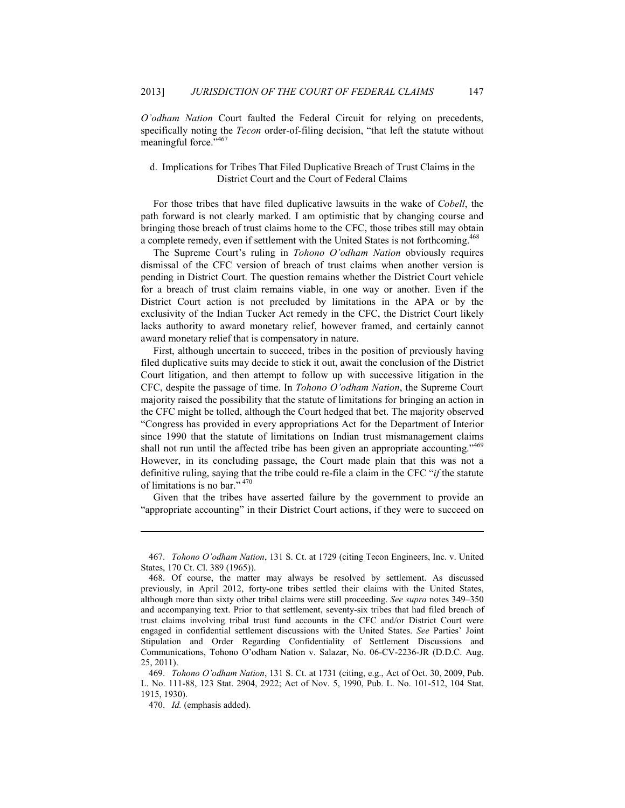*O'odham Nation* Court faulted the Federal Circuit for relying on precedents, specifically noting the *Tecon* order-of-filing decision, "that left the statute without meaningful force."467

# d. Implications for Tribes That Filed Duplicative Breach of Trust Claims in the District Court and the Court of Federal Claims

For those tribes that have filed duplicative lawsuits in the wake of *Cobell*, the path forward is not clearly marked. I am optimistic that by changing course and bringing those breach of trust claims home to the CFC, those tribes still may obtain a complete remedy, even if settlement with the United States is not forthcoming.<sup>468</sup>

The Supreme Court's ruling in *Tohono O'odham Nation* obviously requires dismissal of the CFC version of breach of trust claims when another version is pending in District Court. The question remains whether the District Court vehicle for a breach of trust claim remains viable, in one way or another. Even if the District Court action is not precluded by limitations in the APA or by the exclusivity of the Indian Tucker Act remedy in the CFC, the District Court likely lacks authority to award monetary relief, however framed, and certainly cannot award monetary relief that is compensatory in nature.

First, although uncertain to succeed, tribes in the position of previously having filed duplicative suits may decide to stick it out, await the conclusion of the District Court litigation, and then attempt to follow up with successive litigation in the CFC, despite the passage of time. In *Tohono O'odham Nation*, the Supreme Court majority raised the possibility that the statute of limitations for bringing an action in the CFC might be tolled, although the Court hedged that bet. The majority observed "Congress has provided in every appropriations Act for the Department of Interior since 1990 that the statute of limitations on Indian trust mismanagement claims shall not run until the affected tribe has been given an appropriate accounting."<sup>469</sup> However, in its concluding passage, the Court made plain that this was not a definitive ruling, saying that the tribe could re-file a claim in the CFC "*if* the statute of limitations is no bar." <sup>470</sup>

Given that the tribes have asserted failure by the government to provide an "appropriate accounting" in their District Court actions, if they were to succeed on

 <sup>467.</sup> *Tohono O'odham Nation*, 131 S. Ct. at 1729 (citing Tecon Engineers, Inc. v. United States, 170 Ct. Cl. 389 (1965)).

 <sup>468.</sup> Of course, the matter may always be resolved by settlement. As discussed previously, in April 2012, forty-one tribes settled their claims with the United States, although more than sixty other tribal claims were still proceeding. *See supra* notes 349–350 and accompanying text. Prior to that settlement, seventy-six tribes that had filed breach of trust claims involving tribal trust fund accounts in the CFC and/or District Court were engaged in confidential settlement discussions with the United States. *See* Parties' Joint Stipulation and Order Regarding Confidentiality of Settlement Discussions and Communications, Tohono O'odham Nation v. Salazar, No. 06-CV-2236-JR (D.D.C. Aug. 25, 2011).

 <sup>469.</sup> *Tohono O'odham Nation*, 131 S. Ct. at 1731 (citing, e.g., Act of Oct. 30, 2009, Pub. L. No. 111-88, 123 Stat. 2904, 2922; Act of Nov. 5, 1990, Pub. L. No. 101-512, 104 Stat. 1915, 1930).

 <sup>470.</sup> *Id.* (emphasis added).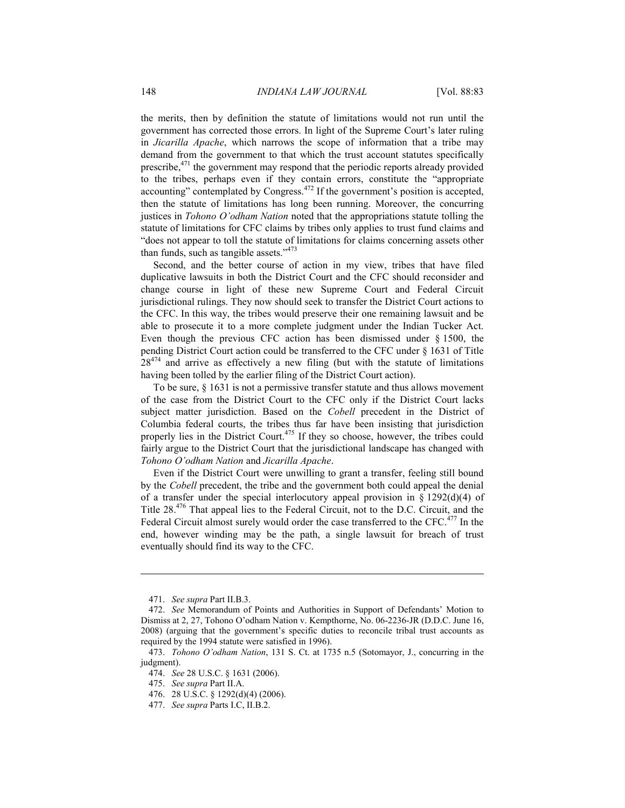the merits, then by definition the statute of limitations would not run until the government has corrected those errors. In light of the Supreme Court's later ruling in *Jicarilla Apache*, which narrows the scope of information that a tribe may demand from the government to that which the trust account statutes specifically prescribe,<sup>471</sup> the government may respond that the periodic reports already provided to the tribes, perhaps even if they contain errors, constitute the "appropriate accounting" contemplated by Congress.472 If the government's position is accepted, then the statute of limitations has long been running. Moreover, the concurring justices in *Tohono O'odham Nation* noted that the appropriations statute tolling the statute of limitations for CFC claims by tribes only applies to trust fund claims and "does not appear to toll the statute of limitations for claims concerning assets other than funds, such as tangible assets."<sup>473</sup>

Second, and the better course of action in my view, tribes that have filed duplicative lawsuits in both the District Court and the CFC should reconsider and change course in light of these new Supreme Court and Federal Circuit jurisdictional rulings. They now should seek to transfer the District Court actions to the CFC. In this way, the tribes would preserve their one remaining lawsuit and be able to prosecute it to a more complete judgment under the Indian Tucker Act. Even though the previous CFC action has been dismissed under § 1500, the pending District Court action could be transferred to the CFC under § 1631 of Title  $28<sup>474</sup>$  and arrive as effectively a new filing (but with the statute of limitations having been tolled by the earlier filing of the District Court action).

To be sure, § 1631 is not a permissive transfer statute and thus allows movement of the case from the District Court to the CFC only if the District Court lacks subject matter jurisdiction. Based on the *Cobell* precedent in the District of Columbia federal courts, the tribes thus far have been insisting that jurisdiction properly lies in the District Court.<sup>475</sup> If they so choose, however, the tribes could fairly argue to the District Court that the jurisdictional landscape has changed with *Tohono O'odham Nation* and *Jicarilla Apache*.

Even if the District Court were unwilling to grant a transfer, feeling still bound by the *Cobell* precedent, the tribe and the government both could appeal the denial of a transfer under the special interlocutory appeal provision in  $\S$  1292(d)(4) of Title 28<sup>.476</sup> That appeal lies to the Federal Circuit, not to the D.C. Circuit, and the Federal Circuit almost surely would order the case transferred to the CFC.<sup>477</sup> In the end, however winding may be the path, a single lawsuit for breach of trust eventually should find its way to the CFC.

 <sup>471.</sup> *See supra* Part II.B.3.

 <sup>472.</sup> *See* Memorandum of Points and Authorities in Support of Defendants' Motion to Dismiss at 2, 27, Tohono O'odham Nation v. Kempthorne, No. 06-2236-JR (D.D.C. June 16, 2008) (arguing that the government's specific duties to reconcile tribal trust accounts as required by the 1994 statute were satisfied in 1996).

 <sup>473.</sup> *Tohono O'odham Nation*, 131 S. Ct. at 1735 n.5 (Sotomayor, J., concurring in the judgment).

 <sup>474.</sup> *See* 28 U.S.C. § 1631 (2006).

 <sup>475.</sup> *See supra* Part II.A.

 <sup>476. 28</sup> U.S.C. § 1292(d)(4) (2006).

 <sup>477.</sup> *See supra* Parts I.C, II.B.2.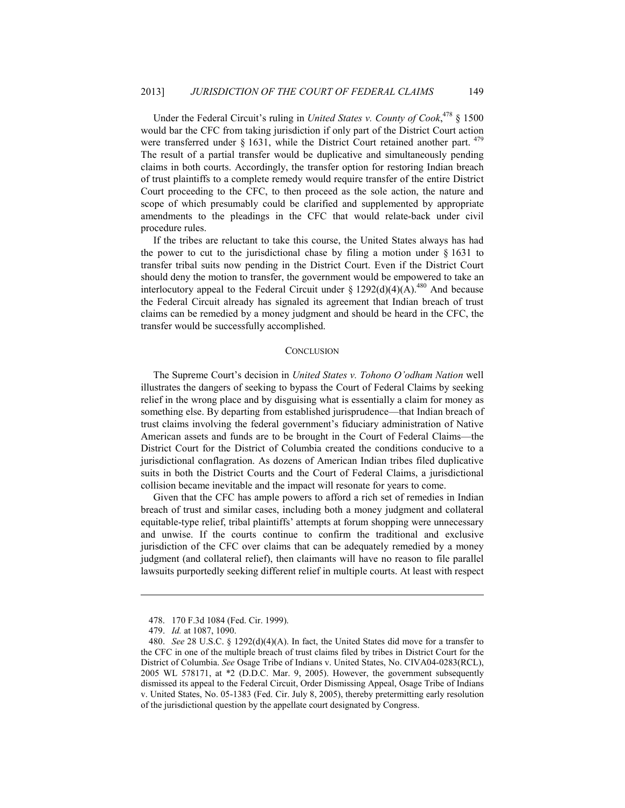Under the Federal Circuit's ruling in *United States v. County of Cook*, 478 § 1500 would bar the CFC from taking jurisdiction if only part of the District Court action were transferred under  $\S$  1631, while the District Court retained another part.  $479$ The result of a partial transfer would be duplicative and simultaneously pending claims in both courts. Accordingly, the transfer option for restoring Indian breach of trust plaintiffs to a complete remedy would require transfer of the entire District Court proceeding to the CFC, to then proceed as the sole action, the nature and scope of which presumably could be clarified and supplemented by appropriate amendments to the pleadings in the CFC that would relate-back under civil procedure rules.

If the tribes are reluctant to take this course, the United States always has had the power to cut to the jurisdictional chase by filing a motion under  $\S$  1631 to transfer tribal suits now pending in the District Court. Even if the District Court should deny the motion to transfer, the government would be empowered to take an interlocutory appeal to the Federal Circuit under §  $1292(d)(4)(A)$ .<sup>480</sup> And because the Federal Circuit already has signaled its agreement that Indian breach of trust claims can be remedied by a money judgment and should be heard in the CFC, the transfer would be successfully accomplished.

#### **CONCLUSION**

The Supreme Court's decision in *United States v. Tohono O'odham Nation* well illustrates the dangers of seeking to bypass the Court of Federal Claims by seeking relief in the wrong place and by disguising what is essentially a claim for money as something else. By departing from established jurisprudence—that Indian breach of trust claims involving the federal government's fiduciary administration of Native American assets and funds are to be brought in the Court of Federal Claims—the District Court for the District of Columbia created the conditions conducive to a jurisdictional conflagration. As dozens of American Indian tribes filed duplicative suits in both the District Courts and the Court of Federal Claims, a jurisdictional collision became inevitable and the impact will resonate for years to come.

Given that the CFC has ample powers to afford a rich set of remedies in Indian breach of trust and similar cases, including both a money judgment and collateral equitable-type relief, tribal plaintiffs' attempts at forum shopping were unnecessary and unwise. If the courts continue to confirm the traditional and exclusive jurisdiction of the CFC over claims that can be adequately remedied by a money judgment (and collateral relief), then claimants will have no reason to file parallel lawsuits purportedly seeking different relief in multiple courts. At least with respect

<u>.</u>

 <sup>478. 170</sup> F.3d 1084 (Fed. Cir. 1999).

 <sup>479.</sup> *Id.* at 1087, 1090.

 <sup>480.</sup> *See* 28 U.S.C. § 1292(d)(4)(A). In fact, the United States did move for a transfer to the CFC in one of the multiple breach of trust claims filed by tribes in District Court for the District of Columbia. *See* Osage Tribe of Indians v. United States, No. CIVA04-0283(RCL), 2005 WL 578171, at \*2 (D.D.C. Mar. 9, 2005). However, the government subsequently dismissed its appeal to the Federal Circuit, Order Dismissing Appeal, Osage Tribe of Indians v. United States, No. 05-1383 (Fed. Cir. July 8, 2005), thereby pretermitting early resolution of the jurisdictional question by the appellate court designated by Congress.